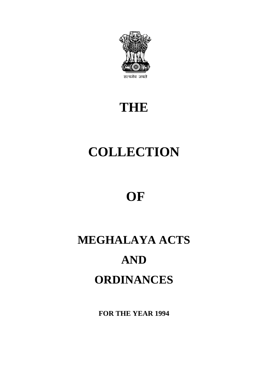

# **THE**

# **COLLECTION**

## **OF**

# **MEGHALAYA ACTS AND ORDINANCES**

**FOR THE YEAR 1994**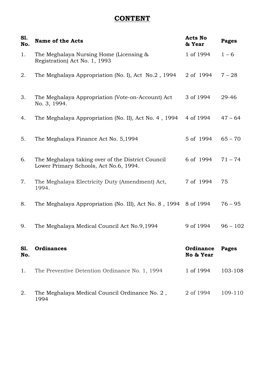#### **CONTENT**

| S1.<br>No.        | <b>Name of the Acts</b>                                                                     | <b>Acts No</b><br>& Year | <b>Pages</b> |
|-------------------|---------------------------------------------------------------------------------------------|--------------------------|--------------|
| 1.                | The Meghalaya Nursing Home (Licensing $\&$<br>Registration) Act No. 1, 1993                 | 1 of 1994                | $1 - 6$      |
| 2.                | The Meghalaya Appropriation (No. I), Act No.2, 1994                                         | 2 of 1994                | $7 - 28$     |
| 3.                | The Meghalaya Appropriation (Vote-on-Account) Act<br>No. 3, 1994.                           | 3 of 1994                | 29-46        |
| 4.                | The Meghalaya Appropriation (No. II), Act No. 4, 1994                                       | 4 of 1994                | $47 - 64$    |
| 5.                | The Meghalaya Finance Act No. 5,1994                                                        | 5 of 1994                | $65 - 70$    |
| 6.                | The Meghalaya taking over of the District Council<br>Lower Primary Schools, Act No.6, 1994. | 6 of 1994                | $71 - 74$    |
| 7.                | The Meghalaya Electricity Duty (Amendment) Act,<br>1994.                                    | 7 of 1994                | 75           |
| 8.                | The Meghalaya Appropriation (No. III), Act No. 8, 1994 8 of 1994                            |                          | $76 - 95$    |
| 9.                | The Meghalaya Medical Council Act No.9,1994                                                 | 9 of 1994                | $96 - 102$   |
| <b>S1.</b><br>No. | <b>Ordinances</b>                                                                           | Ordinance<br>No & Year   | <b>Pages</b> |
| 1.                | The Preventive Detention Ordinance No. 1, 1994                                              | 1 of 1994                | 103-108      |
| 2.                | The Meghalaya Medical Council Ordinance No. 2,<br>1994                                      | 2 of 1994                | 109-110      |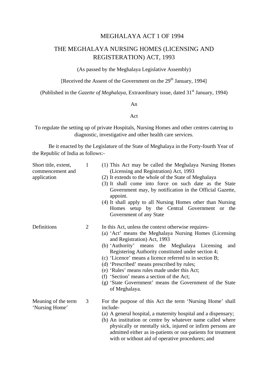#### MEGHALAYA ACT 1 OF 1994

#### THE MEGHALAYA NURSING HOMES (LICENSING AND REGISTERATION) ACT, 1993

(As passed by the Meghalaya Legislative Assembly)

[Received the Assent of the Government on the  $29<sup>th</sup>$  January, 1994]

(Published in the *Gazette of Meghalaya*, Extraordinary issue, dated 31<sup>st</sup> January, 1994)

#### An

#### Act

To regulate the setting up of private Hospitals, Nursing Homes and other centres catering to diagnostic, investigative and other health care services.

Be it enacted by the Legislature of the State of Meghalaya in the Forty-fourth Year of the Republic of India as follows:-

| Short title, extent,<br>commencement and<br>application | 1              | (1) This Act may be called the Meghalaya Nursing Homes<br>(Licensing and Registration) Act, 1993<br>(2) It extends to the whole of the State of Meghalaya<br>(3) It shall come into force on such date as the State<br>Government may, by notification in the Official Gazette,<br>appoint.<br>(4) It shall apply to all Nursing Homes other than Nursing<br>Homes setup by the Central Government or the<br>Government of any State                                                                                                           |
|---------------------------------------------------------|----------------|------------------------------------------------------------------------------------------------------------------------------------------------------------------------------------------------------------------------------------------------------------------------------------------------------------------------------------------------------------------------------------------------------------------------------------------------------------------------------------------------------------------------------------------------|
| Definitions                                             | $\overline{2}$ | In this Act, unless the context otherwise requires-<br>(a) 'Act' means the Meghalaya Nursing Homes (Licensing<br>and Registration) Act, 1993<br>(b) 'Authority' means the Meghalaya Licensing<br>and<br>Registering Authority constituted under section 4;<br>(c) 'Licence' means a licence referred to in section B;<br>(d) 'Prescribed' means prescribed by rules;<br>(e) 'Rules' means rules made under this Act;<br>(f) 'Section' means a section of the Act;<br>(g) 'State Government' means the Government of the State<br>of Meghalaya. |
| Meaning of the term<br>'Nursing Home'                   | 3              | For the purpose of this Act the term 'Nursing Home' shall<br>include-<br>(a) A general hospital, a maternity hospital and a dispensary;<br>(b) An institution or centre by whatever name called where<br>physically or mentally sick, injured or infirm persons are<br>admitted either as in-patients or out-patients for treatment<br>with or without aid of operative procedures; and                                                                                                                                                        |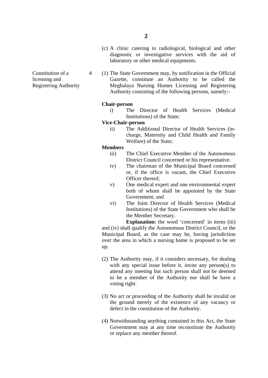- (c) A clinic catering to radiological, biological and other diagnostic or investigative services with the aid of laboratory or other medical equipments.
- 
- Constitution of a 4 (1) The State Government may, by notification in the Official licensing and Gazette, constitute an Authority to be called the Registering Authority Meghalaya Nursing Homes Licensing and Registering Authority consisting of the following persons, namely:-

#### **Chair-person**

i) The Director of Health Services (Medical Institutions) of the State;

#### **Vice-Chair-person**

ii) The Additional Director of Health Services (incharge, Maternity and Child Health and Family Welfare) of the State;

#### **Members**

- iii) The Chief Executive Member of the Autonomous District Council concerned or his representative.
- iv) The chairman of the Municipal Board concerned or, if the office is vacant, the Chief Executive Officer thereof;
- v) One medical expert and one environmental expert both of whom shall be appointed by the State Government; and
- vi) The Joint Director of Health Services (Medical Institutions) of the State Government who shall be the Member Secretary.

 **Explanation:** the word 'concerned' in items (iii) and (iv) shall qualify the Autonomous District Council, or the Municipal Board, as the case may be, having jurisdiction over the area in which a nursing home is proposed to be set up.

- (2) The Authority may, if it considers necessary, for dealing with any special issue before it, invite any person(s) to attend any meeting but such person shall not be deemed to be a member of the Authority nor shall he have a voting right.
- (3) No act or proceeding of the Authority shall be invalid on the ground merely of the existence of any vacancy or defect in the constitution of the Authority.
- (4) Notwithstanding anything contained in this Act, the State Government may at any time reconstitute the Authority or replace any member thereof.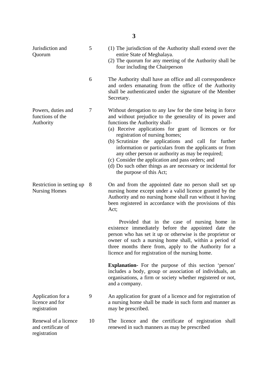| Jurisdiction and<br>Quorum                                 | 5      | (1) The jurisdiction of the Authority shall extend over the<br>entire State of Meghalaya.<br>(2) The quorum for any meeting of the Authority shall be<br>four including the Chairperson                                                                                                                                                                                                                                                                                                                                                                                   |
|------------------------------------------------------------|--------|---------------------------------------------------------------------------------------------------------------------------------------------------------------------------------------------------------------------------------------------------------------------------------------------------------------------------------------------------------------------------------------------------------------------------------------------------------------------------------------------------------------------------------------------------------------------------|
|                                                            | 6      | The Authority shall have an office and all correspondence<br>and orders emanating from the office of the Authority<br>shall be authenticated under the signature of the Member<br>Secretary.                                                                                                                                                                                                                                                                                                                                                                              |
| Powers, duties and<br>functions of the<br>Authority        | $\tau$ | Without derogation to any law for the time being in force<br>and without prejudice to the generality of its power and<br>functions the Authority shall-<br>(a) Receive applications for grant of licences or for<br>registration of nursing homes;<br>(b) Scrutinize the applications and call for further<br>information or particulars from the applicants or from<br>any other person or authority as may be required;<br>(c) Consider the application and pass orders; and<br>(d) Do such other things as are necessary or incidental for<br>the purpose of this Act; |
| Restriction in setting up<br><b>Nursing Homes</b>          | 8      | On and from the appointed date no person shall set up<br>nursing home except under a valid licence granted by the<br>Authority and no nursing home shall run without it having<br>been registered in accordance with the provisions of this<br>Act;                                                                                                                                                                                                                                                                                                                       |
|                                                            |        | Provided that in the case of nursing home in<br>existence immediately before the appointed date the<br>person who has set it up or otherwise is the proprietor or<br>owner of such a nursing home shall, within a period of<br>three months there from, apply to the Authority for a<br>licence and for registration of the nursing home.                                                                                                                                                                                                                                 |
|                                                            |        | <b>Explanation-</b> For the purpose of this section 'person'<br>includes a body, group or association of individuals, an<br>organisations, a firm or society whether registered or not,<br>and a company.                                                                                                                                                                                                                                                                                                                                                                 |
| Application for a<br>licence and for<br>registration       | 9      | An application for grant of a licence and for registration of<br>a nursing home shall be made in such form and manner as<br>may be prescribed.                                                                                                                                                                                                                                                                                                                                                                                                                            |
| Renewal of a licence<br>and certificate of<br>registration | 10     | The licence and the certificate of registration shall<br>renewed in such manners as may be prescribed                                                                                                                                                                                                                                                                                                                                                                                                                                                                     |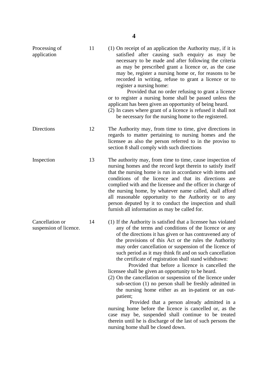| Processing of<br>application              | 11 | (1) On receipt of an application the Authority may, if it is<br>satisfied after causing such enquiry as may be<br>necessary to be made and after following the criteria<br>as may be prescribed grant a licence or, as the case<br>may be, register a nursing home or, for reasons to be<br>recorded in writing, refuse to grant a licence or to<br>register a nursing home:<br>Provided that no order refusing to grant a licence<br>or to register a nursing home shall be passed unless the<br>applicant has been given an opportunity of being heard.<br>(2) In cases where grant of a licence is refused it shall not<br>be necessary for the nursing home to the registered.                                                                                                                                                                                                                                                                                                                         |
|-------------------------------------------|----|------------------------------------------------------------------------------------------------------------------------------------------------------------------------------------------------------------------------------------------------------------------------------------------------------------------------------------------------------------------------------------------------------------------------------------------------------------------------------------------------------------------------------------------------------------------------------------------------------------------------------------------------------------------------------------------------------------------------------------------------------------------------------------------------------------------------------------------------------------------------------------------------------------------------------------------------------------------------------------------------------------|
| Directions                                | 12 | The Authority may, from time to time, give directions in<br>regards to matter pertaining to nursing homes and the<br>licensee as also the person referred to in the proviso to<br>section 8 shall comply with such directions                                                                                                                                                                                                                                                                                                                                                                                                                                                                                                                                                                                                                                                                                                                                                                              |
| Inspection                                | 13 | The authority may, from time to time, cause inspection of<br>nursing homes and the record kept therein to satisfy itself<br>that the nursing home is run in accordance with items and<br>conditions of the licence and that its directions are<br>complied with and the licensee and the officer in charge of<br>the nursing home, by whatever name called, shall afford<br>all reasonable opportunity to the Authority or to any<br>person deputed by it to conduct the inspection and shall<br>furnish all information as may be called for.                                                                                                                                                                                                                                                                                                                                                                                                                                                             |
| Cancellation or<br>suspension of licence. | 14 | (1) If the Authority is satisfied that a licensee has violated<br>any of the terms and conditions of the licence or any<br>of the directions it has given or has contravened any of<br>the provisions of this Act or the rules the Authority<br>may order cancellation or suspension of the licence of<br>such period as it may think fit and on such cancellation<br>the certificate of registration shall stand withdrawn:<br>Provided that before a licence is cancelled the<br>licensee shall be given an opportunity to be heard.<br>(2) On the cancellation or suspension of the licence under<br>sub-section (1) no person shall be freshly admitted in<br>the nursing home either as an in-patient or an out-<br>patient;<br>Provided that a person already admitted in a<br>nursing home before the licence is cancelled or, as the<br>case may be, suspended shall continue to be treated<br>therein until he is discharge of the last of such persons the<br>nursing home shall be closed down. |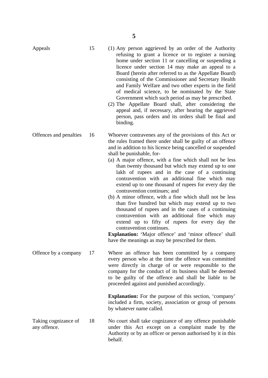| Appeals                              | 15 | (1) Any person aggrieved by an order of the Authority<br>refusing to grant a licence or to register a nursing<br>home under section 11 or cancelling or suspending a<br>licence under section 14 may make an appeal to a<br>Board (herein after referred to as the Appellate Board)<br>consisting of the Commissioner and Secretary Health<br>and Family Welfare and two other experts in the field<br>of medical science, to be nominated by the State<br>Government which such period as may be prescribed.<br>(2) The Appellate Board shall, after considering the<br>appeal and, if necessary, after hearing the aggrieved<br>person, pass orders and its orders shall be final and<br>binding.                                                                                                                                                                                                                                                              |
|--------------------------------------|----|------------------------------------------------------------------------------------------------------------------------------------------------------------------------------------------------------------------------------------------------------------------------------------------------------------------------------------------------------------------------------------------------------------------------------------------------------------------------------------------------------------------------------------------------------------------------------------------------------------------------------------------------------------------------------------------------------------------------------------------------------------------------------------------------------------------------------------------------------------------------------------------------------------------------------------------------------------------|
| Offences and penalties               | 16 | Whoever contravenes any of the provisions of this Act or<br>the rules framed there under shall be guilty of an offence<br>and in addition to his licence being cancelled or suspended<br>shall be punishable, for-<br>(a) A major offence, with a fine which shall not be less<br>than twenty thousand but which may extend up to one<br>lakh of rupees and in the case of a continuing<br>contravention with an additional fine which may<br>extend up to one thousand of rupees for every day the<br>contravention continues; and<br>(b) A minor offence, with a fine which shall not be less<br>than five hundred but which may extend up to two<br>thousand of rupees and in the cases of a continuing<br>contravention with an additional fine which may<br>extend up to fifty of rupees for every day the<br>contravention continues.<br><b>Explanation:</b> 'Major offence' and 'minor offence' shall<br>have the meanings as may be prescribed for them. |
| Offence by a company                 | 17 | Where an offence has been committed by a company<br>every person who at the time the offence was committed<br>were directly in charge of or were responsible to the<br>company for the conduct of its business shall be deemed<br>to be guilty of the offence and shall be liable to be<br>proceeded against and punished accordingly.                                                                                                                                                                                                                                                                                                                                                                                                                                                                                                                                                                                                                           |
|                                      |    | <b>Explanation:</b> For the purpose of this section, 'company'<br>included a firm, society, association or group of persons<br>by whatever name called.                                                                                                                                                                                                                                                                                                                                                                                                                                                                                                                                                                                                                                                                                                                                                                                                          |
| Taking cognizance of<br>any offence. | 18 | No court shall take cognizance of any offence punishable<br>under this Act except on a complaint made by the<br>Authority or by an officer or person authorised by it in this                                                                                                                                                                                                                                                                                                                                                                                                                                                                                                                                                                                                                                                                                                                                                                                    |

behalf.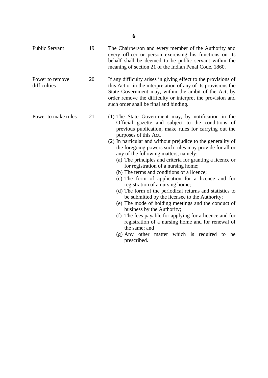| <b>Public Servant</b>           | 19 | The Chairperson and every member of the Authority and<br>every officer or person exercising his functions on its<br>behalf shall be deemed to be public servant within the<br>meaning of section 21 of the Indian Penal Code, 1860.                                                                                                                                                                                                                                                                                                                                                                                                                                                                                                                                                                                                                                                                                                                                                                          |
|---------------------------------|----|--------------------------------------------------------------------------------------------------------------------------------------------------------------------------------------------------------------------------------------------------------------------------------------------------------------------------------------------------------------------------------------------------------------------------------------------------------------------------------------------------------------------------------------------------------------------------------------------------------------------------------------------------------------------------------------------------------------------------------------------------------------------------------------------------------------------------------------------------------------------------------------------------------------------------------------------------------------------------------------------------------------|
| Power to remove<br>difficulties | 20 | If any difficulty arises in giving effect to the provisions of<br>this Act or in the interpretation of any of its provisions the<br>State Government may, within the ambit of the Act, by<br>order remove the difficulty or interpret the provision and<br>such order shall be final and binding.                                                                                                                                                                                                                                                                                                                                                                                                                                                                                                                                                                                                                                                                                                            |
| Power to make rules             | 21 | (1) The State Government may, by notification in the<br>Official gazette and subject to the conditions of<br>previous publication, make rules for carrying out the<br>purposes of this Act.<br>(2) In particular and without prejudice to the generality of<br>the foregoing powers such rules may provide for all or<br>any of the following matters, namely:-<br>(a) The principles and criteria for granting a licence or<br>for registration of a nursing home;<br>(b) The terms and conditions of a licence;<br>(c) The form of application for a licence and for<br>registration of a nursing home;<br>(d) The form of the periodical returns and statistics to<br>be submitted by the licensee to the Authority;<br>(e) The mode of holding meetings and the conduct of<br>business by the Authority;<br>(f) The fees payable for applying for a licence and for<br>registration of a nursing home and for renewal of<br>the same; and<br>(g) Any other matter which is required to be<br>prescribed. |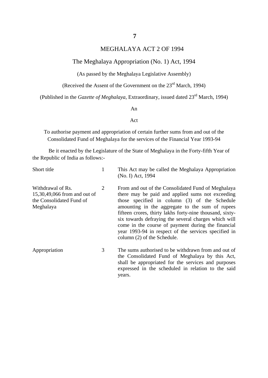#### MEGHALAYA ACT 2 OF 1994

#### The Meghalaya Appropriation (No. 1) Act, 1994

(As passed by the Meghalaya Legislative Assembly)

(Received the Assent of the Government on the 23rd March, 1994)

(Published in the *Gazette of Meghalaya*, Extraordinary, issued dated 23rd March, 1994)

An

#### Act

To authorise payment and appropriation of certain further sums from and out of the Consolidated Fund of Meghalaya for the services of the Financial Year 1993-94

Be it enacted by the Legislature of the State of Meghalaya in the Forty-fifth Year of the Republic of India as follows:-

| Short title                                                                                | 1 | This Act may be called the Meghalaya Appropriation<br>(No. I) Act, 1994                                                                                                                                                                                                                                                                                                                                                                                                     |
|--------------------------------------------------------------------------------------------|---|-----------------------------------------------------------------------------------------------------------------------------------------------------------------------------------------------------------------------------------------------------------------------------------------------------------------------------------------------------------------------------------------------------------------------------------------------------------------------------|
| Withdrawal of Rs.<br>15,30,49,066 from and out of<br>the Consolidated Fund of<br>Meghalaya | 2 | From and out of the Consolidated Fund of Meghalaya<br>there may be paid and applied sums not exceeding<br>those specified in column (3) of the Schedule<br>amounting in the aggregate to the sum of rupees<br>fifteen crores, thirty lakhs forty-nine thousand, sixty-<br>six towards defraying the several charges which will<br>come in the course of payment during the financial<br>year 1993-94 in respect of the services specified in<br>column (2) of the Schedule. |
| Appropriation                                                                              | 3 | The sums authorised to be withdrawn from and out of<br>the Consolidated Fund of Meghalaya by this Act,<br>shall be appropriated for the services and purposes<br>expressed in the scheduled in relation to the said<br>years.                                                                                                                                                                                                                                               |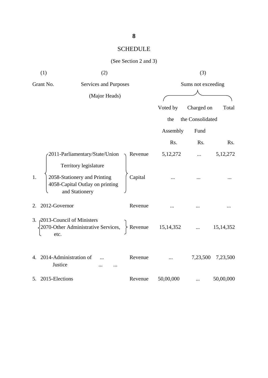## SCHEDULE

#### (See Section 2 and 3)

| (1)                 | (2)                                                                                                                                          |                    |                             | (3)                                    |             |
|---------------------|----------------------------------------------------------------------------------------------------------------------------------------------|--------------------|-----------------------------|----------------------------------------|-------------|
| Grant No.           | Services and Purposes<br>(Major Heads)                                                                                                       |                    |                             | Sums not exceeding                     |             |
|                     |                                                                                                                                              |                    | Voted by<br>the<br>Assembly | Charged on<br>the Consolidated<br>Fund | Total       |
|                     |                                                                                                                                              |                    | Rs.                         | Rs.                                    | Rs.         |
| 1.                  | 2011-Parliamentary/State/Union<br>Territory legislature<br>2058-Stationery and Printing<br>4058-Capital Outlay on printing<br>and Stationery | Revenue<br>Capital | 5, 12, 272                  | $\ldots$                               | 5, 12, 272  |
| 2012-Governor<br>2. |                                                                                                                                              | Revenue            |                             |                                        |             |
| etc.                | 3. 2013-Council of Ministers<br>2070-Other Administrative Services,                                                                          | $\angle$ Revenue   | 15, 14, 352                 |                                        | 15, 14, 352 |
|                     | 4. 2014-Administration of<br>Justice                                                                                                         | Revenue            | $\cdots$                    | 7,23,500                               | 7,23,500    |
| 5. 2015-Elections   |                                                                                                                                              | Revenue            | 50,00,000                   |                                        | 50,00,000   |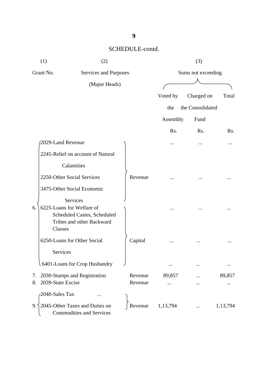|          | (1)<br>(2)                                                                                                          |                    |                    | (3)              |          |
|----------|---------------------------------------------------------------------------------------------------------------------|--------------------|--------------------|------------------|----------|
|          | Grant No.<br>Services and Purposes                                                                                  |                    | Sums not exceeding |                  |          |
|          | (Major Heads)                                                                                                       |                    |                    |                  |          |
|          |                                                                                                                     |                    | Voted by           | Charged on       | Total    |
|          |                                                                                                                     |                    | the                | the Consolidated |          |
|          |                                                                                                                     |                    | Assembly           | Fund             |          |
|          |                                                                                                                     |                    | Rs.                | Rs.              | Rs.      |
|          | 2029-Land Revenue                                                                                                   |                    | $\ddotsc$          |                  |          |
|          | 2245-Relief on account of Natural                                                                                   |                    |                    |                  |          |
|          | Calamities                                                                                                          |                    |                    |                  |          |
|          | 2250-Other Social Services                                                                                          | Revenue            |                    |                  |          |
|          | 3475-Other Social Economic                                                                                          |                    |                    |                  |          |
| 6.       | Services<br>6225-Loans for Welfare of<br><b>Scheduled Castes, Scheduled</b><br>Tribes and other Backward<br>Classes |                    |                    |                  |          |
|          | 6250-Loans for Other Social<br>Services                                                                             | Capital            |                    |                  |          |
|          | 6401-Loans for Crop Husbandry                                                                                       |                    |                    |                  |          |
| 7.<br>8. | 2030-Stamps and Registration<br>2039-State Excise                                                                   | Revenue<br>Revenue | 89,857             |                  | 89,857   |
|          | 2040-Sales Tax                                                                                                      |                    |                    |                  |          |
| 9.       | 2045-Other Taxes and Duties on<br><b>Commodities and Services</b>                                                   | Revenue            | 1,13,794           |                  | 1,13,794 |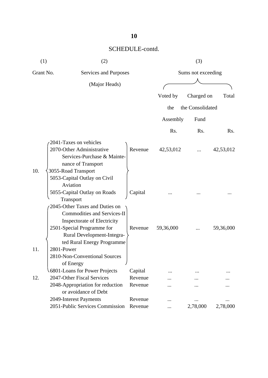| (1)       | (2)                                                                                                 |           | (3)                |           |  |  |
|-----------|-----------------------------------------------------------------------------------------------------|-----------|--------------------|-----------|--|--|
| Grant No. | Services and Purposes                                                                               |           | Sums not exceeding |           |  |  |
|           | (Major Heads)                                                                                       |           |                    |           |  |  |
|           |                                                                                                     | Voted by  | Charged on         | Total     |  |  |
|           |                                                                                                     | the       | the Consolidated   |           |  |  |
|           |                                                                                                     | Assembly  | Fund               |           |  |  |
|           |                                                                                                     | Rs.       | Rs.                | Rs.       |  |  |
|           | 2041-Taxes on vehicles                                                                              |           |                    |           |  |  |
|           | 2070-Other Administrative<br>Revenue<br>Services-Purchase & Mainte-                                 | 42,53,012 |                    | 42,53,012 |  |  |
| 10.       | nance of Transport<br>3055-Road Transport<br>5053-Capital Outlay on Civil                           |           |                    |           |  |  |
|           | Aviation<br>5055-Capital Outlay on Roads<br>Capital<br>Transport                                    |           |                    |           |  |  |
|           | 2045-Other Taxes and Duties on<br><b>Commodities and Services-II</b><br>Inspectorate of Electricity |           |                    |           |  |  |
|           | 2501-Special Programme for<br>Revenue<br>Rural Development-Integra-                                 | 59,36,000 |                    | 59,36,000 |  |  |
| 11.       | ted Rural Energy Programme<br>2801-Power<br>2810-Non-Conventional Sources                           |           |                    |           |  |  |
|           | of Energy<br>6801-Loans for Power Projects<br>Capital                                               |           |                    |           |  |  |
| 12.       | 2047-Other Fiscal Services<br>Revenue                                                               |           |                    |           |  |  |
|           | 2048-Appropriation for reduction<br>Revenue<br>or avoidance of Debt                                 |           |                    |           |  |  |
|           | 2049-Interest Payments<br>Revenue                                                                   |           |                    |           |  |  |
|           | 2051-Public Services Commission<br>Revenue                                                          |           | 2,78,000           | 2,78,000  |  |  |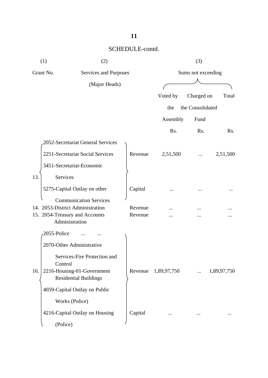|     | (1)                                                        | (2)                          |         |             | (3)                |             |  |  |
|-----|------------------------------------------------------------|------------------------------|---------|-------------|--------------------|-------------|--|--|
|     | Grant No.                                                  | Services and Purposes        |         |             | Sums not exceeding |             |  |  |
|     |                                                            | (Major Heads)                |         |             |                    |             |  |  |
|     |                                                            |                              |         | Voted by    | Charged on         | Total       |  |  |
|     |                                                            |                              |         | the         | the Consolidated   |             |  |  |
|     |                                                            |                              |         | Assembly    | Fund               |             |  |  |
|     |                                                            |                              |         | Rs.         | Rs.                | Rs.         |  |  |
|     | 2052-Secretariat General Services                          |                              |         |             |                    |             |  |  |
|     | 2251-Secretariat Social Services                           |                              | Revenue | 2,51,500    |                    | 2,51,500    |  |  |
|     | 3451-Secretariat-Economic                                  |                              |         |             |                    |             |  |  |
| 13. | Services                                                   |                              |         |             |                    |             |  |  |
|     | 5275-Capital Outlay on other                               |                              | Capital |             |                    |             |  |  |
|     | <b>Communication Services</b>                              |                              |         |             |                    |             |  |  |
|     | 14. 2053-District Administration                           |                              | Revenue |             |                    |             |  |  |
|     | 15. 2054-Treasury and Accounts<br>Administration           |                              | Revenue |             |                    |             |  |  |
|     | 2055-Police                                                |                              |         |             |                    |             |  |  |
|     | 2070-Other Administrative                                  |                              |         |             |                    |             |  |  |
|     | Control                                                    | Services-Fire Protection and |         |             |                    |             |  |  |
| 16. | 2216-Housing-01-Government<br><b>Residential Buildings</b> |                              | Revenue | 1,89,97,750 |                    | 1,89,97,750 |  |  |
|     | 4059-Capital Outlay on Public                              |                              |         |             |                    |             |  |  |
|     | Works (Police)                                             |                              |         |             |                    |             |  |  |
|     | 4216-Capital Outlay on Housing                             |                              | Capital |             |                    |             |  |  |
|     | (Police)                                                   |                              |         |             |                    |             |  |  |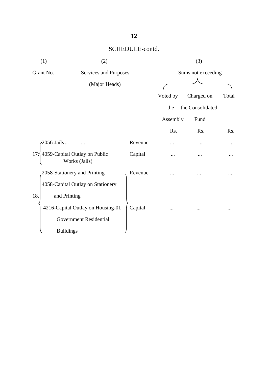| (1)                 | (2)                                                            |         |          | (3)                |       |  |
|---------------------|----------------------------------------------------------------|---------|----------|--------------------|-------|--|
| Grant No.           | Services and Purposes                                          |         |          | Sums not exceeding |       |  |
|                     | (Major Heads)                                                  |         |          |                    |       |  |
|                     |                                                                |         | Voted by | Charged on         | Total |  |
|                     |                                                                |         | the      | the Consolidated   |       |  |
|                     |                                                                |         | Assembly | Fund               |       |  |
|                     |                                                                |         | Rs.      | Rs.                | Rs.   |  |
| $-2056$ -Jails      | $\cdots$                                                       | Revenue |          |                    |       |  |
|                     | $17\frac{1}{2}$ 4059-Capital Outlay on Public<br>Works (Jails) | Capital |          |                    |       |  |
|                     | 2058-Stationery and Printing                                   | Revenue |          |                    |       |  |
|                     | 4058-Capital Outlay on Stationery                              |         |          |                    |       |  |
| 18.<br>and Printing |                                                                |         |          |                    |       |  |
|                     | 4216-Capital Outlay on Housing-01                              | Capital |          |                    |       |  |
|                     | <b>Government Residential</b>                                  |         |          |                    |       |  |
| <b>Buildings</b>    |                                                                |         |          |                    |       |  |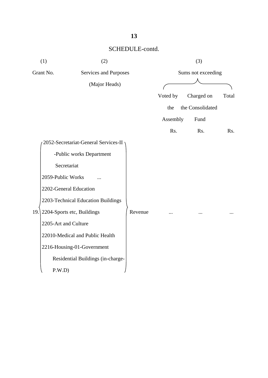| (1)<br>(2) |                                      |         | (3)                |                  |       |  |
|------------|--------------------------------------|---------|--------------------|------------------|-------|--|
|            | Grant No.<br>Services and Purposes   |         | Sums not exceeding |                  |       |  |
|            | (Major Heads)                        |         |                    |                  |       |  |
|            |                                      |         | Voted by           | Charged on       | Total |  |
|            |                                      |         | the                | the Consolidated |       |  |
|            |                                      |         | Assembly           | Fund             |       |  |
|            |                                      |         | Rs.                | Rs.              | Rs.   |  |
|            | 2052-Secretariat-General Services-II |         |                    |                  |       |  |
|            | -Public works Department             |         |                    |                  |       |  |
|            | Secretariat                          |         |                    |                  |       |  |
|            | 2059-Public Works                    |         |                    |                  |       |  |
|            | 2202-General Education               |         |                    |                  |       |  |
|            | 2203-Technical Education Buildings   |         |                    |                  |       |  |
| 19.        | 2204-Sports etc, Buildings           | Revenue |                    |                  |       |  |
|            | 2205-Art and Culture                 |         |                    |                  |       |  |
|            | 22010-Medical and Public Health      |         |                    |                  |       |  |
|            | 2216-Housing-01-Government           |         |                    |                  |       |  |
|            | Residential Buildings (in-charge-    |         |                    |                  |       |  |
|            | P.W.D                                |         |                    |                  |       |  |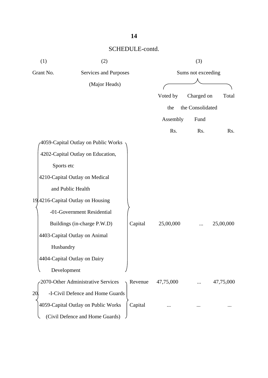| (1) | (2)                                 |         |                    | (3)              |           |  |
|-----|-------------------------------------|---------|--------------------|------------------|-----------|--|
|     | Grant No.<br>Services and Purposes  |         | Sums not exceeding |                  |           |  |
|     | (Major Heads)                       |         |                    |                  |           |  |
|     |                                     |         | Voted by           | Charged on       | Total     |  |
|     |                                     |         | the                | the Consolidated |           |  |
|     |                                     |         | Assembly           | Fund             |           |  |
|     |                                     |         | Rs.                | Rs.              | Rs.       |  |
|     | 4059-Capital Outlay on Public Works |         |                    |                  |           |  |
|     | 4202-Capital Outlay on Education,   |         |                    |                  |           |  |
|     | Sports etc                          |         |                    |                  |           |  |
|     | 4210-Capital Outlay on Medical      |         |                    |                  |           |  |
|     | and Public Health                   |         |                    |                  |           |  |
|     | 19.4216-Capital Outlay on Housing   |         |                    |                  |           |  |
|     | -01-Government Residential          |         |                    |                  |           |  |
|     | Buildings (in-charge P.W.D)         | Capital | 25,00,000          |                  | 25,00,000 |  |
|     | 4403-Capital Outlay on Animal       |         |                    |                  |           |  |
|     | Husbandry                           |         |                    |                  |           |  |
|     | 4404-Capital Outlay on Dairy        |         |                    |                  |           |  |
|     | Development                         |         |                    |                  |           |  |
|     | 2070-Other Administrative Services  | Revenue | 47,75,000          |                  | 47,75,000 |  |
| 20  | -I-Civil Defence and Home Guards    |         |                    |                  |           |  |
|     | 4059-Capital Outlay on Public Works | Capital |                    |                  |           |  |
|     | (Civil Defence and Home Guards)     |         |                    |                  |           |  |

## **14**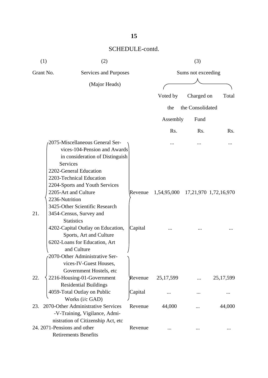|     | (1)                                                               | (2)                                                                                                                            |         |                                   | (3)              |             |  |
|-----|-------------------------------------------------------------------|--------------------------------------------------------------------------------------------------------------------------------|---------|-----------------------------------|------------------|-------------|--|
|     | Grant No.                                                         | Services and Purposes                                                                                                          |         | Sums not exceeding                |                  |             |  |
|     |                                                                   | (Major Heads)                                                                                                                  |         |                                   |                  |             |  |
|     |                                                                   |                                                                                                                                |         | Voted by                          | Charged on       | Total       |  |
|     |                                                                   |                                                                                                                                |         | the                               | the Consolidated |             |  |
|     |                                                                   |                                                                                                                                |         | Assembly                          | Fund             |             |  |
|     |                                                                   |                                                                                                                                |         |                                   |                  |             |  |
|     |                                                                   |                                                                                                                                |         | Rs.                               | Rs.              | Rs.         |  |
|     | <b>Services</b><br>2202-General Education                         | 2075-Miscellaneous General Ser-<br>vices-104-Pension and Awards<br>in consideration of Distinguish<br>2203-Technical Education |         |                                   |                  |             |  |
| 21. | 2205-Art and Culture<br>2236-Nutrition<br>3454-Census, Survey and | 2204-Sports and Youth Services<br>3425-Other Scientific Research                                                               | Revenue | 1,54,95,000 17,21,970 1,72,16,970 |                  |             |  |
|     | <b>Statistics</b>                                                 | 4202-Capital Outlay on Education,<br>Sports, Art and Culture<br>6202-Loans for Education, Art<br>and Culture                   | Capital |                                   |                  |             |  |
|     |                                                                   | 2070-Other Administrative Ser-<br>vices-IV-Guest Houses,<br>Government Hostels, etc                                            |         |                                   |                  |             |  |
| 22. |                                                                   | 2216-Housing-01-Government                                                                                                     | Revenue | 25, 17, 599                       |                  | 25, 17, 599 |  |
|     |                                                                   | <b>Residential Buildings</b><br>4059-Total Outlay on Public<br>Works (i/c GAD)                                                 | Capital |                                   |                  |             |  |
| 23. |                                                                   | 2070-Other Administrative Services                                                                                             | Revenue | 44,000                            |                  | 44,000      |  |
|     | 24. 2071-Pensions and other                                       | -V-Training, Vigilance, Admi-<br>nistration of Citizenship Act, etc                                                            | Revenue |                                   |                  |             |  |
|     | <b>Retirements Benefits</b>                                       |                                                                                                                                |         |                                   |                  |             |  |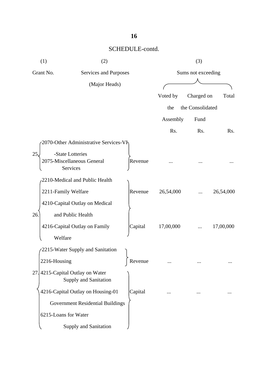|     | (1)                          | (2)                                                      |         | (3)                |                  |           |
|-----|------------------------------|----------------------------------------------------------|---------|--------------------|------------------|-----------|
|     | Grant No.                    | Services and Purposes                                    |         | Sums not exceeding |                  |           |
|     |                              | (Major Heads)                                            |         |                    |                  |           |
|     |                              |                                                          |         | Voted by           | Charged on       | Total     |
|     |                              |                                                          |         | the                | the Consolidated |           |
|     |                              |                                                          |         | Assembly           | Fund             |           |
|     |                              |                                                          |         | Rs.                | Rs.              | Rs.       |
|     |                              | 2070-Other Administrative Services-VI                    |         |                    |                  |           |
| 25, | -State Lotteries<br>Services | 2075-Miscellaneous General                               | Revenue |                    |                  |           |
|     |                              | 2210-Medical and Public Health                           |         |                    |                  |           |
|     | 2211-Family Welfare          |                                                          | Revenue | 26,54,000          |                  | 26,54,000 |
|     |                              | 4210-Capital Outlay on Medical                           |         |                    |                  |           |
| 26. |                              | and Public Health                                        |         |                    |                  |           |
|     |                              | 4216-Capital Outlay on Family                            | Capital | 17,00,000          |                  | 17,00,000 |
|     | Welfare                      |                                                          |         |                    |                  |           |
|     |                              | 2215-Water Supply and Sanitation                         |         |                    |                  |           |
|     | 2216-Housing                 |                                                          | Revenue |                    |                  |           |
|     |                              | 27.4215-Capital Outlay on Water<br>Supply and Sanitation |         |                    |                  |           |
|     |                              | 4216-Capital Outlay on Housing-01                        | Capital | $\cdots$           |                  |           |
|     |                              | Government Residential Buildings                         |         |                    |                  |           |
|     | 6215-Loans for Water         |                                                          |         |                    |                  |           |
|     |                              | Supply and Sanitation                                    |         |                    |                  |           |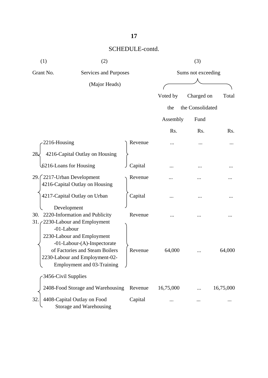|     | (2)<br>(1)                                                                                                                                                                       |         |                    |           | (3)              |           |
|-----|----------------------------------------------------------------------------------------------------------------------------------------------------------------------------------|---------|--------------------|-----------|------------------|-----------|
|     | Grant No.<br>Services and Purposes                                                                                                                                               |         | Sums not exceeding |           |                  |           |
|     | (Major Heads)                                                                                                                                                                    |         |                    |           |                  |           |
|     |                                                                                                                                                                                  |         |                    | Voted by  | Charged on       | Total     |
|     |                                                                                                                                                                                  |         |                    | the       | the Consolidated |           |
|     |                                                                                                                                                                                  |         |                    | Assembly  | Fund             |           |
|     |                                                                                                                                                                                  |         |                    | Rs.       | Rs.              | Rs.       |
|     | 2216-Housing                                                                                                                                                                     | Revenue |                    |           |                  |           |
| 28. | 4216-Capital Outlay on Housing                                                                                                                                                   |         |                    |           |                  |           |
|     | 6216-Loans for Housing                                                                                                                                                           | Capital |                    |           |                  |           |
|     | 29. 2217-Urban Development<br>4216-Capital Outlay on Housing                                                                                                                     | Revenue |                    |           |                  |           |
|     | 4217-Capital Outlay on Urban                                                                                                                                                     | Capital |                    |           |                  |           |
| 30. | Development<br>2220-Information and Publicity<br>31. $\angle$ 2230-Labour and Employment                                                                                         | Revenue |                    |           |                  |           |
|     | -01-Labour<br>2230-Labour and Employment<br>-01-Labour-(A)-Inspectorate<br>of Factories and Steam Boilers<br>2230-Labour and Employment-02-<br><b>Employment and 03-Training</b> | Revenue |                    | 64,000    |                  | 64,000    |
|     | 3456-Civil Supplies                                                                                                                                                              |         |                    |           |                  |           |
|     | 2408-Food Storage and Warehousing                                                                                                                                                | Revenue |                    | 16,75,000 |                  | 16,75,000 |
| 32  | 4408-Capital Outlay on Food<br>Storage and Warehousing                                                                                                                           | Capital |                    |           |                  |           |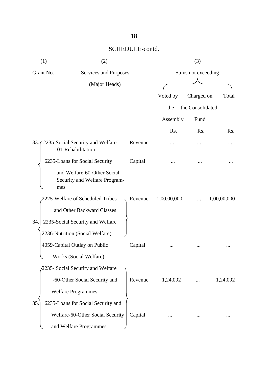| (1)                                | (2)                                                                 |                    |             | (3)              |             |
|------------------------------------|---------------------------------------------------------------------|--------------------|-------------|------------------|-------------|
| Grant No.<br>Services and Purposes |                                                                     | Sums not exceeding |             |                  |             |
|                                    | (Major Heads)                                                       |                    |             |                  |             |
|                                    |                                                                     |                    | Voted by    | Charged on       | Total       |
|                                    |                                                                     |                    | the         | the Consolidated |             |
|                                    |                                                                     |                    | Assembly    | Fund             |             |
|                                    |                                                                     |                    | Rs.         | Rs.              | Rs.         |
| 33.1                               | 2235-Social Security and Welfare<br>-01-Rehabilitation              | Revenue            |             |                  |             |
|                                    | 6235-Loans for Social Security                                      | Capital            |             |                  |             |
|                                    | and Welfare-60-Other Social<br>Security and Welfare Program-<br>mes |                    |             |                  |             |
|                                    | 2225-Welfare of Scheduled Tribes                                    | Revenue            | 1,00,00,000 |                  | 1,00,00,000 |
|                                    | and Other Backward Classes                                          |                    |             |                  |             |
| 34.                                | 2235-Social Security and Welfare                                    |                    |             |                  |             |
|                                    | 2236-Nutrition (Social Welfare)                                     |                    |             |                  |             |
|                                    | 4059-Capital Outlay on Public                                       | Capital            |             |                  |             |
|                                    | Works (Social Welfare)                                              |                    |             |                  |             |
|                                    | 2235- Social Security and Welfare                                   |                    |             |                  |             |
|                                    | -60-Other Social Security and                                       | Revenue            | 1,24,092    |                  | 1,24,092    |
|                                    | <b>Welfare Programmes</b>                                           |                    |             |                  |             |
| 35.                                | 6235-Loans for Social Security and                                  |                    |             |                  |             |
|                                    | Welfare-60-Other Social Security                                    | Capital            |             |                  |             |
|                                    | and Welfare Programmes                                              |                    |             |                  |             |

#### **18**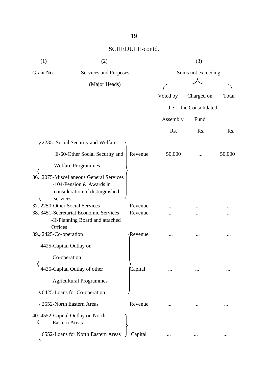| (1)                            | (2)                                                                                               |                |                    | (3)              |        |  |
|--------------------------------|---------------------------------------------------------------------------------------------------|----------------|--------------------|------------------|--------|--|
| Grant No.                      | Services and Purposes                                                                             |                | Sums not exceeding |                  |        |  |
|                                | (Major Heads)                                                                                     |                |                    |                  |        |  |
|                                |                                                                                                   |                | Voted by           | Charged on       | Total  |  |
|                                |                                                                                                   |                | the                | the Consolidated |        |  |
|                                |                                                                                                   |                | Assembly           | Fund             |        |  |
|                                |                                                                                                   |                | Rs.                | Rs.              | Rs.    |  |
|                                | 2235- Social Security and Welfare                                                                 |                |                    |                  |        |  |
|                                | E-60-Other Social Security and                                                                    | Revenue        | 50,000             |                  | 50,000 |  |
|                                | <b>Welfare Programmes</b>                                                                         |                |                    |                  |        |  |
| 36<br>services                 | 2075-Miscellaneous General Services<br>-104-Pension & Awards in<br>consideration of distinguished |                |                    |                  |        |  |
| 37. 2250-Other Social Services |                                                                                                   | Revenue        |                    |                  |        |  |
| Offices                        | 38. 3451-Secretariat Economic Services<br>-II-Planning Board and attached                         | Revenue        |                    |                  |        |  |
| 39. (2425-Co-operation         |                                                                                                   | <b>Revenue</b> |                    |                  |        |  |
| 4425-Capital Outlay on         |                                                                                                   |                |                    |                  |        |  |
| Co-operation                   |                                                                                                   |                |                    |                  |        |  |
|                                | 4435-Capital Outlay of other                                                                      | Capital        |                    |                  |        |  |
|                                | <b>Agricultural Programmes</b>                                                                    |                |                    |                  |        |  |
|                                | 6425-Loans for Co-operation                                                                       |                |                    |                  |        |  |
|                                | -2552-North Eastern Areas                                                                         | Revenue        |                    |                  |        |  |
|                                | 40. 4552-Capital Outlay on North<br><b>Eastern Areas</b>                                          |                |                    |                  |        |  |
|                                | 6552-Loans for North Eastern Areas                                                                | Capital        |                    |                  |        |  |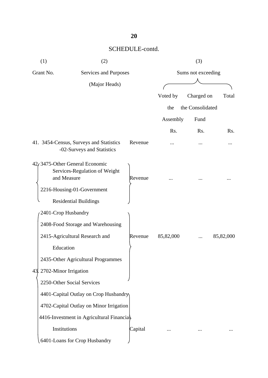| (1)                       | (2)                                                                   |         | (3)                |                  |           |  |
|---------------------------|-----------------------------------------------------------------------|---------|--------------------|------------------|-----------|--|
| Grant No.                 | Services and Purposes<br>(Major Heads)                                |         | Sums not exceeding |                  |           |  |
|                           |                                                                       |         |                    |                  |           |  |
|                           |                                                                       |         | Voted by           | Charged on       | Total     |  |
|                           |                                                                       |         | the                | the Consolidated |           |  |
|                           |                                                                       |         | Assembly           | Fund             |           |  |
|                           |                                                                       |         | Rs.                | Rs.              | Rs.       |  |
|                           | 41. 3454-Census, Surveys and Statistics<br>-02-Surveys and Statistics | Revenue |                    |                  |           |  |
| and Measure               | $42f$ 3475-Other General Economic<br>Services-Regulation of Weight    | Revenue |                    |                  |           |  |
|                           | 2216-Housing-01-Government                                            |         |                    |                  |           |  |
|                           | <b>Residential Buildings</b>                                          |         |                    |                  |           |  |
| 2401-Crop Husbandry       |                                                                       |         |                    |                  |           |  |
|                           | 2408-Food Storage and Warehousing                                     |         |                    |                  |           |  |
|                           | 2415-Agricultural Research and                                        | Revenue | 85,82,000          |                  | 85,82,000 |  |
| Education                 |                                                                       |         |                    |                  |           |  |
|                           | 2435-Other Agricultural Programmes                                    |         |                    |                  |           |  |
| 43. 2702-Minor Irrigation |                                                                       |         |                    |                  |           |  |
|                           | 2250-Other Social Services                                            |         |                    |                  |           |  |
|                           | 4401-Capital Outlay on Crop Husbandry                                 |         |                    |                  |           |  |
|                           | 4702-Capital Outlay on Minor Irrigation                               |         |                    |                  |           |  |
|                           | 4416-Investment in Agricultural Financial                             |         |                    |                  |           |  |
| Institutions              |                                                                       | Capital |                    |                  |           |  |
|                           | 6401-Loans for Crop Husbandry                                         |         |                    |                  |           |  |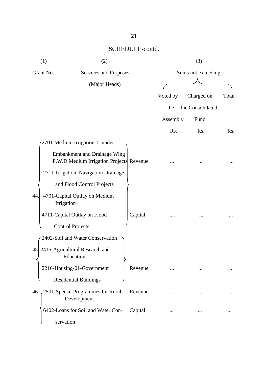| (1)                                | (2)                                                                             |         |                    | (3)              |       |  |
|------------------------------------|---------------------------------------------------------------------------------|---------|--------------------|------------------|-------|--|
| Grant No.<br>Services and Purposes |                                                                                 |         | Sums not exceeding |                  |       |  |
|                                    | (Major Heads)                                                                   |         |                    |                  |       |  |
|                                    |                                                                                 |         | Voted by           | Charged on       | Total |  |
|                                    |                                                                                 |         | the                | the Consolidated |       |  |
|                                    |                                                                                 |         | Assembly           | Fund             |       |  |
|                                    |                                                                                 |         | Rs.                | Rs.              | Rs.   |  |
|                                    | 2701-Medium Irrigation-II-under                                                 |         |                    |                  |       |  |
|                                    | <b>Embankment and Drainage Wing</b><br>P.W.D Medium Irrigation Projects Revenue |         |                    |                  |       |  |
|                                    | 2711-Irrigation, Navigation Drainage                                            |         |                    |                  |       |  |
|                                    | and Flood Control Projects                                                      |         |                    |                  |       |  |
| 44.<br>Irrigation                  | 4701-Capital Outlay on Medium                                                   |         |                    |                  |       |  |
|                                    | 4711-Capital Outlay on Flood                                                    | Capital |                    |                  |       |  |
|                                    | <b>Control Projects</b>                                                         |         |                    |                  |       |  |
|                                    | 2402-Soil and Water Conservation                                                |         |                    |                  |       |  |
|                                    | 45 2415-Agricultural Research and<br>Education                                  |         |                    |                  |       |  |
|                                    | 2216-Housing-01-Government                                                      | Revenue |                    |                  |       |  |
|                                    | <b>Residential Buildings</b>                                                    |         |                    |                  |       |  |
|                                    | 46. $\frac{2501}{\text{Special Programs}}$ Frogrammes for Rural<br>Development  | Revenue |                    |                  |       |  |
|                                    | 6402-Loans for Soil and Water Con-                                              | Capital |                    |                  |       |  |
| servation                          |                                                                                 |         |                    |                  |       |  |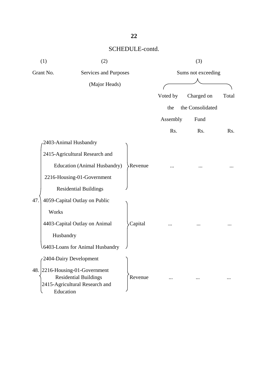| (1)<br>(2) |                                                     |                                                                                              | (3)                |          |                  |       |
|------------|-----------------------------------------------------|----------------------------------------------------------------------------------------------|--------------------|----------|------------------|-------|
|            | Grant No.<br>Services and Purposes<br>(Major Heads) |                                                                                              | Sums not exceeding |          |                  |       |
|            |                                                     |                                                                                              |                    | Voted by | Charged on       | Total |
|            |                                                     |                                                                                              |                    |          |                  |       |
|            |                                                     |                                                                                              |                    | the      | the Consolidated |       |
|            |                                                     |                                                                                              |                    | Assembly | Fund             |       |
|            |                                                     |                                                                                              |                    | Rs.      | Rs.              | Rs.   |
|            | 2403-Animal Husbandry                               |                                                                                              |                    |          |                  |       |
|            |                                                     | 2415-Agricultural Research and                                                               |                    |          |                  |       |
|            |                                                     | <b>Education (Animal Husbandry)</b>                                                          | Revenue            |          |                  |       |
|            |                                                     | 2216-Housing-01-Government                                                                   |                    |          |                  |       |
|            |                                                     | <b>Residential Buildings</b>                                                                 |                    |          |                  |       |
| 47.        |                                                     | 4059-Capital Outlay on Public                                                                |                    |          |                  |       |
|            | Works                                               |                                                                                              |                    |          |                  |       |
|            |                                                     | 4403-Capital Outlay on Animal                                                                | Capital            |          |                  |       |
|            | Husbandry                                           |                                                                                              |                    |          |                  |       |
|            |                                                     | 6403-Loans for Animal Husbandry                                                              |                    |          |                  |       |
|            | $\sqrt{2404}$ -Dairy Development                    |                                                                                              |                    |          |                  |       |
| 48.        | Education                                           | 2216-Housing-01-Government<br><b>Residential Buildings</b><br>2415-Agricultural Research and | Revenue            |          | $\cdots$         |       |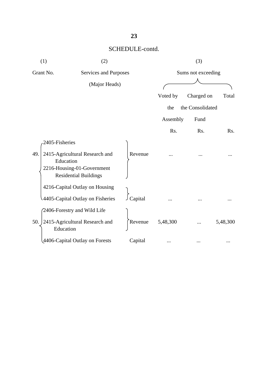|           | (1)                                                                                                       | (2)           |                       | (3)      |                    |          |  |  |
|-----------|-----------------------------------------------------------------------------------------------------------|---------------|-----------------------|----------|--------------------|----------|--|--|
| Grant No. |                                                                                                           |               | Services and Purposes |          | Sums not exceeding |          |  |  |
|           |                                                                                                           | (Major Heads) |                       |          |                    |          |  |  |
|           |                                                                                                           |               |                       | Voted by | Charged on         | Total    |  |  |
|           |                                                                                                           |               |                       | the      | the Consolidated   |          |  |  |
|           |                                                                                                           |               |                       | Assembly | Fund               |          |  |  |
|           |                                                                                                           |               |                       | Rs.      | Rs.                | Rs.      |  |  |
|           | 2405-Fisheries                                                                                            |               |                       |          |                    |          |  |  |
| 49.       | 2415-Agricultural Research and<br>Education<br>2216-Housing-01-Government<br><b>Residential Buildings</b> |               | Revenue               |          |                    |          |  |  |
|           | 4216-Capital Outlay on Housing                                                                            |               |                       |          |                    |          |  |  |
|           | 4405-Capital Outlay on Fisheries                                                                          |               | Capital               |          |                    |          |  |  |
|           | 2406-Forestry and Wild Life                                                                               |               |                       |          |                    |          |  |  |
| 50.       | 2415-Agricultural Research and<br>Education                                                               |               | Revenue               | 5,48,300 |                    | 5,48,300 |  |  |
|           | 4406-Capital Outlay on Forests                                                                            |               | Capital               |          |                    |          |  |  |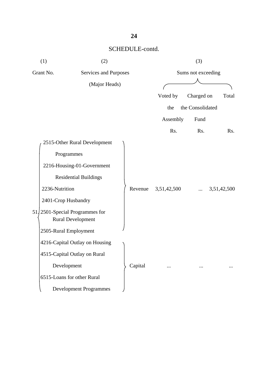| (1)                                | (2)                                                           |  |         |             | (3)                |             |
|------------------------------------|---------------------------------------------------------------|--|---------|-------------|--------------------|-------------|
| Grant No.<br>Services and Purposes |                                                               |  |         |             | Sums not exceeding |             |
|                                    | (Major Heads)                                                 |  |         |             |                    |             |
|                                    |                                                               |  |         | Voted by    | Charged on         | Total       |
|                                    |                                                               |  |         | the         | the Consolidated   |             |
|                                    |                                                               |  |         | Assembly    | Fund               |             |
|                                    |                                                               |  |         | Rs.         | Rs.                | Rs.         |
|                                    | 2515-Other Rural Development                                  |  |         |             |                    |             |
|                                    | Programmes                                                    |  |         |             |                    |             |
|                                    | 2216-Housing-01-Government                                    |  |         |             |                    |             |
|                                    | <b>Residential Buildings</b>                                  |  |         |             |                    |             |
|                                    | 2236-Nutrition                                                |  | Revenue | 3,51,42,500 |                    | 3,51,42,500 |
|                                    | 2401-Crop Husbandry                                           |  |         |             |                    |             |
|                                    | $51/2501$ -Special Programmes for<br><b>Rural Development</b> |  |         |             |                    |             |
|                                    | 2505-Rural Employment                                         |  |         |             |                    |             |
|                                    | 4216-Capital Outlay on Housing                                |  |         |             |                    |             |
|                                    | 4515-Capital Outlay on Rural                                  |  |         |             |                    |             |
|                                    | Development                                                   |  | Capital |             |                    |             |
|                                    | 6515-Loans for other Rural                                    |  |         |             |                    |             |
|                                    | <b>Development Programmes</b>                                 |  |         |             |                    |             |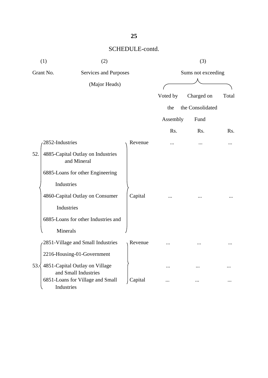| (1)<br>(2) |                                                        |                       | (3)      |                    |       |  |  |
|------------|--------------------------------------------------------|-----------------------|----------|--------------------|-------|--|--|
|            | Grant No.                                              | Services and Purposes |          | Sums not exceeding |       |  |  |
|            | (Major Heads)                                          |                       |          |                    |       |  |  |
|            |                                                        |                       | Voted by | Charged on         | Total |  |  |
|            |                                                        |                       | the      | the Consolidated   |       |  |  |
|            |                                                        |                       | Assembly | Fund               |       |  |  |
|            |                                                        |                       | Rs.      | Rs.                | Rs.   |  |  |
|            | 2852-Industries                                        | Revenue               |          |                    |       |  |  |
| 52.        | 4885-Capital Outlay on Industries<br>and Mineral       |                       |          |                    |       |  |  |
|            | 6885-Loans for other Engineering                       |                       |          |                    |       |  |  |
|            | Industries                                             |                       |          |                    |       |  |  |
|            | 4860-Capital Outlay on Consumer                        | Capital               |          |                    |       |  |  |
|            | Industries                                             |                       |          |                    |       |  |  |
|            | 6885-Loans for other Industries and                    |                       |          |                    |       |  |  |
|            | <b>Minerals</b>                                        |                       |          |                    |       |  |  |
|            | 2851-Village and Small Industries                      | Revenue               |          |                    |       |  |  |
|            | 2216-Housing-01-Government                             |                       |          |                    |       |  |  |
| 53.        | 4851-Capital Outlay on Village<br>and Small Industries |                       |          |                    |       |  |  |
|            | 6851-Loans for Village and Small<br>Industries         | Capital               |          |                    |       |  |  |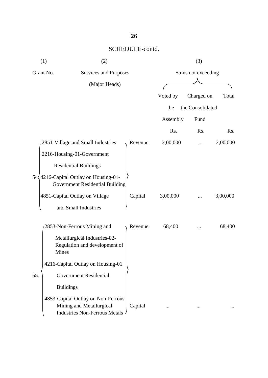|     | (1)<br>(2)                                                                                             |          | (3)                |                  |          |  |
|-----|--------------------------------------------------------------------------------------------------------|----------|--------------------|------------------|----------|--|
|     | Grant No.<br>Services and Purposes                                                                     |          | Sums not exceeding |                  |          |  |
|     | (Major Heads)                                                                                          |          |                    |                  |          |  |
|     |                                                                                                        | Voted by | Charged on         | Total            |          |  |
|     |                                                                                                        |          | the                | the Consolidated |          |  |
|     |                                                                                                        |          | Assembly           | Fund             |          |  |
|     |                                                                                                        |          | Rs.                | Rs.              | Rs.      |  |
|     | 2851-Village and Small Industries                                                                      | Revenue  | 2,00,000           |                  | 2,00,000 |  |
|     | 2216-Housing-01-Government                                                                             |          |                    |                  |          |  |
|     | <b>Residential Buildings</b>                                                                           |          |                    |                  |          |  |
|     | 54\4216-Capital Outlay on Housing-01-<br>Government Residential Building                               |          |                    |                  |          |  |
|     | 4851-Capital Outlay on Village                                                                         | Capital  | 3,00,000           |                  | 3,00,000 |  |
|     | and Small Industries                                                                                   |          |                    |                  |          |  |
|     | 2853-Non-Ferrous Mining and                                                                            | Revenue  | 68,400             |                  | 68,400   |  |
|     | Metallurgical Industries-02-<br>Regulation and development of<br>Mines                                 |          |                    |                  |          |  |
|     | 4216-Capital Outlay on Housing-01                                                                      |          |                    |                  |          |  |
| 55. | <b>Government Residential</b>                                                                          |          |                    |                  |          |  |
|     | <b>Buildings</b>                                                                                       |          |                    |                  |          |  |
|     | 4853-Capital Outlay on Non-Ferrous<br>Mining and Metallurgical<br><b>Industries Non-Ferrous Metals</b> | Capital  |                    |                  |          |  |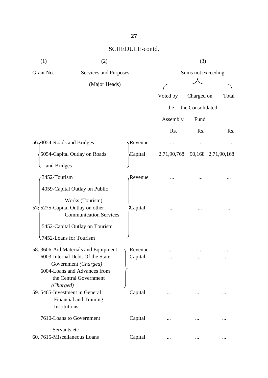| (1)<br>(2)                                     |                                                                                                                    |         | (3)<br>Sums not exceeding |                  |             |  |
|------------------------------------------------|--------------------------------------------------------------------------------------------------------------------|---------|---------------------------|------------------|-------------|--|
| Grant No.<br>Services and Purposes             |                                                                                                                    |         |                           |                  |             |  |
|                                                | (Major Heads)                                                                                                      |         |                           |                  |             |  |
|                                                |                                                                                                                    |         | Voted by                  | Charged on       | Total       |  |
|                                                |                                                                                                                    |         | the                       | the Consolidated |             |  |
|                                                |                                                                                                                    |         | Assembly                  | Fund             |             |  |
|                                                |                                                                                                                    |         |                           |                  |             |  |
|                                                |                                                                                                                    |         | Rs.                       | Rs.              | Rs.         |  |
| 56. 3054-Roads and Bridges                     |                                                                                                                    | Revenue |                           |                  |             |  |
|                                                | 5054-Capital Outlay on Roads                                                                                       | Capital | 2,71,90,768               | 90,168           | 2,71,90,168 |  |
| and Bridges                                    |                                                                                                                    |         |                           |                  |             |  |
| 3452-Tourism                                   |                                                                                                                    | Revenue |                           |                  |             |  |
|                                                | 4059-Capital Outlay on Public                                                                                      |         |                           |                  |             |  |
|                                                | Works (Tourism)<br>57 5275 - Capital Outlay on other<br><b>Communication Services</b>                              | Capital |                           |                  |             |  |
| 7452-Loans for Tourism                         | 5452-Capital Outlay on Tourism                                                                                     |         |                           |                  |             |  |
|                                                |                                                                                                                    |         |                           |                  |             |  |
|                                                | 58. 3606-Aid Materials and Equipment                                                                               | Revenue |                           |                  |             |  |
| (Charged)                                      | 6003-Internal Debt. Of the State<br>Government (Charged)<br>6004-Loans and Advances from<br>the Central Government | Capital |                           |                  |             |  |
| 59. 5465-Investment in General<br>Institutions | <b>Financial and Training</b>                                                                                      | Capital |                           |                  |             |  |
|                                                | 7610-Loans to Government                                                                                           | Capital |                           |                  |             |  |
| Servants etc<br>60. 7615-Miscellaneous Loans   |                                                                                                                    | Capital |                           |                  |             |  |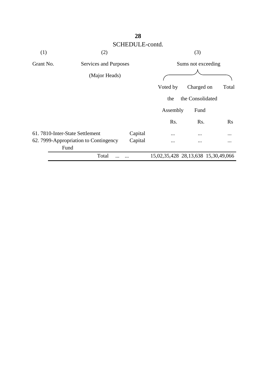| SCHEDULE-contd. |                                               |         |                                     |                  |          |  |  |
|-----------------|-----------------------------------------------|---------|-------------------------------------|------------------|----------|--|--|
| (1)             | (2)                                           |         | (3)                                 |                  |          |  |  |
| Grant No.       | Services and Purposes                         |         | Sums not exceeding                  |                  |          |  |  |
|                 | (Major Heads)                                 |         |                                     |                  |          |  |  |
|                 |                                               |         | Voted by                            | Charged on       | Total    |  |  |
|                 |                                               |         | the                                 | the Consolidated |          |  |  |
|                 |                                               |         | Assembly                            | Fund             |          |  |  |
|                 |                                               |         | R <sub>s</sub> .                    | Rs.              | $\rm Rs$ |  |  |
|                 | 61.7810-Inter-State Settlement                | Capital | $\cdots$                            | $\ddotsc$        | $\cdots$ |  |  |
|                 | 62. 7999-Appropriation to Contingency<br>Fund | Capital | $\cdots$                            | $\ddotsc$        | $\cdots$ |  |  |
|                 | Total                                         |         | 15,02,35,428 28,13,638 15,30,49,066 |                  |          |  |  |

## **28**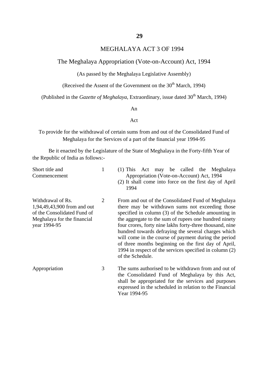#### MEGHALAYA ACT 3 OF 1994

#### The Meghalaya Appropriation (Vote-on-Account) Act, 1994

#### (As passed by the Meghalaya Legislative Assembly)

(Received the Assent of the Government on the  $30<sup>th</sup>$  March, 1994)

(Published in the *Gazette of Meghalaya*, Extraordinary, issue dated  $30<sup>th</sup>$  March, 1994)

#### An

#### Act

To provide for the withdrawal of certain sums from and out of the Consolidated Fund of Meghalaya for the Services of a part of the financial year 1994-95

Be it enacted by the Legislature of the State of Meghalaya in the Forty-fifth Year of the Republic of India as follows:-

| Short title and<br>Commencement                                                                                                | 1 | Act may be called the Meghalaya<br>$(1)$ This<br>Appropriation (Vote-on-Account) Act, 1994<br>(2) It shall come into force on the first day of April<br>1994                                                                                                                                                                                                                                                                                                                                                                             |
|--------------------------------------------------------------------------------------------------------------------------------|---|------------------------------------------------------------------------------------------------------------------------------------------------------------------------------------------------------------------------------------------------------------------------------------------------------------------------------------------------------------------------------------------------------------------------------------------------------------------------------------------------------------------------------------------|
| Withdrawal of Rs.<br>1,94,49,43,900 from and out<br>of the Consolidated Fund of<br>Meghalaya for the financial<br>year 1994-95 | 2 | From and out of the Consolidated Fund of Meghalaya<br>there may be withdrawn sums not exceeding those<br>specified in column (3) of the Schedule amounting in<br>the aggregate to the sum of rupees one hundred ninety<br>four crores, forty nine lakhs forty-three thousand, nine<br>hundred towards defraying the several charges which<br>will come in the course of payment during the period<br>of three months beginning on the first day of April,<br>1994 in respect of the services specified in column (2)<br>of the Schedule. |
| Appropriation                                                                                                                  | 3 | The sums authorised to be withdrawn from and out of<br>the Consolidated Fund of Meghalaya by this Act,<br>shall be appropriated for the services and purposes<br>expressed in the scheduled in relation to the Financial<br>Year 1994-95                                                                                                                                                                                                                                                                                                 |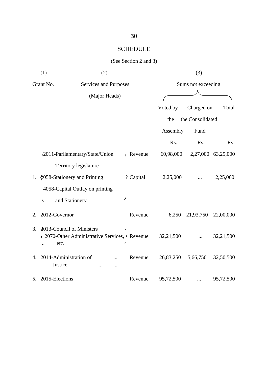## SCHEDULE

#### (See Section 2 and 3)

|                                                     | (1)<br>(2)                                     |                                                                                            | (3)                |                    |                             |                                        |                                |
|-----------------------------------------------------|------------------------------------------------|--------------------------------------------------------------------------------------------|--------------------|--------------------|-----------------------------|----------------------------------------|--------------------------------|
| Grant No.<br>Services and Purposes<br>(Major Heads) |                                                |                                                                                            | Sums not exceeding |                    |                             |                                        |                                |
|                                                     |                                                |                                                                                            |                    |                    | Voted by<br>the<br>Assembly | Charged on<br>the Consolidated<br>Fund | Total                          |
|                                                     |                                                |                                                                                            |                    |                    | Rs.                         | Rs.                                    | R <sub>s</sub> .               |
| 1.                                                  | 2058-Stationery and Printing<br>and Stationery | 2011-Parliamentary/State/Union<br>Territory legislature<br>4058-Capital Outlay on printing |                    | Revenue<br>Capital | 60,98,000<br>2,25,000       |                                        | 2,27,000 63,25,000<br>2,25,000 |
| 2.                                                  | 2012-Governor                                  |                                                                                            |                    | Revenue            | 6,250                       | 21,93,750                              | 22,00,000                      |
| 3.                                                  | 2013-Council of Ministers<br>etc.              | 2070-Other Administrative Services, Revenue                                                |                    |                    | 32,21,500                   |                                        | 32,21,500                      |
| 4.                                                  | 2014-Administration of<br>Justice              | .                                                                                          |                    | Revenue            | 26,83,250                   | 5,66,750                               | 32,50,500                      |
|                                                     | 5. 2015-Elections                              |                                                                                            |                    | Revenue            | 95,72,500                   | .                                      | 95,72,500                      |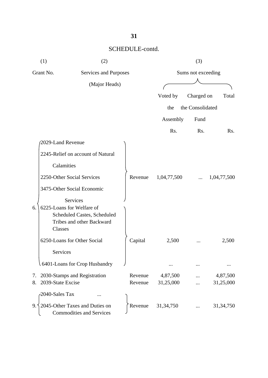|                                    | (1)<br>(2)                                                                                                          |                    | (3)<br>Sums not exceeding |                  |                       |  |
|------------------------------------|---------------------------------------------------------------------------------------------------------------------|--------------------|---------------------------|------------------|-----------------------|--|
| Grant No.<br>Services and Purposes |                                                                                                                     |                    |                           |                  |                       |  |
|                                    | (Major Heads)                                                                                                       |                    |                           |                  |                       |  |
|                                    |                                                                                                                     |                    | Voted by                  | Charged on       | Total                 |  |
|                                    |                                                                                                                     |                    | the                       | the Consolidated |                       |  |
|                                    |                                                                                                                     |                    | Assembly                  | Fund             |                       |  |
|                                    |                                                                                                                     |                    | Rs.                       | Rs.              | Rs.                   |  |
|                                    | 2029-Land Revenue                                                                                                   |                    |                           |                  |                       |  |
|                                    | 2245-Relief on account of Natural                                                                                   |                    |                           |                  |                       |  |
|                                    | Calamities                                                                                                          |                    |                           |                  |                       |  |
|                                    | 2250-Other Social Services                                                                                          | Revenue            | 1,04,77,500               |                  | 1,04,77,500           |  |
|                                    | 3475-Other Social Economic                                                                                          |                    |                           |                  |                       |  |
| 6.                                 | <b>Services</b><br>6225-Loans for Welfare of<br>Scheduled Castes, Scheduled<br>Tribes and other Backward<br>Classes |                    |                           |                  |                       |  |
|                                    | 6250-Loans for Other Social                                                                                         | Capital            | 2,500                     |                  | 2,500                 |  |
|                                    | Services                                                                                                            |                    |                           |                  |                       |  |
|                                    | 6401-Loans for Crop Husbandry                                                                                       |                    |                           |                  |                       |  |
| 7.<br>8.                           | 2030-Stamps and Registration<br>2039-State Excise                                                                   | Revenue<br>Revenue | 4,87,500<br>31,25,000     |                  | 4,87,500<br>31,25,000 |  |
|                                    | 2040-Sales Tax                                                                                                      |                    |                           |                  |                       |  |
| 9.                                 | 2045-Other Taxes and Duties on<br><b>Commodities and Services</b>                                                   | Revenue            | 31, 34, 750               |                  | 31, 34, 750           |  |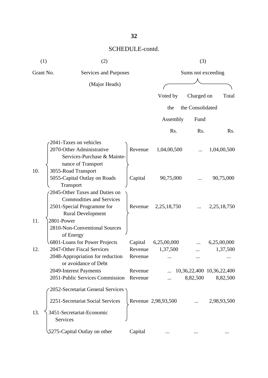| (1)       | (2)                                                                                |                    | (3)                 |                  |                           |  |
|-----------|------------------------------------------------------------------------------------|--------------------|---------------------|------------------|---------------------------|--|
| Grant No. | Services and Purposes                                                              | Sums not exceeding |                     |                  |                           |  |
|           | (Major Heads)                                                                      |                    |                     |                  |                           |  |
|           |                                                                                    |                    | Voted by            | Charged on       | Total                     |  |
|           |                                                                                    |                    | the                 | the Consolidated |                           |  |
|           |                                                                                    |                    | Assembly            | Fund             |                           |  |
|           |                                                                                    |                    | Rs.                 | Rs.              | Rs.                       |  |
|           |                                                                                    |                    |                     |                  |                           |  |
|           | 2041-Taxes on vehicles<br>2070-Other Administrative<br>Services-Purchase & Mainte- | Revenue            | 1,04,00,500         |                  | 1,04,00,500               |  |
|           | nance of Transport                                                                 |                    |                     |                  |                           |  |
| 10.       | 3055-Road Transport<br>5055-Capital Outlay on Roads                                | Capital            | 90,75,000           |                  | 90,75,000                 |  |
|           | Transport                                                                          |                    |                     |                  |                           |  |
|           | 2045-Other Taxes and Duties on<br><b>Commodities and Services</b>                  |                    |                     |                  |                           |  |
|           | 2501-Special Programme for                                                         | Revenue            | 2,25,18,750         |                  | 2,25,18,750               |  |
| 11.       | <b>Rural Development</b><br>2801-Power                                             |                    |                     |                  |                           |  |
|           | 2810-Non-Conventional Sources                                                      |                    |                     |                  |                           |  |
|           | of Energy                                                                          |                    |                     |                  |                           |  |
|           | 6801-Loans for Power Projects                                                      | Capital            | 6,25,00,000         |                  | 6,25,00,000               |  |
| 12.       | 2047-Other Fiscal Services                                                         | Revenue            | 1,37,500            |                  | 1,37,500                  |  |
|           | 2048-Appropriation for reduction<br>or avoidance of Debt                           | Revenue            |                     |                  |                           |  |
|           | 2049-Interest Payments                                                             | Revenue            |                     |                  | 10,36,22,400 10,36,22,400 |  |
|           | 2051-Public Services Commission Revenue                                            |                    |                     | 8,82,500         | 8,82,500                  |  |
|           | 2052-Secretariat General Services                                                  |                    |                     |                  |                           |  |
|           | 2251-Secretariat Social Services                                                   |                    | Revenue 2,98,93,500 |                  | 2,98,93,500               |  |
| 13.       | 3451-Secretariat-Economic<br>Services                                              |                    |                     |                  |                           |  |
|           | 5275-Capital Outlay on other                                                       | Capital            |                     |                  |                           |  |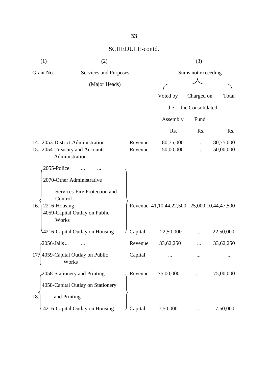|                                                     | (1)                                                                                                           | (2)                               |                                                     |                        | (3)              |                        |
|-----------------------------------------------------|---------------------------------------------------------------------------------------------------------------|-----------------------------------|-----------------------------------------------------|------------------------|------------------|------------------------|
| Grant No.<br>Services and Purposes<br>(Major Heads) |                                                                                                               |                                   |                                                     | Sums not exceeding     |                  |                        |
|                                                     |                                                                                                               |                                   |                                                     |                        |                  |                        |
|                                                     |                                                                                                               |                                   |                                                     | Voted by               | Charged on       | Total                  |
|                                                     |                                                                                                               |                                   |                                                     | the                    | the Consolidated |                        |
|                                                     |                                                                                                               |                                   |                                                     | Assembly               | Fund             |                        |
|                                                     |                                                                                                               |                                   |                                                     | Rs.                    | Rs.              | Rs.                    |
|                                                     | 14. 2053-District Administration<br>15. 2054-Treasury and Accounts<br>Administration                          |                                   | Revenue<br>Revenue                                  | 80,75,000<br>50,00,000 |                  | 80,75,000<br>50,00,000 |
| 16.                                                 | 2055-Police<br>2070-Other Administrative<br>Control<br>2216-Housing<br>4059-Capital Outlay on Public<br>Works | Services-Fire Protection and      | Revenue 41, 10, 44, 22, 500 25, 000 10, 44, 47, 500 |                        |                  |                        |
|                                                     | 4216-Capital Outlay on Housing                                                                                |                                   | Capital                                             | 22,50,000              |                  | 22,50,000              |
|                                                     | -2056-Jails                                                                                                   |                                   | Revenue                                             | 33,62,250              |                  | 33,62,250              |
|                                                     | 17.5 4059-Capital Outlay on Public<br>Works                                                                   |                                   | Capital                                             |                        |                  |                        |
|                                                     | 2058-Stationery and Printing                                                                                  |                                   | Revenue                                             | 75,00,000              |                  | 75,00,000              |
| 18.                                                 | and Printing                                                                                                  | 4058-Capital Outlay on Stationery |                                                     |                        |                  |                        |
|                                                     |                                                                                                               | 4216-Capital Outlay on Housing    | Capital                                             | 7,50,000               |                  | 7,50,000               |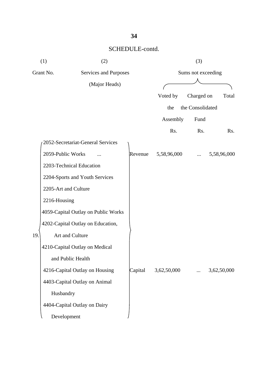| (1)<br>(2)                         |                                     |         | (3)         |                    |             |  |
|------------------------------------|-------------------------------------|---------|-------------|--------------------|-------------|--|
| Grant No.<br>Services and Purposes |                                     |         |             | Sums not exceeding |             |  |
|                                    | (Major Heads)                       |         |             |                    |             |  |
|                                    |                                     |         | Voted by    | Charged on         | Total       |  |
|                                    |                                     |         | the         | the Consolidated   |             |  |
|                                    |                                     |         | Assembly    | Fund               |             |  |
|                                    |                                     |         | Rs.         | Rs.                | Rs.         |  |
|                                    | 2052-Secretariat-General Services   |         |             |                    |             |  |
|                                    | 2059-Public Works                   | Revenue | 5,58,96,000 |                    | 5,58,96,000 |  |
|                                    | 2203-Technical Education            |         |             |                    |             |  |
|                                    | 2204-Sports and Youth Services      |         |             |                    |             |  |
|                                    | 2205-Art and Culture                |         |             |                    |             |  |
|                                    | 2216-Housing                        |         |             |                    |             |  |
|                                    | 4059-Capital Outlay on Public Works |         |             |                    |             |  |
|                                    | 4202-Capital Outlay on Education,   |         |             |                    |             |  |
| 19.                                | Art and Culture                     |         |             |                    |             |  |
|                                    | 4210-Capital Outlay on Medical      |         |             |                    |             |  |
|                                    | and Public Health                   |         |             |                    |             |  |
|                                    | 4216-Capital Outlay on Housing      | Capital | 3,62,50,000 |                    | 3,62,50,000 |  |
|                                    | 4403-Capital Outlay on Animal       |         |             |                    |             |  |
|                                    | Husbandry                           |         |             |                    |             |  |
|                                    | 4404-Capital Outlay on Dairy        |         |             |                    |             |  |
|                                    | Development                         |         |             |                    |             |  |

#### **34**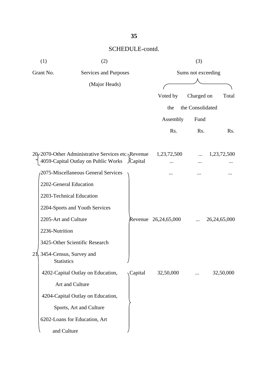|             | (1)<br>(2)                         |                                                     |         | (3)                  |                  |                 |  |  |  |
|-------------|------------------------------------|-----------------------------------------------------|---------|----------------------|------------------|-----------------|--|--|--|
|             | Grant No.<br>Services and Purposes |                                                     |         | Sums not exceeding   |                  |                 |  |  |  |
|             |                                    | (Major Heads)                                       |         |                      |                  |                 |  |  |  |
|             |                                    |                                                     |         | Voted by             | Charged on       | Total           |  |  |  |
|             |                                    |                                                     |         | the                  | the Consolidated |                 |  |  |  |
|             |                                    |                                                     |         | Assembly             | Fund             |                 |  |  |  |
|             |                                    |                                                     |         | Rs.                  | Rs.              | Rs.             |  |  |  |
|             |                                    | 20-2070-Other Administrative Services etc., Revenue |         | 1,23,72,500          | $\cdots$         | 1,23,72,500     |  |  |  |
|             |                                    | 4059-Capital Outlay on Public Works JCapital        |         |                      |                  |                 |  |  |  |
|             |                                    | 2075-Miscellaneous General Services                 |         |                      |                  |                 |  |  |  |
|             |                                    | 2202-General Education                              |         |                      |                  |                 |  |  |  |
|             |                                    | 2203-Technical Education                            |         |                      |                  |                 |  |  |  |
|             |                                    | 2204-Sports and Youth Services                      |         |                      |                  |                 |  |  |  |
|             | 2205-Art and Culture               |                                                     |         | Revenue 26,24,65,000 |                  | 26, 24, 65, 000 |  |  |  |
|             | 2236-Nutrition                     |                                                     |         |                      |                  |                 |  |  |  |
|             |                                    | 3425-Other Scientific Research                      |         |                      |                  |                 |  |  |  |
| $2^{\circ}$ | <b>Statistics</b>                  | 3454-Census, Survey and                             |         |                      |                  |                 |  |  |  |
|             |                                    | 4202-Capital Outlay on Education,                   | Capital | 32,50,000            |                  | 32,50,000       |  |  |  |
|             |                                    | Art and Culture                                     |         |                      |                  |                 |  |  |  |
|             |                                    | 4204-Capital Outlay on Education,                   |         |                      |                  |                 |  |  |  |
|             |                                    | Sports, Art and Culture                             |         |                      |                  |                 |  |  |  |
|             |                                    | 6202-Loans for Education, Art                       |         |                      |                  |                 |  |  |  |
|             | and Culture                        |                                                     |         |                      |                  |                 |  |  |  |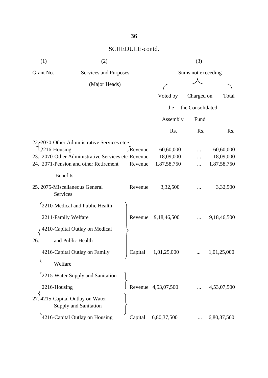|     | (1)                                        | (2)                                                |          |                     | (3)                |             |  |  |
|-----|--------------------------------------------|----------------------------------------------------|----------|---------------------|--------------------|-------------|--|--|
|     | Grant No.<br>Services and Purposes         |                                                    |          |                     | Sums not exceeding |             |  |  |
|     | (Major Heads)                              |                                                    |          |                     |                    |             |  |  |
|     |                                            |                                                    |          | Voted by            | Charged on         | Total       |  |  |
|     |                                            |                                                    |          | the                 | the Consolidated   |             |  |  |
|     |                                            |                                                    |          | Assembly            | Fund               |             |  |  |
|     |                                            |                                                    |          | Rs.                 | Rs.                | Rs.         |  |  |
|     |                                            | 22, 2070-Other Administrative Services etc         |          |                     |                    |             |  |  |
|     | 2216-Housing                               |                                                    | JRevenue | 60,60,000           |                    | 60,60,000   |  |  |
|     |                                            | 23. 2070-Other Administrative Services etc Revenue |          | 18,09,000           |                    | 18,09,000   |  |  |
|     |                                            | 24. 2071-Pension and other Retirement              | Revenue  | 1,87,58,750         |                    | 1,87,58,750 |  |  |
|     | <b>Benefits</b>                            |                                                    |          |                     |                    |             |  |  |
|     | 25. 2075-Miscellaneous General<br>Services |                                                    | Revenue  | 3,32,500            |                    | 3,32,500    |  |  |
|     |                                            | 2210-Medical and Public Health                     |          |                     |                    |             |  |  |
|     | 2211-Family Welfare                        |                                                    | Revenue  | 9,18,46,500         |                    | 9,18,46,500 |  |  |
|     |                                            | 4210-Capital Outlay on Medical                     |          |                     |                    |             |  |  |
| 26. | and Public Health                          |                                                    |          |                     |                    |             |  |  |
|     | 4216-Capital Outlay on Family              |                                                    | Capital  | 1,01,25,000         |                    | 1,01,25,000 |  |  |
|     | Welfare                                    |                                                    |          |                     |                    |             |  |  |
|     |                                            | 2215-Water Supply and Sanitation                   |          |                     |                    |             |  |  |
|     | 2216-Housing                               |                                                    |          | Revenue 4,53,07,500 |                    | 4,53,07,500 |  |  |
|     | 27. 4215-Capital Outlay on Water           | Supply and Sanitation                              |          |                     |                    |             |  |  |
|     |                                            | 4216-Capital Outlay on Housing                     | Capital  | 6,80,37,500         |                    | 6,80,37,500 |  |  |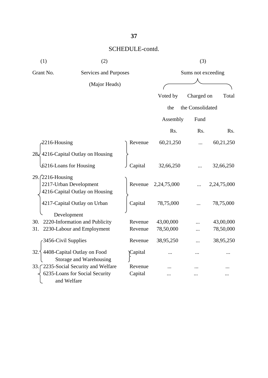| (1)<br>(2)      |                                                          | (3)                              |  |         |                    |  |                  |             |  |
|-----------------|----------------------------------------------------------|----------------------------------|--|---------|--------------------|--|------------------|-------------|--|
|                 | Grant No.<br>Services and Purposes                       |                                  |  |         | Sums not exceeding |  |                  |             |  |
|                 |                                                          | (Major Heads)                    |  |         |                    |  |                  |             |  |
|                 |                                                          |                                  |  |         | Voted by           |  | Charged on       | Total       |  |
|                 |                                                          |                                  |  |         | the                |  | the Consolidated |             |  |
|                 |                                                          |                                  |  |         | Assembly           |  | Fund             |             |  |
|                 |                                                          |                                  |  |         | Rs.                |  | Rs.              | Rs.         |  |
|                 | $-2216$ -Housing                                         |                                  |  | Revenue | 60,21,250          |  |                  | 60,21,250   |  |
| 28 <sub>5</sub> | 4216-Capital Outlay on Housing                           |                                  |  |         |                    |  |                  |             |  |
|                 | 6216-Loans for Housing                                   |                                  |  | Capital | 32,66,250          |  |                  | 32,66,250   |  |
|                 | 29. (2216-Housing                                        |                                  |  |         |                    |  |                  |             |  |
|                 | 2217-Urban Development<br>4216-Capital Outlay on Housing |                                  |  | Revenue | 2,24,75,000        |  |                  | 2,24,75,000 |  |
|                 | 4217-Capital Outlay on Urban                             |                                  |  | Capital | 78,75,000          |  |                  | 78,75,000   |  |
|                 | Development                                              |                                  |  |         |                    |  |                  |             |  |
| 30.             | 2220-Information and Publicity                           |                                  |  | Revenue | 43,00,000          |  |                  | 43,00,000   |  |
| 31.             | 2230-Labour and Employment                               |                                  |  | Revenue | 78,50,000          |  |                  | 78,50,000   |  |
|                 | 3456-Civil Supplies                                      |                                  |  | Revenue | 38,95,250          |  |                  | 38,95,250   |  |
| 32.             | 4408-Capital Outlay on Food                              | Storage and Warehousing          |  | Capital |                    |  |                  |             |  |
| 33.             |                                                          | 2235-Social Security and Welfare |  | Revenue |                    |  |                  |             |  |
|                 | 6235-Loans for Social Security                           |                                  |  | Capital |                    |  |                  |             |  |
|                 | and Welfare                                              |                                  |  |         |                    |  |                  |             |  |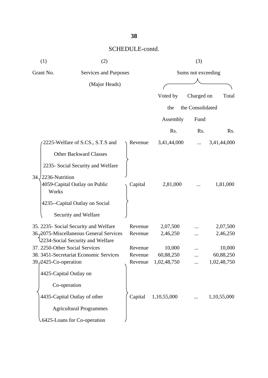| (1)                            | (2)                                                                                      |         |             | (3)                |             |  |  |  |
|--------------------------------|------------------------------------------------------------------------------------------|---------|-------------|--------------------|-------------|--|--|--|
| Grant No.                      | Services and Purposes                                                                    |         |             | Sums not exceeding |             |  |  |  |
|                                | (Major Heads)                                                                            |         |             |                    |             |  |  |  |
|                                |                                                                                          |         | Voted by    | Charged on         | Total       |  |  |  |
|                                |                                                                                          |         | the         | the Consolidated   |             |  |  |  |
|                                |                                                                                          |         | Assembly    | Fund               |             |  |  |  |
|                                |                                                                                          |         | Rs.         | Rs.                | Rs.         |  |  |  |
|                                | 2225-Welfare of S.CS., S.T.S and                                                         | Revenue | 3,41,44,000 |                    | 3,41,44,000 |  |  |  |
|                                | <b>Other Backward Classes</b>                                                            |         |             |                    |             |  |  |  |
|                                | 2235- Social Security and Welfare                                                        |         |             |                    |             |  |  |  |
| 34./2236-Nutrition<br>Works    | 4059-Capital Outlay on Public                                                            | Capital | 2,81,000    |                    | 1,81,000    |  |  |  |
|                                | 4235--Capital Outlay on Social<br>Security and Welfare                                   |         |             |                    |             |  |  |  |
|                                | 35. 2235- Social Security and Welfare                                                    | Revenue | 2,07,500    |                    | 2,07,500    |  |  |  |
|                                | 36. <sub>c</sub> 2075-Miscellaneous General Services<br>2234-Social Security and Welfare | Revenue | 2,46,250    | .                  | 2,46,250    |  |  |  |
| 37. 2250-Other Social Services |                                                                                          | Revenue | 10,000      |                    | 10,000      |  |  |  |
|                                | 38. 3451-Secretariat Economic Services                                                   | Revenue | 60,88,250   |                    | 60,88,250   |  |  |  |
| 39./2425-Co-operation          |                                                                                          | Revenue | 1,02,48,750 |                    | 1,02,48,750 |  |  |  |
| 4425-Capital Outlay on         |                                                                                          |         |             |                    |             |  |  |  |
| Co-operation                   |                                                                                          |         |             |                    |             |  |  |  |
| 4435-Capital Outlay of other   |                                                                                          | Capital | 1,10,55,000 |                    | 1,10,55,000 |  |  |  |
|                                | <b>Agricultural Programmes</b>                                                           |         |             |                    |             |  |  |  |
| 6425-Loans for Co-operation    |                                                                                          |         |             |                    |             |  |  |  |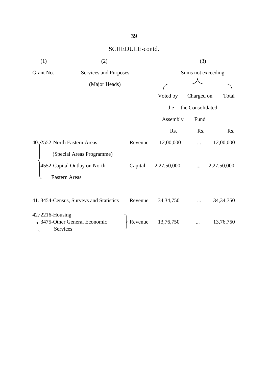| (1)                                   | (2)                                                       |         |             | (3)                |             |  |  |
|---------------------------------------|-----------------------------------------------------------|---------|-------------|--------------------|-------------|--|--|
| Grant No.                             | Services and Purposes                                     |         |             | Sums not exceeding |             |  |  |
|                                       | (Major Heads)                                             |         |             |                    |             |  |  |
|                                       |                                                           |         | Voted by    | Charged on         | Total       |  |  |
|                                       |                                                           |         | the         | the Consolidated   |             |  |  |
|                                       |                                                           |         | Assembly    | Fund               |             |  |  |
|                                       |                                                           |         | Rs.         | Rs.                | Rs.         |  |  |
| 40. 2552-North Eastern Areas          |                                                           | Revenue | 12,00,000   |                    | 12,00,000   |  |  |
| <b>Eastern Areas</b>                  | (Special Areas Programme)<br>4552-Capital Outlay on North | Capital | 2,27,50,000 |                    | 2,27,50,000 |  |  |
|                                       | 41. 3454-Census, Surveys and Statistics                   | Revenue | 34, 34, 750 |                    | 34, 34, 750 |  |  |
| $42f$ 2216-Housing<br><b>Services</b> | 3475-Other General Economic                               | Revenue | 13,76,750   |                    | 13,76,750   |  |  |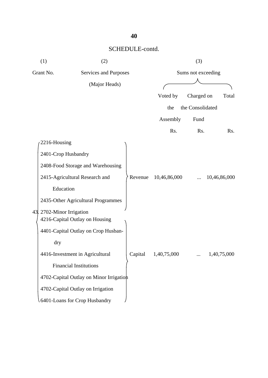| (1)                                                         | (2)                   |         |              | (3)                |              |  |
|-------------------------------------------------------------|-----------------------|---------|--------------|--------------------|--------------|--|
| Grant No.                                                   | Services and Purposes |         |              | Sums not exceeding |              |  |
|                                                             | (Major Heads)         |         |              |                    |              |  |
|                                                             |                       |         | Voted by     | Charged on         | Total        |  |
|                                                             |                       |         | the          | the Consolidated   |              |  |
|                                                             |                       |         | Assembly     | Fund               |              |  |
|                                                             |                       |         | Rs.          | Rs.                | Rs.          |  |
| 2216-Housing                                                |                       |         |              |                    |              |  |
| 2401-Crop Husbandry                                         |                       |         |              |                    |              |  |
| 2408-Food Storage and Warehousing                           |                       |         |              |                    |              |  |
| 2415-Agricultural Research and                              |                       | Revenue | 10,46,86,000 |                    | 10,46,86,000 |  |
| Education                                                   |                       |         |              |                    |              |  |
| 2435-Other Agricultural Programmes                          |                       |         |              |                    |              |  |
| 43. 2702-Minor Irrigation<br>4216-Capital Outlay on Housing |                       |         |              |                    |              |  |
| 4401-Capital Outlay on Crop Husban-                         |                       |         |              |                    |              |  |
| dry                                                         |                       |         |              |                    |              |  |
| 4416-Investment in Agricultural                             |                       | Capital | 1,40,75,000  |                    | 1,40,75,000  |  |
| <b>Financial Institutions</b>                               |                       |         |              |                    |              |  |
| 4702-Capital Outlay on Minor Irrigation                     |                       |         |              |                    |              |  |
| 4702-Capital Outlay on Irrigation                           |                       |         |              |                    |              |  |
| 6401-Loans for Crop Husbandry                               |                       |         |              |                    |              |  |

#### **40**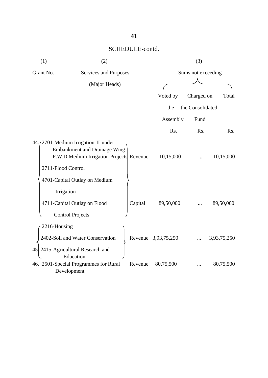| (1)                | (2)                                                                                                                                                     |         | (3)                 |                    |             |  |  |
|--------------------|---------------------------------------------------------------------------------------------------------------------------------------------------------|---------|---------------------|--------------------|-------------|--|--|
| Grant No.          | Services and Purposes                                                                                                                                   |         |                     | Sums not exceeding |             |  |  |
|                    | (Major Heads)                                                                                                                                           |         |                     |                    |             |  |  |
|                    |                                                                                                                                                         |         | Voted by            | Charged on         | Total       |  |  |
|                    |                                                                                                                                                         |         |                     |                    |             |  |  |
|                    |                                                                                                                                                         |         | the                 | the Consolidated   |             |  |  |
|                    |                                                                                                                                                         |         | Assembly            | Fund               |             |  |  |
|                    |                                                                                                                                                         |         | Rs.                 | Rs.                | Rs.         |  |  |
| 2711-Flood Control | 44./2701-Medium Irrigation-II-under<br><b>Embankment and Drainage Wing</b><br>P.W.D Medium Irrigation Projects Revenue<br>4701-Capital Outlay on Medium |         | 10,15,000           |                    | 10,15,000   |  |  |
| Irrigation         | 4711-Capital Outlay on Flood<br><b>Control Projects</b>                                                                                                 | Capital | 89,50,000           |                    | 89,50,000   |  |  |
| $2216$ -Housing    | 2402-Soil and Water Conservation<br>45 2415-Agricultural Research and                                                                                   |         | Revenue 3,93,75,250 |                    | 3,93,75,250 |  |  |
|                    | Education<br>46. 2501-Special Programmes for Rural<br>Development                                                                                       | Revenue | 80,75,500           |                    | 80,75,500   |  |  |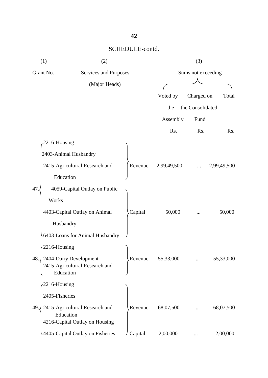|     | (1)<br>(2)                                                                    |         |             |                    | (3)         |  |  |  |
|-----|-------------------------------------------------------------------------------|---------|-------------|--------------------|-------------|--|--|--|
|     | Grant No.<br>Services and Purposes                                            |         |             | Sums not exceeding |             |  |  |  |
|     | (Major Heads)                                                                 |         |             |                    |             |  |  |  |
|     |                                                                               |         | Voted by    | Charged on         | Total       |  |  |  |
|     |                                                                               |         | the         | the Consolidated   |             |  |  |  |
|     |                                                                               |         | Assembly    | Fund               |             |  |  |  |
|     |                                                                               |         | Rs.         | Rs.                | Rs.         |  |  |  |
|     | 2216-Housing                                                                  |         |             |                    |             |  |  |  |
|     | 2403-Animal Husbandry                                                         |         |             |                    |             |  |  |  |
|     | 2415-Agricultural Research and                                                | Revenue | 2,99,49,500 |                    | 2,99,49,500 |  |  |  |
|     | Education                                                                     |         |             |                    |             |  |  |  |
| 47  | 4059-Capital Outlay on Public                                                 |         |             |                    |             |  |  |  |
|     | Works                                                                         |         |             |                    |             |  |  |  |
|     | 4403-Capital Outlay on Animal                                                 | Capital | 50,000      |                    | 50,000      |  |  |  |
|     | Husbandry                                                                     |         |             |                    |             |  |  |  |
|     | 6403-Loans for Animal Husbandry                                               |         |             |                    |             |  |  |  |
|     | 2216-Housing                                                                  |         |             |                    |             |  |  |  |
|     | 48. 2404-Dairy Development<br>2415-Agricultural Research and<br>Education     | Revenue | 55,33,000   |                    | 55,33,000   |  |  |  |
|     | 2216-Housing                                                                  |         |             |                    |             |  |  |  |
|     | 2405-Fisheries                                                                |         |             |                    |             |  |  |  |
| 49. | 2415-Agricultural Research and<br>Education<br>4216-Capital Outlay on Housing | Revenue | 68,07,500   |                    | 68,07,500   |  |  |  |
|     | 4405-Capital Outlay on Fisheries                                              | Capital | 2,00,000    |                    | 2,00,000    |  |  |  |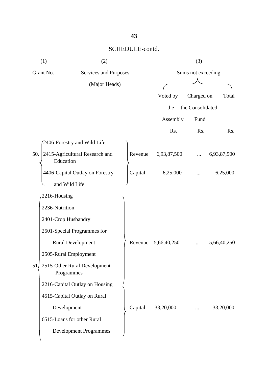|     | (1)                                        | (2)                             |  |         |             | (3)                |             |  |  |  |
|-----|--------------------------------------------|---------------------------------|--|---------|-------------|--------------------|-------------|--|--|--|
|     | Grant No.<br>Services and Purposes         |                                 |  |         |             | Sums not exceeding |             |  |  |  |
|     |                                            | (Major Heads)                   |  |         |             |                    |             |  |  |  |
|     |                                            |                                 |  |         | Voted by    | Charged on         | Total       |  |  |  |
|     |                                            |                                 |  |         | the         | the Consolidated   |             |  |  |  |
|     |                                            |                                 |  |         | Assembly    | Fund               |             |  |  |  |
|     |                                            |                                 |  |         | Rs.         | Rs.                | Rs.         |  |  |  |
|     | 2406-Forestry and Wild Life                |                                 |  |         |             |                    |             |  |  |  |
| 50. | Education                                  | 2415-Agricultural Research and  |  | Revenue | 6,93,87,500 | $\cdots$           | 6,93,87,500 |  |  |  |
|     |                                            | 4406-Capital Outlay on Forestry |  | Capital | 6,25,000    |                    | 6,25,000    |  |  |  |
|     | and Wild Life                              |                                 |  |         |             |                    |             |  |  |  |
|     | 2216-Housing                               |                                 |  |         |             |                    |             |  |  |  |
|     | 2236-Nutrition                             |                                 |  |         |             |                    |             |  |  |  |
|     | 2401-Crop Husbandry                        |                                 |  |         |             |                    |             |  |  |  |
|     | 2501-Special Programmes for                |                                 |  |         |             |                    |             |  |  |  |
|     | <b>Rural Development</b>                   |                                 |  | Revenue | 5,66,40,250 |                    | 5,66,40,250 |  |  |  |
|     | 2505-Rural Employment                      |                                 |  |         |             |                    |             |  |  |  |
| 51/ | 2515-Other Rural Development<br>Programmes |                                 |  |         |             |                    |             |  |  |  |
|     | 2216-Capital Outlay on Housing             |                                 |  |         |             |                    |             |  |  |  |
|     | 4515-Capital Outlay on Rural               |                                 |  |         |             |                    |             |  |  |  |
|     | Development                                |                                 |  | Capital | 33,20,000   |                    | 33,20,000   |  |  |  |
|     | 6515-Loans for other Rural                 |                                 |  |         |             |                    |             |  |  |  |
|     |                                            | <b>Development Programmes</b>   |  |         |             |                    |             |  |  |  |

# **43**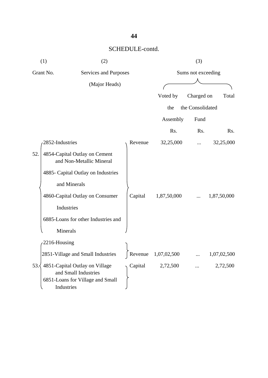| (1)<br>(2) |                                                                                                          |         | (3)                 |                  |             |  |  |  |
|------------|----------------------------------------------------------------------------------------------------------|---------|---------------------|------------------|-------------|--|--|--|
|            | Grant No.<br>Services and Purposes                                                                       |         | Sums not exceeding  |                  |             |  |  |  |
|            | (Major Heads)                                                                                            |         |                     |                  |             |  |  |  |
|            |                                                                                                          |         | Voted by            | Charged on       | Total       |  |  |  |
|            |                                                                                                          |         | the                 | the Consolidated |             |  |  |  |
|            |                                                                                                          |         | Assembly            | Fund             |             |  |  |  |
|            |                                                                                                          |         | Rs.                 | Rs.              | Rs.         |  |  |  |
|            | 2852-Industries                                                                                          | Revenue | 32,25,000           |                  | 32,25,000   |  |  |  |
| 52.        | 4854-Capital Outlay on Cement<br>and Non-Metallic Mineral                                                |         |                     |                  |             |  |  |  |
|            | 4885- Capital Outlay on Industries                                                                       |         |                     |                  |             |  |  |  |
|            | and Minerals                                                                                             |         |                     |                  |             |  |  |  |
|            | 4860-Capital Outlay on Consumer                                                                          | Capital | 1,87,50,000         | $\cdots$         | 1,87,50,000 |  |  |  |
|            | Industries                                                                                               |         |                     |                  |             |  |  |  |
|            | 6885-Loans for other Industries and                                                                      |         |                     |                  |             |  |  |  |
|            | Minerals                                                                                                 |         |                     |                  |             |  |  |  |
|            | 2216-Housing                                                                                             |         |                     |                  |             |  |  |  |
|            | 2851-Village and Small Industries                                                                        |         | Revenue 1,07,02,500 |                  | 1,07,02,500 |  |  |  |
| 53.        | 4851-Capital Outlay on Village<br>and Small Industries<br>6851-Loans for Village and Small<br>Industries | Capital | 2,72,500            |                  | 2,72,500    |  |  |  |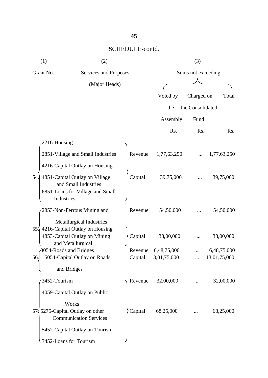|        | (1)                                                | (2)                                                        |  |                                 | (3)                |  |            |                  |                             |
|--------|----------------------------------------------------|------------------------------------------------------------|--|---------------------------------|--------------------|--|------------|------------------|-----------------------------|
|        | Grant No.                                          | Services and Purposes                                      |  |                                 | Sums not exceeding |  |            |                  |                             |
|        |                                                    | (Major Heads)                                              |  |                                 |                    |  |            |                  |                             |
|        |                                                    |                                                            |  |                                 | Voted by           |  | Charged on |                  | Total                       |
|        |                                                    |                                                            |  |                                 | the                |  |            | the Consolidated |                             |
|        |                                                    |                                                            |  |                                 | Assembly           |  | Fund       |                  |                             |
|        |                                                    |                                                            |  |                                 | Rs.                |  | Rs.        |                  | Rs.                         |
|        | 2216-Housing                                       |                                                            |  |                                 |                    |  |            |                  |                             |
|        |                                                    | 2851-Village and Small Industries                          |  | Revenue                         | 1,77,63,250        |  |            |                  | 1,77,63,250                 |
|        |                                                    | 4216-Capital Outlay on Housing                             |  |                                 |                    |  |            |                  |                             |
| 54.    | 4851-Capital Outlay on Village<br>Industries       | and Small Industries<br>6851-Loans for Village and Small   |  | Capital                         | 39,75,000          |  |            |                  | 39,75,000                   |
|        | 2853-Non-Ferrous Mining and                        |                                                            |  | Revenue                         | 54,50,000          |  |            |                  | 54,50,000                   |
| $55\%$ |                                                    | Metallurgical Industries<br>4216-Capital Outlay on Housing |  |                                 |                    |  |            |                  |                             |
|        | 4853-Capital Outlay on Mining<br>and Metallurgical |                                                            |  | Capital                         | 38,00,000          |  |            |                  | 38,00,000                   |
| 56.    | 3054-Roads and Bridges                             | 5054-Capital Outlay on Roads                               |  | Revenue<br>Capital 13,01,75,000 | 6,48,75,000        |  |            |                  | 6,48,75,000<br>13,01,75,000 |
|        | and Bridges                                        |                                                            |  |                                 |                    |  |            |                  |                             |
|        | 3452-Tourism                                       |                                                            |  | Revenue                         | 32,00,000          |  |            |                  | 32,00,000                   |
|        | 4059-Capital Outlay on Public                      |                                                            |  |                                 |                    |  |            |                  |                             |
|        | Works<br>$57\sqrt{5275}$ -Capital Outlay on other  | <b>Communication Services</b>                              |  | Capital                         | 68,25,000          |  |            |                  | 68,25,000                   |
|        |                                                    | 5452-Capital Outlay on Tourism                             |  |                                 |                    |  |            |                  |                             |
|        | 7452-Loans for Tourism                             |                                                            |  |                                 |                    |  |            |                  |                             |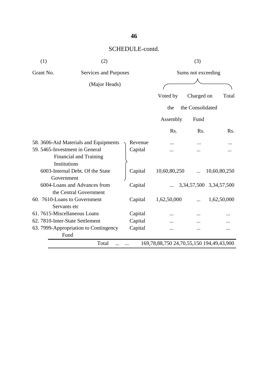| (1)       | (2)                                                    |         | (3)                                      |            |                               |  |  |
|-----------|--------------------------------------------------------|---------|------------------------------------------|------------|-------------------------------|--|--|
| Grant No. | Services and Purposes                                  |         | Sums not exceeding                       |            |                               |  |  |
|           | (Major Heads)                                          |         |                                          |            |                               |  |  |
|           |                                                        |         | Voted by                                 | Charged on | Total                         |  |  |
|           |                                                        |         | the Consolidated<br>the                  |            |                               |  |  |
|           |                                                        |         | Assembly                                 | Fund       |                               |  |  |
|           |                                                        |         | Rs.                                      | Rs.        | Rs.                           |  |  |
|           | 58. 3606-Aid Materials and Equipments                  | Revenue |                                          |            |                               |  |  |
|           | 59. 5465-Investment in General                         | Capital |                                          |            |                               |  |  |
|           | <b>Financial and Training</b><br>Institutions          |         |                                          |            |                               |  |  |
|           | 6003-Internal Debt. Of the State<br>Government         | Capital | 10,60,80,250                             |            | 10,60,80,250                  |  |  |
|           | 6004-Loans and Advances from<br>the Central Government | Capital |                                          |            | 3, 34, 57, 500 3, 34, 57, 500 |  |  |
|           | 60. 7610-Loans to Government<br>Servants etc           | Capital | 1,62,50,000                              |            | 1,62,50,000                   |  |  |
|           | 61.7615-Miscellaneous Loans                            | Capital |                                          |            |                               |  |  |
|           | 62. 7810-Inter-State Settlement                        | Capital |                                          |            |                               |  |  |
|           | 63. 7999-Appropriation to Contingency<br>Fund          | Capital |                                          |            |                               |  |  |
|           | Total                                                  |         | 169,78,88,750 24,70,55,150 194,49,43,900 |            |                               |  |  |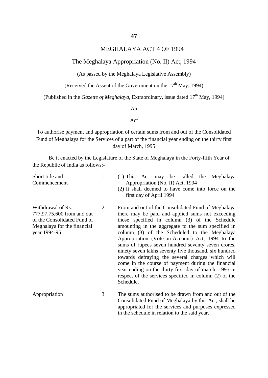#### MEGHALAYA ACT 4 OF 1994

#### The Meghalaya Appropriation (No. II) Act, 1994

(As passed by the Meghalaya Legislative Assembly)

(Received the Assent of the Government on the  $17<sup>th</sup>$  May, 1994)

(Published in the *Gazette of Meghalaya*, Extraordinary, issue dated  $17<sup>th</sup>$  May, 1994)

#### An

#### Act

To authorise payment and appropriation of certain sums from and out of the Consolidated Fund of Meghalaya for the Services of a part of the financial year ending on the thirty first day of March, 1995

Be it enacted by the Legislature of the State of Meghalaya in the Forty-fifth Year of the Republic of India as follows:-

| Short title and<br>Commencement                                                                                               | 1 | (1) This Act may be called the Meghalaya<br>Appropriation (No. II) Act, 1994<br>(2) It shall deemed to have come into force on the<br>first day of April 1994                                                                                                                                                                                                                                                                                                                                                                                                                                                                                                              |
|-------------------------------------------------------------------------------------------------------------------------------|---|----------------------------------------------------------------------------------------------------------------------------------------------------------------------------------------------------------------------------------------------------------------------------------------------------------------------------------------------------------------------------------------------------------------------------------------------------------------------------------------------------------------------------------------------------------------------------------------------------------------------------------------------------------------------------|
| Withdrawal of Rs.<br>777,97,75,600 from and out<br>of the Consolidated Fund of<br>Meghalaya for the financial<br>year 1994-95 | 2 | From and out of the Consolidated Fund of Meghalaya<br>there may be paid and applied sums not exceeding<br>those specified in column (3) of the Schedule<br>amounting in the aggregate to the sum specified in<br>column (3) of the Scheduled to the Meghalaya<br>Appropriation (Vote-on-Account) Act, 1994 to the<br>sums of rupees seven hundred seventy seven crores,<br>ninety seven lakhs seventy five thousand, six hundred<br>towards defraying the several charges which will<br>come in the course of payment during the financial<br>year ending on the thirty first day of march, 1995 in<br>respect of the services specified in column (2) of the<br>Schedule. |
| Appropriation                                                                                                                 | 3 | The sums authorised to be drawn from and out of the<br>Consolidated Fund of Meghalaya by this Act, shall be<br>appropriated for the services and purposes expressed<br>in the schedule in relation to the said year.                                                                                                                                                                                                                                                                                                                                                                                                                                                       |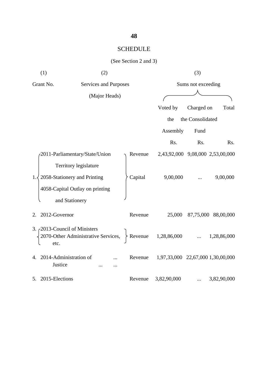#### SCHEDULE

#### (See Section 2 and 3)

| (1)                  | (2)                                                                                                                                          |                    |                                              | (3)                                    |                     |  |  |
|----------------------|----------------------------------------------------------------------------------------------------------------------------------------------|--------------------|----------------------------------------------|----------------------------------------|---------------------|--|--|
| Grant No.            | Services and Purposes<br>(Major Heads)                                                                                                       |                    |                                              | Sums not exceeding                     |                     |  |  |
|                      |                                                                                                                                              |                    | Voted by<br>the<br>Assembly                  | Charged on<br>the Consolidated<br>Fund | Total               |  |  |
|                      |                                                                                                                                              |                    | Rs.                                          | Rs.                                    | R <sub>s</sub> .    |  |  |
| 1.                   | 2011-Parliamentary/State/Union<br>Territory legislature<br>2058-Stationery and Printing<br>4058-Capital Outlay on printing<br>and Stationery | Revenue<br>Capital | 2,43,92,000 9,08,000 2,53,00,000<br>9,00,000 |                                        | 9,00,000            |  |  |
| 2012-Governor<br>2.  |                                                                                                                                              | Revenue            | 25,000                                       |                                        | 87,75,000 88,00,000 |  |  |
| etc.                 | 3. $\zeta$ 2013-Council of Ministers<br>2070-Other Administrative Services,                                                                  |                    | Revenue $1,28,86,000$                        |                                        | 1,28,86,000         |  |  |
|                      | 4. 2014-Administration of<br>Justice                                                                                                         | Revenue            | 1,97,33,000 22,67,000 1,30,00,000            |                                        |                     |  |  |
| 2015-Elections<br>5. |                                                                                                                                              | Revenue            | 3,82,90,000                                  |                                        | 3,82,90,000         |  |  |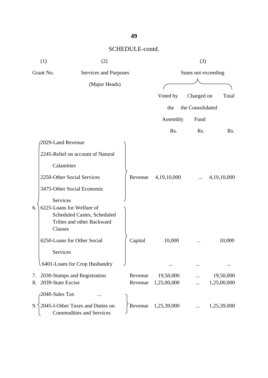|          | (1)<br>(2)                                                                                                   |                    |                          | (3)              |                          |
|----------|--------------------------------------------------------------------------------------------------------------|--------------------|--------------------------|------------------|--------------------------|
|          | Grant No.<br>Services and Purposes                                                                           |                    | Sums not exceeding       |                  |                          |
|          | (Major Heads)                                                                                                |                    |                          |                  |                          |
|          |                                                                                                              |                    | Voted by                 | Charged on       | Total                    |
|          |                                                                                                              |                    | the                      | the Consolidated |                          |
|          |                                                                                                              |                    | Assembly                 | Fund             |                          |
|          |                                                                                                              |                    | Rs.                      | Rs.              | Rs.                      |
|          | 2029-Land Revenue                                                                                            |                    |                          |                  |                          |
|          | 2245-Relief on account of Natural                                                                            |                    |                          |                  |                          |
|          | Calamities                                                                                                   |                    |                          |                  |                          |
|          | 2250-Other Social Services                                                                                   | Revenue            | 4,19,10,000              |                  | 4,19,10,000              |
|          | 3475-Other Social Economic                                                                                   |                    |                          |                  |                          |
| 6.       | Services<br>6225-Loans for Welfare of<br>Scheduled Castes, Scheduled<br>Tribes and other Backward<br>Classes |                    |                          |                  |                          |
|          | 6250-Loans for Other Social                                                                                  | Capital            | 10,000                   |                  | 10,000                   |
|          | Services                                                                                                     |                    |                          |                  |                          |
|          | 6401-Loans for Crop Husbandry                                                                                |                    |                          |                  |                          |
| 7.<br>8. | 2030-Stamps and Registration<br>2039-State Excise                                                            | Revenue<br>Revenue | 19,50,000<br>1,25,00,000 |                  | 19,50,000<br>1,25,00,000 |
|          | 2040-Sales Tax                                                                                               |                    |                          |                  |                          |
| 9.       | 2045-I-Other Taxes and Duties on<br><b>Commodities and Services</b>                                          | Revenue            | 1,25,39,000              |                  | 1,25,39,000              |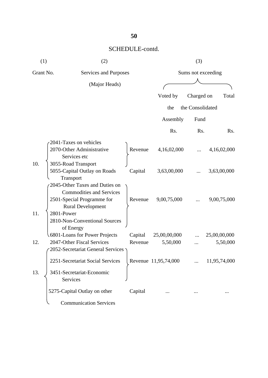| (1)       | (2)                                                               |                    |                          |                    | (3)                      |  |  |  |
|-----------|-------------------------------------------------------------------|--------------------|--------------------------|--------------------|--------------------------|--|--|--|
| Grant No. | Services and Purposes                                             |                    |                          | Sums not exceeding |                          |  |  |  |
|           | (Major Heads)                                                     |                    |                          |                    |                          |  |  |  |
|           |                                                                   |                    | Voted by                 | Charged on         | Total                    |  |  |  |
|           |                                                                   |                    | the                      | the Consolidated   |                          |  |  |  |
|           |                                                                   |                    | Assembly                 | Fund               |                          |  |  |  |
|           |                                                                   |                    | Rs.                      | Rs.                | Rs.                      |  |  |  |
|           | 2041-Taxes on vehicles                                            |                    |                          |                    |                          |  |  |  |
|           | 2070-Other Administrative                                         | Revenue            | 4,16,02,000              |                    | 4,16,02,000              |  |  |  |
| 10.       | Services etc<br>3055-Road Transport                               |                    |                          |                    |                          |  |  |  |
|           | 5055-Capital Outlay on Roads                                      | Capital            | 3,63,00,000              |                    | 3,63,00,000              |  |  |  |
|           | Transport                                                         |                    |                          |                    |                          |  |  |  |
|           | 2045-Other Taxes and Duties on<br><b>Commodities and Services</b> |                    |                          |                    |                          |  |  |  |
|           | 2501-Special Programme for                                        | Revenue            | 9,00,75,000              |                    | 9,00,75,000              |  |  |  |
|           | <b>Rural Development</b>                                          |                    |                          |                    |                          |  |  |  |
| 11.       | 2801-Power                                                        |                    |                          |                    |                          |  |  |  |
|           | 2810-Non-Conventional Sources                                     |                    |                          |                    |                          |  |  |  |
|           | of Energy                                                         |                    |                          |                    |                          |  |  |  |
| 12.       | .6801-Loans for Power Projects<br>2047-Other Fiscal Services      | Capital<br>Revenue | 25,00,00,000<br>5,50,000 |                    | 25,00,00,000<br>5,50,000 |  |  |  |
|           | 2052-Secretariat General Services                                 |                    |                          |                    |                          |  |  |  |
|           | 2251-Secretariat Social Services                                  |                    | Revenue 11,95,74,000     |                    | 11,95,74,000             |  |  |  |
| 13.       | 3451-Secretariat-Economic                                         |                    |                          |                    |                          |  |  |  |
|           | Services                                                          |                    |                          |                    |                          |  |  |  |
|           | 5275-Capital Outlay on other                                      | Capital            |                          |                    |                          |  |  |  |
|           | <b>Communication Services</b>                                     |                    |                          |                    |                          |  |  |  |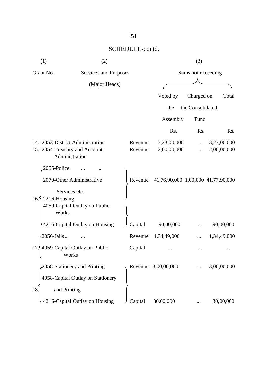|      | (1)                                                                                                                 | (2)                               |                    |                                    | (3)                |                            |
|------|---------------------------------------------------------------------------------------------------------------------|-----------------------------------|--------------------|------------------------------------|--------------------|----------------------------|
|      | Grant No.                                                                                                           | Services and Purposes             |                    |                                    | Sums not exceeding |                            |
|      |                                                                                                                     | (Major Heads)                     |                    |                                    |                    |                            |
|      |                                                                                                                     |                                   |                    | Voted by                           | Charged on         | Total                      |
|      |                                                                                                                     |                                   |                    | the                                | the Consolidated   |                            |
|      |                                                                                                                     |                                   |                    | Assembly                           | Fund               |                            |
|      |                                                                                                                     |                                   |                    | Rs.                                | Rs.                | Rs.                        |
|      | 14. 2053-District Administration<br>15. 2054-Treasury and Accounts<br>Administration                                |                                   | Revenue<br>Revenue | 3,23,00,000<br>2,00,00,000         |                    | 3,23,00,000<br>2,00,00,000 |
| 16.5 | 2055-Police<br>2070-Other Administrative<br>Services etc.<br>2216-Housing<br>4059-Capital Outlay on Public<br>Works |                                   | Revenue            | 41,76,90,000 1,00,000 41,77,90,000 |                    |                            |
|      | 4216-Capital Outlay on Housing                                                                                      |                                   | Capital            | 90,00,000                          |                    | 90,00,000                  |
|      | -2056-Jails                                                                                                         |                                   | Revenue            | 1,34,49,000                        |                    | 1,34,49,000                |
| 173  | 4059-Capital Outlay on Public<br>Works                                                                              |                                   | Capital            |                                    |                    |                            |
|      | 2058-Stationery and Printing                                                                                        | 4058-Capital Outlay on Stationery |                    | Revenue 3,00,00,000                |                    | 3,00,00,000                |
| 18.  | and Printing                                                                                                        |                                   |                    |                                    |                    |                            |
|      | 4216-Capital Outlay on Housing                                                                                      |                                   | Capital            | 30,00,000                          |                    | 30,00,000                  |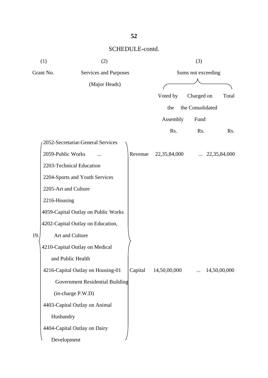|     | (1)                            | (2)                                 |         |                 | (3)                |                       |
|-----|--------------------------------|-------------------------------------|---------|-----------------|--------------------|-----------------------|
|     | Grant No.                      | Services and Purposes               |         |                 | Sums not exceeding |                       |
|     |                                | (Major Heads)                       |         |                 |                    |                       |
|     |                                |                                     |         | Voted by        | Charged on         | Total                 |
|     |                                |                                     |         | the             | the Consolidated   |                       |
|     |                                |                                     |         | Assembly        | Fund               |                       |
|     |                                |                                     |         | Rs.             | Rs.                | Rs.                   |
|     |                                | 2052-Secretariat-General Services   |         |                 |                    |                       |
|     | 2059-Public Works              |                                     | Revenue | 22, 35, 84, 000 |                    | $\ldots$ 22,35,84,000 |
|     | 2203-Technical Education       |                                     |         |                 |                    |                       |
|     |                                | 2204-Sports and Youth Services      |         |                 |                    |                       |
|     | 2205-Art and Culture           |                                     |         |                 |                    |                       |
|     | 2216-Housing                   |                                     |         |                 |                    |                       |
|     |                                | 4059-Capital Outlay on Public Works |         |                 |                    |                       |
|     |                                | 4202-Capital Outlay on Education,   |         |                 |                    |                       |
| 19. | Art and Culture                |                                     |         |                 |                    |                       |
|     | 4210-Capital Outlay on Medical |                                     |         |                 |                    |                       |
|     | and Public Health              |                                     |         |                 |                    |                       |
|     |                                | 4216-Capital Outlay on Housing-01   | Capital | 14,50,00,000    |                    | 14,50,00,000          |
|     |                                | Government Residential Building     |         |                 |                    |                       |
|     | (in-charge P.W.D)              |                                     |         |                 |                    |                       |
|     | 4403-Capital Outlay on Animal  |                                     |         |                 |                    |                       |
|     | Husbandry                      |                                     |         |                 |                    |                       |
|     | 4404-Capital Outlay on Dairy   |                                     |         |                 |                    |                       |
|     | Development                    |                                     |         |                 |                    |                       |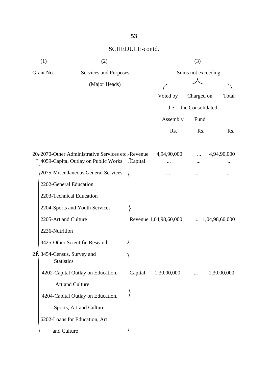|    | (1)<br>(2)                                                                                         |               |         |                        | (3)                |                |  |  |
|----|----------------------------------------------------------------------------------------------------|---------------|---------|------------------------|--------------------|----------------|--|--|
|    | Grant No.<br>Services and Purposes                                                                 |               |         |                        | Sums not exceeding |                |  |  |
|    |                                                                                                    | (Major Heads) |         |                        |                    |                |  |  |
|    |                                                                                                    |               |         | Voted by               | Charged on         | Total          |  |  |
|    |                                                                                                    |               |         | the                    | the Consolidated   |                |  |  |
|    |                                                                                                    |               |         | Assembly               | Fund               |                |  |  |
|    |                                                                                                    |               |         | Rs.                    | Rs.                | Rs.            |  |  |
|    |                                                                                                    |               |         |                        |                    |                |  |  |
|    | 20-2070 Other Administrative Services etc. Revenue<br>4059-Capital Outlay on Public Works JCapital |               |         | 4,94,90,000            |                    | 4,94,90,000    |  |  |
|    | 2075-Miscellaneous General Services                                                                |               |         |                        |                    |                |  |  |
|    | 2202-General Education                                                                             |               |         |                        |                    |                |  |  |
|    | 2203-Technical Education                                                                           |               |         |                        |                    |                |  |  |
|    | 2204-Sports and Youth Services                                                                     |               |         |                        |                    |                |  |  |
|    | 2205-Art and Culture                                                                               |               |         | Revenue 1,04,98,60,000 |                    | 1,04,98,60,000 |  |  |
|    | 2236-Nutrition                                                                                     |               |         |                        |                    |                |  |  |
|    | 3425-Other Scientific Research                                                                     |               |         |                        |                    |                |  |  |
| 21 | 3454-Census, Survey and<br><b>Statistics</b>                                                       |               |         |                        |                    |                |  |  |
|    | 4202-Capital Outlay on Education,                                                                  |               | Capital | 1,30,00,000            |                    | 1,30,00,000    |  |  |
|    | Art and Culture                                                                                    |               |         |                        |                    |                |  |  |
|    | 4204-Capital Outlay on Education,                                                                  |               |         |                        |                    |                |  |  |
|    | Sports, Art and Culture                                                                            |               |         |                        |                    |                |  |  |
|    | 6202-Loans for Education, Art                                                                      |               |         |                        |                    |                |  |  |
|    | and Culture                                                                                        |               |         |                        |                    |                |  |  |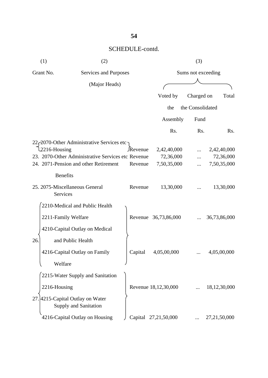|     | (1)                                        | (2)                                                |          |                      | (3)                |                 |
|-----|--------------------------------------------|----------------------------------------------------|----------|----------------------|--------------------|-----------------|
|     | Grant No.                                  | Services and Purposes                              |          |                      | Sums not exceeding |                 |
|     |                                            | (Major Heads)                                      |          |                      |                    |                 |
|     |                                            |                                                    |          | Voted by             | Charged on         | Total           |
|     |                                            |                                                    |          | the                  | the Consolidated   |                 |
|     |                                            |                                                    |          | Assembly             | Fund               |                 |
|     |                                            |                                                    |          | Rs.                  | Rs.                | Rs.             |
|     |                                            | 22 2070-Other Administrative Services etc          |          |                      |                    |                 |
|     | 2216-Housing                               |                                                    | JRevenue | 2,42,40,000          |                    | 2,42,40,000     |
|     |                                            | 23. 2070-Other Administrative Services etc Revenue |          | 72,36,000            |                    | 72,36,000       |
|     |                                            | 24. 2071-Pension and other Retirement              | Revenue  | 7,50,35,000          |                    | 7,50,35,000     |
|     | <b>Benefits</b>                            |                                                    |          |                      |                    |                 |
|     | 25. 2075-Miscellaneous General<br>Services |                                                    | Revenue  | 13,30,000            |                    | 13,30,000       |
|     |                                            | 2210-Medical and Public Health                     |          |                      |                    |                 |
|     | 2211-Family Welfare                        |                                                    |          | Revenue 36,73,86,000 |                    | 36,73,86,000    |
|     |                                            | 4210-Capital Outlay on Medical                     |          |                      |                    |                 |
| 26. | and Public Health                          |                                                    |          |                      |                    |                 |
|     | 4216-Capital Outlay on Family              |                                                    | Capital  | 4,05,00,000          |                    | 4,05,00,000     |
|     | Welfare                                    |                                                    |          |                      |                    |                 |
|     |                                            | 2215-Water Supply and Sanitation                   |          |                      |                    |                 |
|     | 2216-Housing                               |                                                    |          | Revenue 18,12,30,000 |                    | 18, 12, 30, 000 |
|     | 27. 4215-Capital Outlay on Water           | Supply and Sanitation                              |          |                      |                    |                 |
|     |                                            | 4216-Capital Outlay on Housing                     |          | Capital 27,21,50,000 |                    | 27, 21, 50, 000 |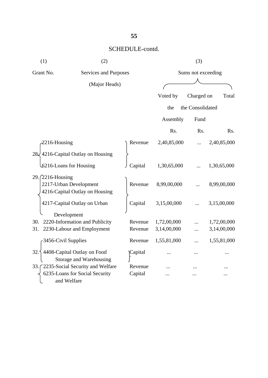| (1)<br>(2)                                          |                                               |  |         | (3)                |                  |             |
|-----------------------------------------------------|-----------------------------------------------|--|---------|--------------------|------------------|-------------|
| Grant No.<br>Services and Purposes<br>(Major Heads) |                                               |  |         | Sums not exceeding |                  |             |
|                                                     |                                               |  |         |                    |                  |             |
|                                                     |                                               |  |         | Voted by           | Charged on       | Total       |
|                                                     |                                               |  |         | the                | the Consolidated |             |
|                                                     |                                               |  |         | Assembly           | Fund             |             |
|                                                     |                                               |  |         | Rs.                | Rs.              | Rs.         |
|                                                     | $-2216$ -Housing                              |  | Revenue | 2,40,85,000        |                  | 2,40,85,000 |
| 28 <sub>5</sub>                                     | 4216-Capital Outlay on Housing                |  |         |                    |                  |             |
|                                                     | 6216-Loans for Housing                        |  | Capital | 1,30,65,000        |                  | 1,30,65,000 |
|                                                     | 29. (2216-Housing                             |  |         |                    |                  |             |
|                                                     | 2217-Urban Development                        |  | Revenue | 8,99,00,000        |                  | 8,99,00,000 |
|                                                     | 4216-Capital Outlay on Housing                |  |         |                    |                  |             |
|                                                     | 4217-Capital Outlay on Urban                  |  | Capital | 3,15,00,000        |                  | 3,15,00,000 |
|                                                     | Development                                   |  |         |                    |                  |             |
| 30.                                                 | 2220-Information and Publicity                |  | Revenue | 1,72,00,000        |                  | 1,72,00,000 |
| 31.                                                 | 2230-Labour and Employment                    |  | Revenue | 3,14,00,000        |                  | 3,14,00,000 |
|                                                     | 3456-Civil Supplies                           |  | Revenue | 1,55,81,000        |                  | 1,55,81,000 |
| 32.                                                 | 4408-Capital Outlay on Food                   |  | Capital |                    | .                |             |
|                                                     | Storage and Warehousing                       |  |         |                    |                  |             |
| 33.                                                 | 2235-Social Security and Welfare              |  | Revenue |                    |                  |             |
|                                                     | 6235-Loans for Social Security<br>and Welfare |  | Capital |                    |                  |             |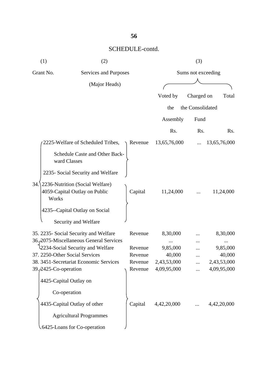|     | (1)<br>(2)                         |                                                                                                    |         | (3)          |                    |              |  |
|-----|------------------------------------|----------------------------------------------------------------------------------------------------|---------|--------------|--------------------|--------------|--|
|     | Grant No.<br>Services and Purposes |                                                                                                    |         |              | Sums not exceeding |              |  |
|     |                                    | (Major Heads)                                                                                      |         |              |                    |              |  |
|     |                                    |                                                                                                    |         | Voted by     | Charged on         | Total        |  |
|     |                                    |                                                                                                    |         | the          | the Consolidated   |              |  |
|     |                                    |                                                                                                    |         |              |                    |              |  |
|     |                                    |                                                                                                    |         | Assembly     | Fund               |              |  |
|     |                                    |                                                                                                    |         | Rs.          | Rs.                | Rs.          |  |
|     |                                    | 2225-Welfare of Scheduled Tribes,                                                                  | Revenue | 13,65,76,000 |                    | 13,65,76,000 |  |
|     | ward Classes                       | Schedule Caste and Other Back-                                                                     |         |              |                    |              |  |
|     |                                    | 2235- Social Security and Welfare                                                                  |         |              |                    |              |  |
| 34. | Works                              | 2236-Nutrition (Social Welfare)<br>4059-Capital Outlay on Public<br>4235--Capital Outlay on Social | Capital | 11,24,000    |                    | 11,24,000    |  |
|     |                                    | Security and Welfare                                                                               |         |              |                    |              |  |
|     |                                    | 35. 2235- Social Security and Welfare<br>36. <sub>2</sub> 075-Miscellaneous General Services       | Revenue | 8,30,000     |                    | 8,30,000     |  |
|     |                                    | 2234-Social Security and Welfare                                                                   | Revenue | 9,85,000     |                    | 9,85,000     |  |
|     | 37. 2250-Other Social Services     |                                                                                                    | Revenue | 40,000       |                    | 40,000       |  |
|     |                                    | 38. 3451-Secretariat Economic Services                                                             | Revenue | 2,43,53,000  |                    | 2,43,53,000  |  |
|     | 39./2425-Co-operation              |                                                                                                    | Revenue | 4,09,95,000  |                    | 4,09,95,000  |  |
|     | 4425-Capital Outlay on             |                                                                                                    |         |              |                    |              |  |
|     | Co-operation                       |                                                                                                    |         |              |                    |              |  |
|     | 4435-Capital Outlay of other       |                                                                                                    | Capital | 4,42,20,000  |                    | 4,42,20,000  |  |
|     |                                    | <b>Agricultural Programmes</b>                                                                     |         |              |                    |              |  |
|     |                                    | .6425-Loans for Co-operation                                                                       |         |              |                    |              |  |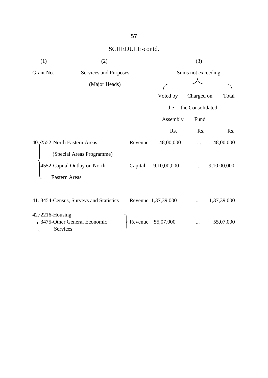| (1)       | (2)                                                                               |         |                     | (3)                |             |
|-----------|-----------------------------------------------------------------------------------|---------|---------------------|--------------------|-------------|
| Grant No. | Services and Purposes                                                             |         |                     | Sums not exceeding |             |
|           | (Major Heads)                                                                     |         |                     |                    |             |
|           |                                                                                   |         | Voted by            | Charged on         | Total       |
|           |                                                                                   |         | the                 | the Consolidated   |             |
|           |                                                                                   |         | Assembly            | Fund               |             |
|           |                                                                                   |         | Rs.                 | Rs.                | Rs.         |
|           | 40. 2552-North Eastern Areas                                                      | Revenue | 48,00,000           |                    | 48,00,000   |
|           | (Special Areas Programme)<br>4552-Capital Outlay on North<br><b>Eastern Areas</b> | Capital | 9,10,00,000         |                    | 9,10,00,000 |
|           | 41. 3454-Census, Surveys and Statistics                                           |         | Revenue 1,37,39,000 |                    | 1,37,39,000 |
|           | $42f$ 2216-Housing<br>3475-Other General Economic<br><b>Services</b>              | Revenue | 55,07,000           |                    | 55,07,000   |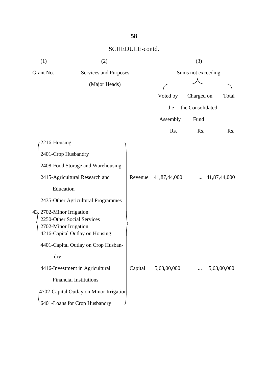| (1)                                                                                                                | (2)                   |         |              | (3)                |              |
|--------------------------------------------------------------------------------------------------------------------|-----------------------|---------|--------------|--------------------|--------------|
| Grant No.                                                                                                          | Services and Purposes |         |              | Sums not exceeding |              |
|                                                                                                                    | (Major Heads)         |         |              |                    |              |
|                                                                                                                    |                       |         | Voted by     | Charged on         | Total        |
|                                                                                                                    |                       |         | the          | the Consolidated   |              |
|                                                                                                                    |                       |         | Assembly     | Fund               |              |
|                                                                                                                    |                       |         | Rs.          | Rs.                | Rs.          |
| 2216-Housing                                                                                                       |                       |         |              |                    |              |
| 2401-Crop Husbandry                                                                                                |                       |         |              |                    |              |
| 2408-Food Storage and Warehousing                                                                                  |                       |         |              |                    |              |
| 2415-Agricultural Research and                                                                                     |                       | Revenue | 41,87,44,000 |                    | 41,87,44,000 |
| Education                                                                                                          |                       |         |              |                    |              |
| 2435-Other Agricultural Programmes                                                                                 |                       |         |              |                    |              |
| 43. 2702-Minor Irrigation<br>2250-Other Social Services<br>2702-Minor Irrigation<br>4216-Capital Outlay on Housing |                       |         |              |                    |              |
| 4401-Capital Outlay on Crop Husban-                                                                                |                       |         |              |                    |              |
| dry                                                                                                                |                       |         |              |                    |              |
| 4416-Investment in Agricultural                                                                                    |                       | Capital | 5,63,00,000  |                    | 5,63,00,000  |
| <b>Financial Institutions</b>                                                                                      |                       |         |              |                    |              |
| 4702-Capital Outlay on Minor Irrigation                                                                            |                       |         |              |                    |              |
| 6401-Loans for Crop Husbandry                                                                                      |                       |         |              |                    |              |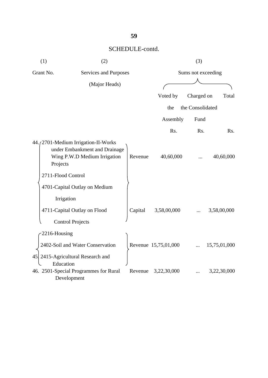| (1)                                | (2)                                                                                                  |         |                      | (3)                |              |
|------------------------------------|------------------------------------------------------------------------------------------------------|---------|----------------------|--------------------|--------------|
| Grant No.<br>Services and Purposes |                                                                                                      |         |                      | Sums not exceeding |              |
|                                    | (Major Heads)                                                                                        |         |                      |                    |              |
|                                    |                                                                                                      |         | Voted by             | Charged on         | Total        |
|                                    |                                                                                                      |         | the                  | the Consolidated   |              |
|                                    |                                                                                                      |         | Assembly             | Fund               |              |
|                                    |                                                                                                      |         | Rs.                  | Rs.                | Rs.          |
| Projects                           | 44./2701-Medium Irrigation-II-Works<br>under Embankment and Drainage<br>Wing P.W.D Medium Irrigation | Revenue | 40,60,000            |                    | 40,60,000    |
| 2711-Flood Control                 |                                                                                                      |         |                      |                    |              |
|                                    | 4701-Capital Outlay on Medium                                                                        |         |                      |                    |              |
| Irrigation                         |                                                                                                      |         |                      |                    |              |
|                                    | 4711-Capital Outlay on Flood                                                                         | Capital | 3,58,00,000          |                    | 3,58,00,000  |
|                                    | <b>Control Projects</b>                                                                              |         |                      |                    |              |
| 2216-Housing                       |                                                                                                      |         |                      |                    |              |
|                                    | 2402-Soil and Water Conservation                                                                     |         | Revenue 15,75,01,000 |                    | 15,75,01,000 |
| 45<br>Education                    | 2415-Agricultural Research and                                                                       |         |                      |                    |              |
|                                    | 46. 2501-Special Programmes for Rural<br>Development                                                 | Revenue | 3,22,30,000          |                    | 3,22,30,000  |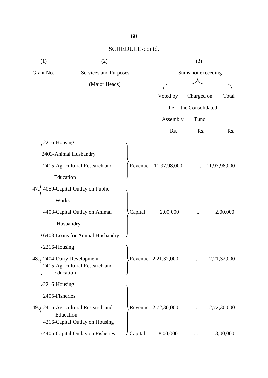|     | (1)<br>(2)                                                                    |         |                     | (3)                |              |
|-----|-------------------------------------------------------------------------------|---------|---------------------|--------------------|--------------|
|     | Grant No.<br>Services and Purposes                                            |         |                     | Sums not exceeding |              |
|     | (Major Heads)                                                                 |         |                     |                    |              |
|     |                                                                               |         | Voted by            | Charged on         | Total        |
|     |                                                                               |         | the                 | the Consolidated   |              |
|     |                                                                               |         | Assembly            | Fund               |              |
|     |                                                                               |         | Rs.                 | Rs.                | Rs.          |
|     | 2216-Housing                                                                  |         |                     |                    |              |
|     | 2403-Animal Husbandry                                                         |         |                     |                    |              |
|     | 2415-Agricultural Research and                                                | Revenue | 11,97,98,000        |                    | 11,97,98,000 |
|     | Education                                                                     |         |                     |                    |              |
| 47. | 4059-Capital Outlay on Public                                                 |         |                     |                    |              |
|     | Works                                                                         |         |                     |                    |              |
|     | 4403-Capital Outlay on Animal                                                 | Capital | 2,00,000            |                    | 2,00,000     |
|     | Husbandry                                                                     |         |                     |                    |              |
|     | 6403-Loans for Animal Husbandry                                               |         |                     |                    |              |
|     | 2216-Housing                                                                  |         |                     |                    |              |
|     | 48. 2404-Dairy Development<br>2415-Agricultural Research and<br>Education     |         | Revenue 2,21,32,000 |                    | 2,21,32,000  |
|     | 2216-Housing                                                                  |         |                     |                    |              |
|     | 2405-Fisheries                                                                |         |                     |                    |              |
| 49. | 2415-Agricultural Research and<br>Education<br>4216-Capital Outlay on Housing |         | Revenue 2,72,30,000 |                    | 2,72,30,000  |
|     | 4405-Capital Outlay on Fisheries                                              | Capital | 8,00,000            |                    | 8,00,000     |

# **60**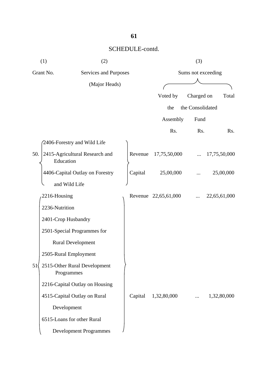|              | (1)                          | (2)                             |         |                      |  | (3)              |  |              |
|--------------|------------------------------|---------------------------------|---------|----------------------|--|------------------|--|--------------|
|              | Grant No.                    | Services and Purposes           |         | Sums not exceeding   |  |                  |  |              |
|              |                              | (Major Heads)                   |         |                      |  |                  |  |              |
|              |                              |                                 |         | Voted by             |  | Charged on       |  | Total        |
|              |                              |                                 |         | the                  |  | the Consolidated |  |              |
|              |                              |                                 |         | Assembly             |  | Fund             |  |              |
|              |                              |                                 |         | Rs.                  |  | Rs.              |  | Rs.          |
|              | 2406-Forestry and Wild Life  |                                 |         |                      |  |                  |  |              |
| 50.          | Education                    | 2415-Agricultural Research and  | Revenue | 17,75,50,000         |  |                  |  | 17,75,50,000 |
|              |                              | 4406-Capital Outlay on Forestry | Capital | 25,00,000            |  |                  |  | 25,00,000    |
|              | and Wild Life                |                                 |         |                      |  |                  |  |              |
|              | 2216-Housing                 |                                 |         | Revenue 22,65,61,000 |  |                  |  | 22,65,61,000 |
|              | 2236-Nutrition               |                                 |         |                      |  |                  |  |              |
|              | 2401-Crop Husbandry          |                                 |         |                      |  |                  |  |              |
|              | 2501-Special Programmes for  |                                 |         |                      |  |                  |  |              |
|              | <b>Rural Development</b>     |                                 |         |                      |  |                  |  |              |
|              | 2505-Rural Employment        |                                 |         |                      |  |                  |  |              |
| $51\sqrt{ }$ | Programmes                   | 2515-Other Rural Development    |         |                      |  |                  |  |              |
|              |                              | 2216-Capital Outlay on Housing  |         |                      |  |                  |  |              |
|              | 4515-Capital Outlay on Rural |                                 | Capital | 1,32,80,000          |  | $\cdots$         |  | 1,32,80,000  |
|              | Development                  |                                 |         |                      |  |                  |  |              |
|              | 6515-Loans for other Rural   |                                 |         |                      |  |                  |  |              |
|              |                              | <b>Development Programmes</b>   |         |                      |  |                  |  |              |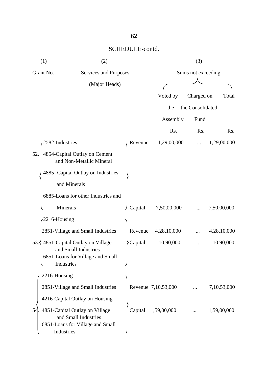| (1)<br>(2) |                                                                                                          |                                     |         | (3)                 |                  |             |
|------------|----------------------------------------------------------------------------------------------------------|-------------------------------------|---------|---------------------|------------------|-------------|
|            | Grant No.                                                                                                | Services and Purposes               |         | Sums not exceeding  |                  |             |
|            |                                                                                                          | (Major Heads)                       |         |                     |                  |             |
|            |                                                                                                          |                                     |         | Voted by            | Charged on       | Total       |
|            |                                                                                                          |                                     |         | the                 | the Consolidated |             |
|            |                                                                                                          |                                     |         | Assembly            | Fund             |             |
|            |                                                                                                          |                                     |         | Rs.                 | Rs.              | Rs.         |
|            | 2582-Industries                                                                                          |                                     | Revenue | 1,29,00,000         |                  | 1,29,00,000 |
| 52.        | 4854-Capital Outlay on Cement                                                                            | and Non-Metallic Mineral            |         |                     |                  |             |
|            | 4885- Capital Outlay on Industries                                                                       |                                     |         |                     |                  |             |
|            | and Minerals                                                                                             |                                     |         |                     |                  |             |
|            |                                                                                                          | 6885-Loans for other Industries and |         |                     |                  |             |
|            | Minerals                                                                                                 |                                     | Capital | 7,50,00,000         |                  | 7,50,00,000 |
|            | 2216-Housing                                                                                             |                                     |         |                     |                  |             |
|            | 2851-Village and Small Industries                                                                        |                                     | Revenue | 4,28,10,000         |                  | 4,28,10,000 |
| 53.        | 4851-Capital Outlay on Village<br>and Small Industries<br>6851-Loans for Village and Small<br>Industries |                                     | Capital | 10,90,000           |                  | 10,90,000   |
|            | 2216-Housing                                                                                             |                                     |         |                     |                  |             |
|            | 2851-Village and Small Industries                                                                        |                                     |         | Revenue 7,10,53,000 |                  | 7,10,53,000 |
|            | 4216-Capital Outlay on Housing                                                                           |                                     |         |                     |                  |             |
| 54         | 4851-Capital Outlay on Village<br>and Small Industries<br>6851-Loans for Village and Small<br>Industries |                                     | Capital | 1,59,00,000         |                  | 1,59,00,000 |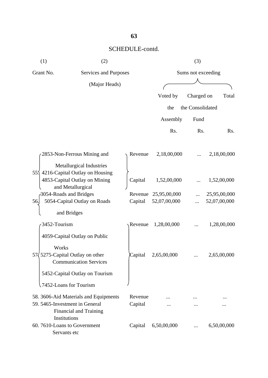| (1)                                         | (2)                                                             |         | (3)                |                  |              |  |
|---------------------------------------------|-----------------------------------------------------------------|---------|--------------------|------------------|--------------|--|
| Grant No.                                   | Services and Purposes                                           |         | Sums not exceeding |                  |              |  |
|                                             | (Major Heads)                                                   |         |                    |                  |              |  |
|                                             |                                                                 |         | Voted by           | Charged on       | Total        |  |
|                                             |                                                                 |         | the                | the Consolidated |              |  |
|                                             |                                                                 |         |                    |                  |              |  |
|                                             |                                                                 |         | Assembly           | Fund             |              |  |
|                                             |                                                                 |         | Rs.                | Rs.              | Rs.          |  |
|                                             |                                                                 |         |                    |                  |              |  |
|                                             | 2853-Non-Ferrous Mining and                                     | Revenue | 2,18,00,000        |                  | 2,18,00,000  |  |
|                                             | Metallurgical Industries                                        |         |                    |                  |              |  |
| 55                                          | 4216-Capital Outlay on Housing<br>4853-Capital Outlay on Mining | Capital | 1,52,00,000        |                  | 1,52,00,000  |  |
|                                             | and Metallurgical                                               |         |                    |                  |              |  |
| 3054-Roads and Bridges                      |                                                                 | Revenue | 25,95,00,000       |                  | 25,95,00,000 |  |
| 56.                                         | 5054-Capital Outlay on Roads                                    | Capital | 52,07,00,000       |                  | 52,07,00,000 |  |
|                                             | and Bridges                                                     |         |                    |                  |              |  |
| 3452-Tourism                                |                                                                 | Revenue | 1,28,00,000        |                  | 1,28,00,000  |  |
|                                             | 4059-Capital Outlay on Public                                   |         |                    |                  |              |  |
| Works                                       |                                                                 |         |                    |                  |              |  |
| $57\sqrt{5275}$ -Capital Outlay on other    |                                                                 | Capital | 2,65,00,000        |                  | 2,65,00,000  |  |
|                                             | <b>Communication Services</b>                                   |         |                    |                  |              |  |
|                                             | 5452-Capital Outlay on Tourism                                  |         |                    |                  |              |  |
| 7452-Loans for Tourism                      |                                                                 |         |                    |                  |              |  |
|                                             | 58. 3606-Aid Materials and Equipments                           | Revenue |                    |                  |              |  |
| 59. 5465-Investment in General              |                                                                 | Capital |                    |                  |              |  |
|                                             | <b>Financial and Training</b>                                   |         |                    |                  |              |  |
| Institutions                                |                                                                 |         |                    |                  |              |  |
| 60.7610-Loans to Government<br>Servants etc |                                                                 | Capital | 6,50,00,000        |                  | 6,50,00,000  |  |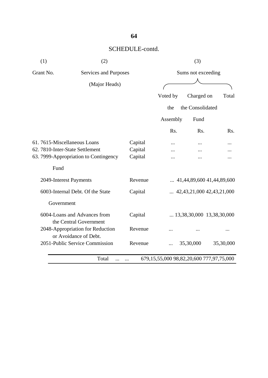| (1)                             | (2)                                                       |         |                                          | (3)              |                                    |
|---------------------------------|-----------------------------------------------------------|---------|------------------------------------------|------------------|------------------------------------|
| Grant No.                       | Services and Purposes                                     |         | Sums not exceeding                       |                  |                                    |
|                                 | (Major Heads)                                             |         |                                          |                  |                                    |
|                                 |                                                           |         | Voted by                                 | Charged on       | Total                              |
|                                 |                                                           |         | the                                      | the Consolidated |                                    |
|                                 |                                                           |         | Assembly                                 | Fund             |                                    |
|                                 |                                                           |         | Rs.                                      | Rs.              | Rs.                                |
| 61.7615-Miscellaneous Loans     |                                                           | Capital |                                          |                  |                                    |
| 62. 7810-Inter-State Settlement |                                                           | Capital |                                          |                  |                                    |
|                                 | 63. 7999-Appropriation to Contingency                     | Capital | .                                        |                  |                                    |
| Fund                            |                                                           |         |                                          |                  |                                    |
| 2049-Interest Payments          |                                                           | Revenue |                                          |                  | $\ldots$ 41,44,89,600 41,44,89,600 |
|                                 | 6003-Internal Debt. Of the State                          | Capital |                                          |                  | $\ldots$ 42,43,21,000 42,43,21,000 |
| Government                      |                                                           |         |                                          |                  |                                    |
|                                 | 6004-Loans and Advances from<br>the Central Government    | Capital |                                          |                  | $\ldots$ 13,38,30,000 13,38,30,000 |
|                                 | 2048-Appropriation for Reduction<br>or Avoidance of Debt. | Revenue |                                          |                  |                                    |
|                                 | 2051-Public Service Commission                            | Revenue |                                          | 35,30,000        | 35,30,000                          |
|                                 | Total                                                     |         | 679,15,55,000 98,82,20,600 777,97,75,000 |                  |                                    |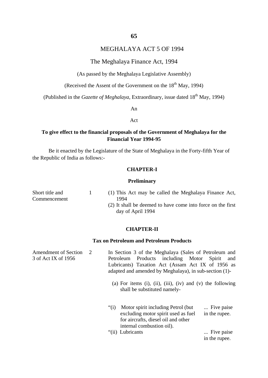#### MEGHALAYA ACT 5 OF 1994

#### The Meghalaya Finance Act, 1994

(As passed by the Meghalaya Legislative Assembly)

(Received the Assent of the Government on the  $18<sup>th</sup>$  May, 1994)

(Published in the *Gazette of Meghalaya*, Extraordinary, issue dated 18<sup>th</sup> May, 1994)

An

Act

#### **To give effect to the financial proposals of the Government of Meghalaya for the Financial Year 1994-95**

Be it enacted by the Legislature of the State of Meghalaya in the Forty-fifth Year of the Republic of India as follows:-

#### **CHAPTER-I**

#### **Preliminary**

| Short title and | (1) This Act may be called the Meghalaya Finance Act,       |
|-----------------|-------------------------------------------------------------|
| Commencement    | 1994.                                                       |
|                 | (2) It shall be deemed to have come into force on the first |

ed to have come into force on the first day of April 1994

#### **CHAPTER-II**

#### **Tax on Petroleum and Petroleum Products**

Amendment of Section 2 In Section 3 of the Meghalaya (Sales of Petroleum and 3 of Act IX of 1956 Petroleum Products including Motor Spirit and Lubricants) Taxation Act (Assam Act IX of 1956 as adapted and amended by Meghalaya), in sub-section (1)-

- (a) For items (i), (ii), (iii), (iv) and (v) the following shall be substituted namely-
- "(i) Motor spirit including Petrol (but ... Five paise excluding motor spirit used as fuel in the rupee. for aircrafts, diesel oil and other internal combustion oil). "(ii) Lubricants ... Five paise

in the rupee.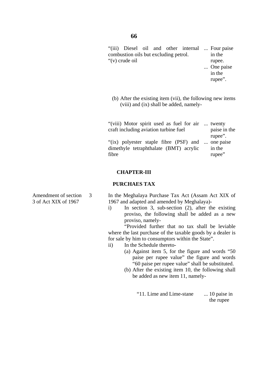#### **66**

"(iii) Diesel oil and other internal ... Four paise combustion oils but excluding petrol. r and the state of the state of the state of the state of the state of the state of the state of the state of the state of the state of the state of the state of the state of the state of the state of the state of the stat n the "(v) crude oil rupee.

- ... One paise in the rupee".
	- (b) After the existing item (vii), the following new items (viii) and (ix) shall be added, namely-

"(viii) Motor spirit used as fuel for air ... twenty craft including aviation turbine fuel paise in the rupee". "(ix) polyester staple fibre (PSF) and ... one paise dimethyle tetraphthalate (BMT) acrylic in the fibre rupee"

#### **CHAPTER-III**

#### **PURCHAES TAX**

- Amendment of section 3 In the Meghalaya Purchase Tax Act (Assam Act XIX of 3 of Act XIX of 1967 1967 and adapted and amended by Meghalaya)
	- i) In section 3, sub-section (2), after the existing proviso, the following shall be added as a new proviso, namely-

 "Provided further that no tax shall be leviable where the last purchase of the taxable goods by a dealer is for sale by him to consumptors within the State".

- ii) In the Schedule thereto-
	- (a) Against item 5, for the figure and words "50 paise per rupee value" the figure and words "60 paise per rupee value" shall be substituted.
	- (b) After the existing item 10, the following shall be added as new item 11, namely-

 "11. Lime and Lime-stane ... 10 paise in the rupee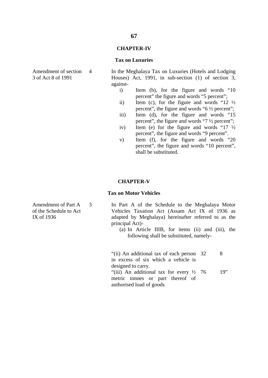#### **CHAPTER-IV**

#### **Tax on Luxuries**

Amendment of section 4 In the Meghalaya Tax on Luxuries (Hotels and Lodging 3 of Act 8 of 1991 Houses) Act, 1991, in sub-section (1) of section 3, against-

- i) Item (b), for the figure and words "10 percent" the figure and words "5 percent";
- ii) Item (c), for the figure and words " $12 \frac{1}{2}$ percent", the figure and words "6 ½ percent";
- iii) Item (d), for the figure and words "15 percent", the figure and words "7 ½ percent";
- iv) Item (e) for the figure and words " $17 \frac{1}{2}$ percent", the figure and words "9 percent".
- v) Item (f), for the figure and words "20 percent", the figure and words "10 percent", shall be substituted.

#### **CHAPTER-V**

#### **Tax on Motor Vehicles**

Amendment of Part A 3 In Part A of the Schedule to the Meghalaya Motor of the Schedule to Act Vehicles Taxation Act (Assam Act IX of 1936 as IX of 1936 adapted by Meghalaya) hereinafter referred to as the principal Act)-

> (a) In Article IIIB, for items (ii) and (iii), the following shall be substituted, namely-

"(ii) An additional tax of each person 32 8 in excess of six which a vehicle is designed to carry. "(iii) An additional tax for every  $\frac{1}{2}$  76 19" metric tonnes or part thereof of authorised load of goods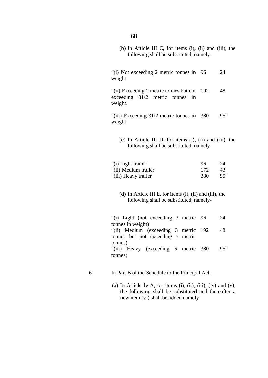|   | (b) In Article III C, for items (i), (ii) and (iii), the<br>following shall be substituted, namely-                   |                  |                 |
|---|-----------------------------------------------------------------------------------------------------------------------|------------------|-----------------|
|   | "(i) Not exceeding 2 metric tonnes in<br>weight                                                                       | - 96             | 24              |
|   | "(ii) Exceeding 2 metric tonnes but not<br>exceeding $31/2$<br>metric<br>tonnes<br>in<br>weight.                      | -192             | 48              |
|   | "(iii) Exceeding 31/2 metric tonnes in<br>weight                                                                      | 380              | 95"             |
|   | (c) In Article III D, for items (i), (ii) and (iii), the<br>following shall be substituted, namely-                   |                  |                 |
|   | "(i) Light trailer<br>"(ii) Medium trailer<br>"(iii) Heavy trailer                                                    | 96<br>172<br>380 | 24<br>43<br>95" |
|   | (d) In Article III E, for items $(i)$ , $(ii)$ and $(iii)$ , the<br>following shall be substituted, namely-           |                  |                 |
|   | "(i) Light (not exceeding 3 metric<br>tonnes in weight)                                                               | 96               | 24              |
|   | "(ii) Medium (exceeding 3 metric<br>tonnes but not exceeding 5 metric                                                 | 192              | 48              |
|   | tonnes)<br>"(iii) Heavy (exceeding 5 metric 380<br>tonnes)                                                            |                  | 95"             |
| 6 | In Part B of the Schedule to the Principal Act.                                                                       |                  |                 |
|   | (a) In Article Iv A, for items (i), (ii), (iii), (iv) and (v),<br>the following shall be substituted and thereafter a |                  |                 |

new item (vi) shall be added namely-

**68**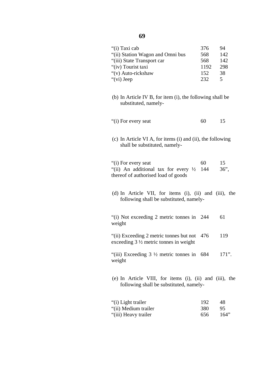#### **69**

| 376  | 94   |
|------|------|
| 568  | 142. |
| 568  | 142  |
| 1192 | 298  |
| 152  | 38   |
| 232  | 5    |
|      |      |

- (b) In Article IV B, for item (i), the following shall be substituted, namely-
- "(i) For every seat 60 15
- (c) In Article VI A, for items (i) and (ii), the following shall be substituted, namely-

| "(i) For every seat                                 | 60. | 15      |
|-----------------------------------------------------|-----|---------|
| "(ii) An additional tax for every $\frac{1}{2}$ 144 |     | $36$ ", |
| thereof of authorised load of goods                 |     |         |

- (d) In Article VII, for items (i), (ii) and (iii), the following shall be substituted, namely-
- "(i) Not exceeding 2 metric tonnes in 244 61 weight
- "(ii) Exceeding 2 metric tonnes but not 476 119 exceeding 3 ½ metric tonnes in weight

"(iii) Exceeding  $3\frac{1}{2}$  metric tonnes in 684 171". weight

(e) In Article VIII, for items (i), (ii) and (iii), the following shall be substituted, namely-

| "(i) Light trailer   | 192 | 48   |
|----------------------|-----|------|
| "(ii) Medium trailer | 380 | -95  |
| "(iii) Heavy trailer | 656 | 164" |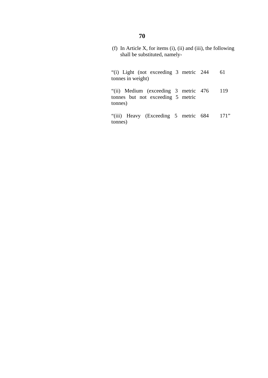(f) In Article X, for items (i), (ii) and (iii), the following shall be substituted, namely-

"(i) Light (not exceeding 3 metric 244 61) tonnes in weight) "(ii) Medium (exceeding 3 metric 476 119 tonnes but not exceeding 5 metric

"(iii) Heavy (Exceeding 5 metric 684 171" tonnes)

#### **70**

tonnes)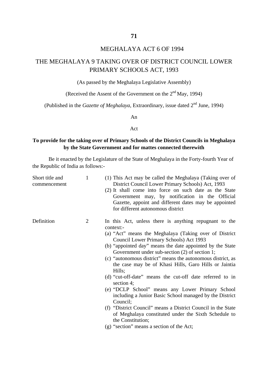### MEGHALAYA ACT 6 OF 1994

### THE MEGHALAYA 9 TAKING OVER OF DISTRICT COUNCIL LOWER PRIMARY SCHOOLS ACT, 1993

(As passed by the Meghalaya Legislative Assembly)

(Received the Assent of the Government on the  $2<sup>nd</sup>$  May, 1994)

(Published in the *Gazette of Meghalaya*, Extraordinary, issue dated 2<sup>nd</sup> June, 1994)

An

Act

### **To provide for the taking over of Primary Schools of the District Councils in Meghalaya by the State Government and for mattes connected therewith**

Be it enacted by the Legislature of the State of Meghalaya in the Forty-fourth Year of the Republic of India as follows:-

| Short title and<br>commencement | 1              | (1) This Act may be called the Meghalaya (Taking over of<br>District Council Lower Primary Schools) Act, 1993<br>(2) It shall come into force on such date as the State<br>Government may, by notification in the Official<br>Gazette, appoint and different dates may be appointed<br>for different autonomous district                                                                                                                                                                                                                                                                                                                                                                                                                                                                                                   |
|---------------------------------|----------------|----------------------------------------------------------------------------------------------------------------------------------------------------------------------------------------------------------------------------------------------------------------------------------------------------------------------------------------------------------------------------------------------------------------------------------------------------------------------------------------------------------------------------------------------------------------------------------------------------------------------------------------------------------------------------------------------------------------------------------------------------------------------------------------------------------------------------|
| Definition                      | $\overline{2}$ | In this Act, unless there is anything repugnant to the<br>context:-<br>(a) "Act" means the Meghalaya (Taking over of District<br>Council Lower Primary Schools) Act 1993<br>(b) "appointed day" means the date appointed by the State<br>Government under sub-section $(2)$ of section 1;<br>(c) "autonomous district" means the autonomous district, as<br>the case may be of Khasi Hills, Garo Hills or Jaintia<br>Hills;<br>(d) "cut-off-date" means the cut-off date referred to in<br>section 4;<br>(e) "DCLP School" means any Lower Primary School<br>including a Junior Basic School managed by the District<br>Council;<br>(f) "District Council" means a District Council in the State<br>of Meghalaya constituted under the Sixth Schedule to<br>the Constitution;<br>(g) "section" means a section of the Act; |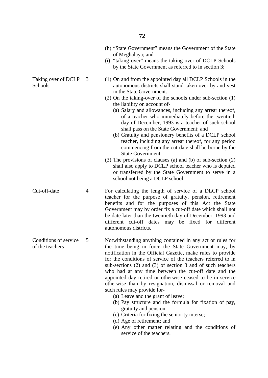- (h) "State Government" means the Government of the State of Meghalaya; and
- (i) "taking over" means the taking over of DCLP Schools by the State Government as referred to in section 3;
- Taking over of DCLP 3 (1) On and from the appointed day all DCLP Schools in the Schools autonomous districts shall stand taken over by and vest in the State Government.
	- (2) On the taking-over of the schools under sub-section (1) the liability on account of-
		- (a) Salary and allowances, including any arrear thereof, of a teacher who immediately before the twentieth day of December, 1993 is a teacher of such school shall pass on the State Government; and
		- (b) Gratuity and pensionery benefits of a DCLP school teacher, including any arrear thereof, for any period commencing from the cut-date shall be borne by the State Government.
	- (3) The provisions of clauses (a) and (b) of sub-section (2) shall also apply to DCLP school teacher who is deputed or transferred by the State Government to serve in a school not being a DCLP school.
- Cut-off-date 4 For calculating the length of service of a DLCP school teacher for the purpose of gratuity, pension, retirement benefits and for the purposes of this Act the State Government may by order fix a cut-off date which shall not be date later than the twentieth day of December, 1993 and different cut-off dates may be fixed for different autonomous districts.
- Conditions of service 5 Notwithstanding anything contained in any act or rules for of the teachers the time being in force the State Government may, by notification in the Official Gazette, make rules to provide for the conditions of service of the teachers referred to in sub-sections (2) and (3) of section 3 and of such teachers who had at any time between the cut-off date and the appointed day retired or otherwise ceased to be in service otherwise than by resignation, dismissal or removal and such rules may provide for-
	- (a) Leave and the grant of leave;
	- (b) Pay structure and the formula for fixation of pay, gratuity and pension.
	- (c) Criteria for fixing the seniority interse;
	- (d) Age of retirement; and
	- (e) Any other matter relating and the conditions of service of the teachers.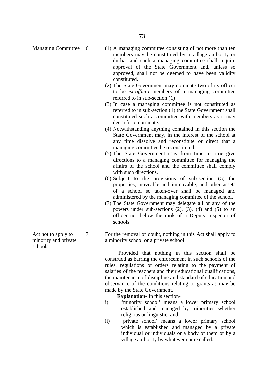- Managing Committee 6 (1) A managing committee consisting of not more than ten members may be constituted by a village authority or durbar and such a managing committee shall require approval of the State Government and, unless so approved, shall not be deemed to have been validity constituted.
	- (2) The State Government may nominate two of its officer to be *ex-officio* members of a managing committee referred to in sub-section (1)
	- (3) In case a managing committee is not constituted as referred to in sub-section (1) the State Government shall constituted such a committee with members as it may deem fit to nominate.
	- (4) Notwithstanding anything contained in this section the State Government may, in the interest of the school at any time dissolve and reconstitute or direct that a managing committee be reconstituted.
	- (5) The State Government may from time to time give directions to a managing committee for managing the affairs of the school and the committee shall comply with such directions.
	- (6) Subject to the provisions of sub-section (5) the properties, moveable and immovable, and other assets of a school so taken-over shall be managed and administered by the managing committee of the school.
	- (7) The State Government may delegate all or any of the powers under sub-sections  $(2)$ ,  $(3)$ ,  $(4)$  and  $(5)$  to an officer not below the rank of a Deputy Inspector of schools.
- Act not to apply to  $\overline{7}$  For the removal of doubt, nothing in this Act shall apply to minority and private a minority school or a private school

 Provided that nothing in this section shall be construed as barring the enforcement in such schools of the rules, regulations or orders relating to the payment of salaries of the teachers and their educational qualifications, the maintenance of discipline and standard of education and observance of the conditions relating to grants as may be made by the State Government.

**Explanation-** In this section-

- i) 'minority school' means a lower primary school established and managed by minorities whether religious or linguistic; and
- ii) 'private school' means a lower primary school which is established and managed by a private individual or individuals or a body of them or by a village authority by whatever name called.

schools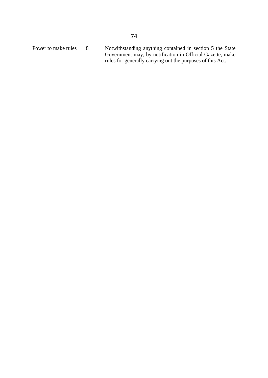Power to make rules 8 Notwithstanding anything contained in section 5 the State Government may, by notification in Official Gazette, make rules for generally carrying out the purposes of this Act.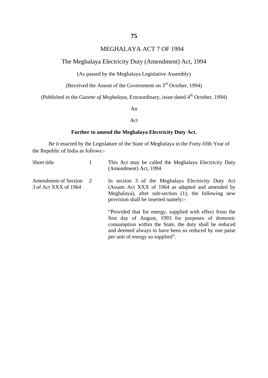### MEGHALAYA ACT 7 OF 1994

#### The Meghalaya Electricity Duty (Amendment) Act, 1994

(As passed by the Meghalaya Legislative Assembly)

(Received the Assent of the Government on  $3<sup>rd</sup>$  October, 1994)

(Published in the *Gazette of Meghalaya*, Extraordinary, issue dated 4<sup>th</sup> October, 1994)

An

#### Act

#### **Further to amend the Meghalaya Electricity Duty Act.**

Be it enacted by the Legislature of the State of Meghalaya in the Forty-fifth Year of the Republic of India as follows:-

| Short title                                         |    | This Act may be called the Meghalaya Electricity Duty<br>(Amendment) Act, 1994                                                                                                                                                      |
|-----------------------------------------------------|----|-------------------------------------------------------------------------------------------------------------------------------------------------------------------------------------------------------------------------------------|
| <b>Amendment of Section</b><br>3 of Act XXX of 1964 | -2 | In section 3 of the Meghalaya Electricity Duty Act<br>(Assam Act XXX of 1964 as adapted and amended by<br>Meghalaya), after sub-section (1), the following new<br>provision shall be inserted namely:-                              |
|                                                     |    | "Provided that for energy, supplied with effect from the<br>first day of August, 1993 for purposes of domestic<br>consumption within the State, the duty shall be reduced<br>and deemed always to have been so reduced by one paise |

per unit of energy so supplied".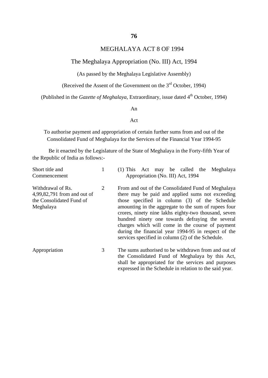### MEGHALAYA ACT 8 OF 1994

#### The Meghalaya Appropriation (No. III) Act, 1994

(As passed by the Meghalaya Legislative Assembly)

(Received the Assent of the Government on the  $3<sup>rd</sup>$  October, 1994)

(Published in the *Gazette of Meghalaya*, Extraordinary, issue dated 4<sup>th</sup> October, 1994)

#### An

#### Act

To authorise payment and appropriation of certain further sums from and out of the Consolidated Fund of Meghalaya for the Services of the Financial Year 1994-95

Be it enacted by the Legislature of the State of Meghalaya in the Forty-fifth Year of the Republic of India as follows:-

| Short title and<br>Commencement                                                           |   | (1) This Act may be called the Meghalaya<br>Appropriation (No. III) Act, 1994                                                                                                                                                                                                                                                                                                                                                                                                               |
|-------------------------------------------------------------------------------------------|---|---------------------------------------------------------------------------------------------------------------------------------------------------------------------------------------------------------------------------------------------------------------------------------------------------------------------------------------------------------------------------------------------------------------------------------------------------------------------------------------------|
| Withdrawal of Rs.<br>4,99,82,791 from and out of<br>the Consolidated Fund of<br>Meghalaya | 2 | From and out of the Consolidated Fund of Meghalaya<br>there may be paid and applied sums not exceeding<br>those specified in column (3) of the Schedule<br>amounting in the aggregate to the sum of rupees four<br>crores, ninety nine lakhs eighty-two thousand, seven<br>hundred ninety one towards defraying the several<br>charges which will come in the course of payment<br>during the financial year 1994-95 in respect of the<br>services specified in column (2) of the Schedule. |
| Appropriation                                                                             | 3 | The sums authorised to be withdrawn from and out of<br>the Consolidated Fund of Meghalaya by this Act,<br>shall be appropriated for the services and purposes                                                                                                                                                                                                                                                                                                                               |

expressed in the Schedule in relation to the said year.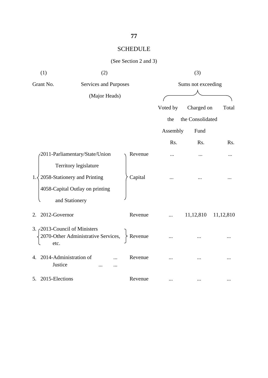# SCHEDULE

### (See Section 2 and 3)

| (1)                                          | (2)                                                     |           | (3)      |                    |           |
|----------------------------------------------|---------------------------------------------------------|-----------|----------|--------------------|-----------|
| Grant No.                                    | Services and Purposes                                   |           |          | Sums not exceeding |           |
|                                              | (Major Heads)                                           |           |          |                    |           |
|                                              |                                                         |           | Voted by | Charged on         | Total     |
|                                              |                                                         |           | the      | the Consolidated   |           |
|                                              |                                                         |           | Assembly | Fund               |           |
|                                              |                                                         |           | Rs.      | Rs.                | Rs.       |
|                                              | 2011-Parliamentary/State/Union<br>Territory legislature | Revenue   |          |                    |           |
| 1.                                           | 2058-Stationery and Printing                            | Capital   |          |                    |           |
|                                              | 4058-Capital Outlay on printing<br>and Stationery       |           |          |                    |           |
| 2. 2012-Governor                             |                                                         | Revenue   |          | 11,12,810          | 11,12,810 |
| 3. $\zeta$ 2013-Council of Ministers<br>etc. | 2070-Other Administrative Services,                     | - Revenue |          |                    |           |
| 4. 2014-Administration of<br>Justice         |                                                         | Revenue   |          |                    |           |
| 2015-Elections<br>5.                         |                                                         | Revenue   |          |                    |           |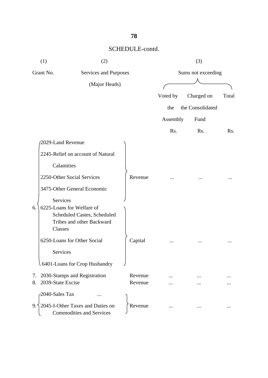| (1)<br>(2) |                                                                     |         | (3)      |                    |       |
|------------|---------------------------------------------------------------------|---------|----------|--------------------|-------|
|            | Grant No.<br>Services and Purposes                                  |         |          | Sums not exceeding |       |
|            | (Major Heads)                                                       |         |          |                    |       |
|            |                                                                     |         | Voted by | Charged on         | Total |
|            |                                                                     |         | the      | the Consolidated   |       |
|            |                                                                     |         | Assembly | Fund               |       |
|            |                                                                     |         | Rs.      | Rs.                | Rs.   |
|            | 2029-Land Revenue                                                   |         |          |                    |       |
|            | 2245-Relief on account of Natural                                   |         |          |                    |       |
|            | Calamities                                                          |         |          |                    |       |
|            | 2250-Other Social Services                                          | Revenue |          |                    |       |
|            | 3475-Other General Economic                                         |         |          |                    |       |
| 6.         | Services<br>6225-Loans for Welfare of                               |         |          |                    |       |
|            | <b>Scheduled Castes, Scheduled</b>                                  |         |          |                    |       |
|            | Tribes and other Backward<br>Classes                                |         |          |                    |       |
|            | 6250-Loans for Other Social                                         |         |          |                    |       |
|            |                                                                     | Capital |          |                    |       |
|            | Services                                                            |         |          |                    |       |
|            | 6401-Loans for Crop Husbandry                                       |         |          |                    |       |
| 7.         | 2030-Stamps and Registration                                        | Revenue |          |                    |       |
| 8.         | 2039-State Excise                                                   | Revenue |          |                    |       |
|            | 2040-Sales Tax                                                      |         |          |                    |       |
| 9.         | 2045-I-Other Taxes and Duties on<br><b>Commodities and Services</b> | Revenue |          |                    |       |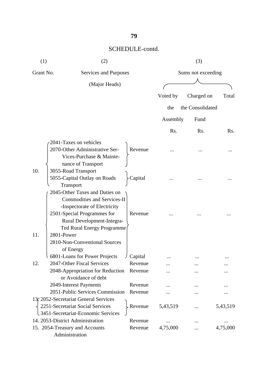| (1)       | (2)                                                                                                                                                 |           |          | (3)                |          |
|-----------|-----------------------------------------------------------------------------------------------------------------------------------------------------|-----------|----------|--------------------|----------|
| Grant No. | Services and Purposes                                                                                                                               |           |          | Sums not exceeding |          |
|           | (Major Heads)                                                                                                                                       |           |          |                    |          |
|           |                                                                                                                                                     |           | Voted by | Charged on         | Total    |
|           |                                                                                                                                                     |           | the      | the Consolidated   |          |
|           |                                                                                                                                                     |           | Assembly | Fund               |          |
|           |                                                                                                                                                     |           | Rs.      | Rs.                | Rs.      |
| 10.       | 2041-Taxes on vehicles<br>2070-Other Administrative Ser-<br>Vices-Purchase & Mainte-<br>nance of Transport<br>3055-Road Transport                   | Revenue   |          |                    |          |
|           | 5055-Capital Outlay on Roads<br>Transport<br>2045-Other Taxes and Duties on<br><b>Commodities and Services-II</b><br>-Inspectorate of Electricity   | Capital   |          |                    |          |
| 11.       | 2501-Special Programmes for<br>Rural Development-Integra-<br>Ted Rural Energy Programme<br>2801-Power<br>2810-Non-Conventional Sources<br>of Energy | Revenue   |          |                    |          |
|           | 6801-Loans for Power Projects                                                                                                                       | / Capital |          |                    |          |
| 12.       | 2047-Other Fiscal Services                                                                                                                          | Revenue   |          |                    |          |
|           | 2048-Appropriation for Reduction<br>or Avoidance of debt                                                                                            | Revenue   |          |                    |          |
|           | 2049-Interest Payments                                                                                                                              | Revenue   |          |                    |          |
|           | 2051-Public Services Commission                                                                                                                     | Revenue   |          |                    |          |
|           | 13 c2052-Secretariat General Services<br>2251-Secretariat Social Services<br>3451-Secretariat-Economic Services                                     | Revenue   | 5,43,519 |                    | 5,43,519 |
|           | 14. 2053-District Administration                                                                                                                    | Revenue   |          |                    |          |
|           | 15. 2054-Treasury and Accounts<br>Administration                                                                                                    | Revenue   | 4,75,000 |                    | 4,75,000 |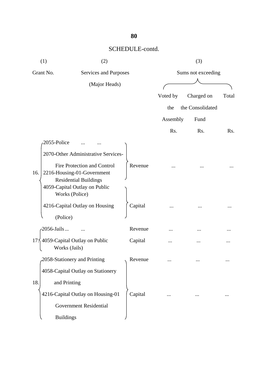| (1)                 | (2)<br>(3)                                                                      |         |          |                    |       |
|---------------------|---------------------------------------------------------------------------------|---------|----------|--------------------|-------|
| Grant No.           | Services and Purposes                                                           |         |          | Sums not exceeding |       |
|                     | (Major Heads)                                                                   |         |          |                    |       |
|                     |                                                                                 |         | Voted by | Charged on         | Total |
|                     |                                                                                 |         | the      | the Consolidated   |       |
|                     |                                                                                 |         | Assembly | Fund               |       |
|                     |                                                                                 |         | Rs.      | Rs.                | Rs.   |
| 2055-Police         |                                                                                 |         |          |                    |       |
|                     | 2070-Other Administrative Services-                                             |         |          |                    |       |
| 16.                 | Fire Protection and Control<br>2216-Housing-01-Government                       | Revenue |          |                    |       |
|                     | <b>Residential Buildings</b><br>4059-Capital Outlay on Public<br>Works (Police) |         |          |                    |       |
|                     | 4216-Capital Outlay on Housing                                                  | Capital |          |                    |       |
| (Police)            |                                                                                 |         |          |                    |       |
| $-2056$ -Jails      |                                                                                 | Revenue |          |                    |       |
|                     | 17.5 4059-Capital Outlay on Public<br>Works (Jails)                             | Capital |          |                    |       |
|                     | 2058-Stationery and Printing                                                    | Revenue |          |                    |       |
|                     | 4058-Capital Outlay on Stationery                                               |         |          |                    |       |
| 18.<br>and Printing |                                                                                 |         |          |                    |       |
|                     | 4216-Capital Outlay on Housing-01                                               | Capital |          |                    |       |
|                     | <b>Government Residential</b>                                                   |         |          |                    |       |
| <b>Buildings</b>    |                                                                                 |         |          |                    |       |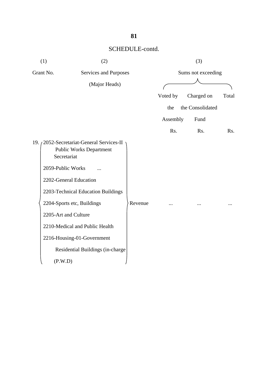| (1)<br>(2)                                                          |                                                                                                                                                                                                                                                                               | (3)     |          |                    |       |
|---------------------------------------------------------------------|-------------------------------------------------------------------------------------------------------------------------------------------------------------------------------------------------------------------------------------------------------------------------------|---------|----------|--------------------|-------|
| Grant No.                                                           | Services and Purposes                                                                                                                                                                                                                                                         |         |          | Sums not exceeding |       |
|                                                                     | (Major Heads)                                                                                                                                                                                                                                                                 |         |          |                    |       |
|                                                                     |                                                                                                                                                                                                                                                                               |         | Voted by | Charged on         | Total |
|                                                                     |                                                                                                                                                                                                                                                                               |         | the      | the Consolidated   |       |
|                                                                     |                                                                                                                                                                                                                                                                               |         | Assembly | Fund               |       |
|                                                                     |                                                                                                                                                                                                                                                                               |         | Rs.      | Rs.                | Rs.   |
| Secretariat<br>2059-Public Works<br>2205-Art and Culture<br>(P.W.D) | 19. (2052-Secretariat-General Services-II<br><b>Public Works Department</b><br>2202-General Education<br>2203-Technical Education Buildings<br>2204-Sports etc, Buildings<br>2210-Medical and Public Health<br>2216-Housing-01-Government<br>Residential Buildings (in-charge | Revenue |          |                    |       |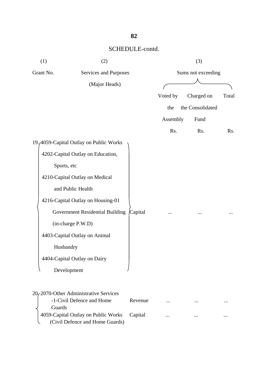| (1)       | (2)                                                                          |         |          | (3)                |       |
|-----------|------------------------------------------------------------------------------|---------|----------|--------------------|-------|
| Grant No. | Services and Purposes                                                        |         |          | Sums not exceeding |       |
|           | (Major Heads)                                                                |         |          |                    |       |
|           |                                                                              |         | Voted by | Charged on         | Total |
|           |                                                                              |         | the      | the Consolidated   |       |
|           |                                                                              |         | Assembly | Fund               |       |
|           |                                                                              |         | Rs.      | Rs.                | Rs.   |
|           | 19. <sub>(4059</sub> -Capital Outlay on Public Works                         |         |          |                    |       |
|           | 4202-Capital Outlay on Education,                                            |         |          |                    |       |
|           | Sports, etc                                                                  |         |          |                    |       |
|           | 4210-Capital Outlay on Medical                                               |         |          |                    |       |
|           | and Public Health                                                            |         |          |                    |       |
|           | 4216-Capital Outlay on Housing-01                                            |         |          |                    |       |
|           | Government Residential Building                                              | Capital |          |                    |       |
|           | (in-charge P.W.D)                                                            |         |          |                    |       |
|           | 4403-Capital Outlay on Animal                                                |         |          |                    |       |
|           | Husbandry                                                                    |         |          |                    |       |
|           | 4404-Capital Outlay on Dairy                                                 |         |          |                    |       |
|           | Development                                                                  |         |          |                    |       |
|           |                                                                              |         |          |                    |       |
|           | 20-2070-Other Administrative Services<br>-1-Civil Defence and Home<br>Guards | Revenue |          |                    |       |
|           | 4059-Capital Outlay on Public Works<br>(Civil Defence and Home Guards)       | Capital |          |                    |       |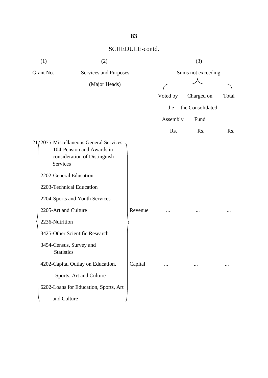| (1)                    | (2)                                                                                                  |         |          |                    | (3)              |  |  |  |
|------------------------|------------------------------------------------------------------------------------------------------|---------|----------|--------------------|------------------|--|--|--|
| Grant No.              | Services and Purposes                                                                                |         |          | Sums not exceeding |                  |  |  |  |
|                        | (Major Heads)                                                                                        |         |          |                    |                  |  |  |  |
|                        |                                                                                                      |         | Voted by | Charged on         | Total            |  |  |  |
|                        |                                                                                                      |         | the      | the Consolidated   |                  |  |  |  |
|                        |                                                                                                      |         | Assembly | Fund               |                  |  |  |  |
|                        |                                                                                                      |         | Rs.      | Rs.                | R <sub>s</sub> . |  |  |  |
| Services               | 21/2075-Miscellaneous General Services<br>-104-Pension and Awards in<br>consideration of Distinguish |         |          |                    |                  |  |  |  |
| 2202-General Education |                                                                                                      |         |          |                    |                  |  |  |  |
|                        | 2203-Technical Education                                                                             |         |          |                    |                  |  |  |  |
|                        | 2204-Sports and Youth Services                                                                       |         |          |                    |                  |  |  |  |
| 2205-Art and Culture   |                                                                                                      | Revenue |          |                    |                  |  |  |  |
| 2236-Nutrition         |                                                                                                      |         |          |                    |                  |  |  |  |
|                        | 3425-Other Scientific Research                                                                       |         |          |                    |                  |  |  |  |
| <b>Statistics</b>      | 3454-Census, Survey and                                                                              |         |          |                    |                  |  |  |  |
|                        | 4202-Capital Outlay on Education,                                                                    | Capital |          |                    |                  |  |  |  |
|                        | Sports, Art and Culture                                                                              |         |          |                    |                  |  |  |  |
|                        | 6202-Loans for Education, Sports, Art                                                                |         |          |                    |                  |  |  |  |
| and Culture            |                                                                                                      |         |          |                    |                  |  |  |  |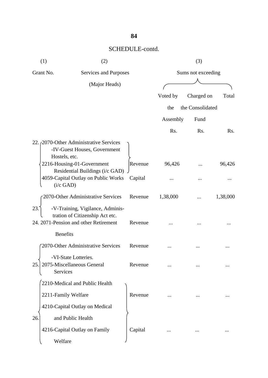| (1)       | (2)                                                                                                          |         | (3)      |                    |          |
|-----------|--------------------------------------------------------------------------------------------------------------|---------|----------|--------------------|----------|
| Grant No. | Services and Purposes                                                                                        |         |          | Sums not exceeding |          |
|           | (Major Heads)                                                                                                |         |          |                    |          |
|           |                                                                                                              |         | Voted by | Charged on         | Total    |
|           |                                                                                                              |         | the      | the Consolidated   |          |
|           |                                                                                                              |         | Assembly | Fund               |          |
|           |                                                                                                              |         | Rs.      | Rs.                | Rs.      |
|           | 22. $(2070$ -Other Administrative Services<br>-IV-Guest Houses, Government<br>Hostels, etc.                  |         |          |                    |          |
|           | 2216-Housing-01-Government<br>Residential Buildings (i/c GAD)                                                | Revenue | 96,426   |                    | 96,426   |
|           | 4059-Capital Outlay on Public Works<br>$(i/c$ GAD)                                                           | Capital |          |                    |          |
|           | 2070-Other Administrative Services                                                                           | Revenue | 1,38,000 |                    | 1,38,000 |
| 23.       | -V-Training, Vigilance, Adminis-<br>tration of Citizenship Act etc.<br>24. 2071-Pension and other Retirement | Revenue |          |                    |          |
|           | <b>Benefits</b>                                                                                              |         |          |                    |          |
|           | 2070-Other Administrative Services                                                                           | Revenue |          |                    |          |
| 25.       | -VI-State Lotteries.<br>2075-Miscellaneous General<br>Services                                               | Revenue |          |                    |          |
|           | 2210-Medical and Public Health                                                                               |         |          |                    |          |
|           | 2211-Family Welfare                                                                                          | Revenue |          |                    |          |
|           | 4210-Capital Outlay on Medical                                                                               |         |          |                    |          |
| 26        | and Public Health                                                                                            |         |          |                    |          |
|           | 4216-Capital Outlay on Family                                                                                | Capital |          |                    |          |
|           | Welfare                                                                                                      |         |          |                    |          |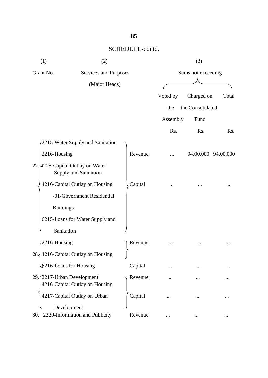|     | (1)<br>(2)                                                       |         | (3)      |                     |       |
|-----|------------------------------------------------------------------|---------|----------|---------------------|-------|
|     | Grant No.<br>Services and Purposes                               |         |          | Sums not exceeding  |       |
|     | (Major Heads)                                                    |         |          |                     |       |
|     |                                                                  |         | Voted by | Charged on          | Total |
|     |                                                                  |         | the      | the Consolidated    |       |
|     |                                                                  |         | Assembly | Fund                |       |
|     |                                                                  |         | Rs.      | Rs.                 | Rs.   |
|     | 2215-Water Supply and Sanitation                                 |         |          |                     |       |
|     | 2216-Housing                                                     | Revenue |          | 94,00,000 94,00,000 |       |
|     | 27. 4215-Capital Outlay on Water<br><b>Supply and Sanitation</b> |         |          |                     |       |
|     | 4216-Capital Outlay on Housing                                   | Capital |          |                     |       |
|     | -01-Government Residential                                       |         |          |                     |       |
|     | <b>Buildings</b>                                                 |         |          |                     |       |
|     | 6215-Loans for Water Supply and                                  |         |          |                     |       |
|     | Sanitation                                                       |         |          |                     |       |
|     | 2216-Housing                                                     | Revenue |          |                     |       |
|     | 28 4216-Capital Outlay on Housing                                |         |          |                     |       |
|     | 6216-Loans for Housing                                           | Capital |          |                     |       |
|     | 29. (2217-Urban Development<br>4216-Capital Outlay on Housing    | Revenue |          |                     |       |
|     | 4217-Capital Outlay on Urban                                     | Capital |          |                     |       |
| 30. | Development<br>2220-Information and Publicity                    | Revenue | $\cdots$ |                     |       |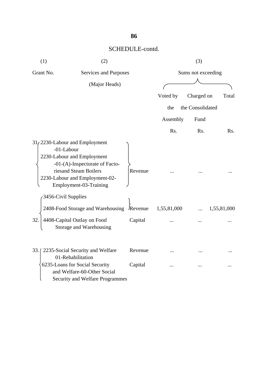| (1)       | (2)                                                                                                                                                                                                                                                                                                                        |                               |                    | (3)              |             |
|-----------|----------------------------------------------------------------------------------------------------------------------------------------------------------------------------------------------------------------------------------------------------------------------------------------------------------------------------|-------------------------------|--------------------|------------------|-------------|
| Grant No. | Services and Purposes                                                                                                                                                                                                                                                                                                      |                               | Sums not exceeding |                  |             |
|           | (Major Heads)                                                                                                                                                                                                                                                                                                              |                               |                    |                  |             |
|           |                                                                                                                                                                                                                                                                                                                            |                               | Voted by           | Charged on       | Total       |
|           |                                                                                                                                                                                                                                                                                                                            |                               | the                | the Consolidated |             |
|           |                                                                                                                                                                                                                                                                                                                            |                               | Assembly           | Fund             |             |
|           |                                                                                                                                                                                                                                                                                                                            |                               | Rs.                | Rs.              | Rs.         |
| 32.       | 31, 2230-Labour and Employment<br>-01-Labour<br>2230-Labour and Employment<br>$-01-(A)$ -Inspectorate of Facto-<br>riesand Steam Boilers<br>2230-Labour and Employment-02-<br>Employment-03-Training<br>3456-Civil Supplies<br>2408-Food Storage and Warehousing<br>4408-Capital Outlay on Food<br>Storage and Warehousing | Revenue<br>Revenue<br>Capital | 1,55,81,000        |                  | 1,55,81,000 |
| 33. (     | 2235-Social Security and Welfare<br>01-Rehabilitation                                                                                                                                                                                                                                                                      | Revenue                       |                    |                  |             |
|           | 6235-Loans for Social Security<br>and Welfare-60-Other Social<br>Security and Welfare Programmes                                                                                                                                                                                                                           | Capital                       |                    |                  |             |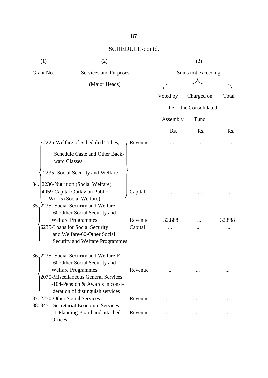| (1)                            | (2)                                                                                                        |         |                    | (3)              |        |  |  |
|--------------------------------|------------------------------------------------------------------------------------------------------------|---------|--------------------|------------------|--------|--|--|
| Grant No.                      | Services and Purposes                                                                                      |         | Sums not exceeding |                  |        |  |  |
|                                | (Major Heads)                                                                                              |         |                    |                  |        |  |  |
|                                |                                                                                                            |         | Voted by           | Charged on       | Total  |  |  |
|                                |                                                                                                            |         | the                | the Consolidated |        |  |  |
|                                |                                                                                                            |         | Assembly           | Fund             |        |  |  |
|                                |                                                                                                            |         | Rs.                | Rs.              | Rs.    |  |  |
|                                | 2225-Welfare of Scheduled Tribes,                                                                          | Revenue |                    |                  |        |  |  |
| ward Classes                   | Schedule Caste and Other Back-                                                                             |         |                    |                  |        |  |  |
|                                | 2235- Social Security and Welfare                                                                          |         |                    |                  |        |  |  |
| 34.                            | 2236-Nutrition (Social Welfare)<br>4059-Capital Outlay on Public                                           | Capital |                    |                  |        |  |  |
|                                | Works (Social Welfare)<br>35. 2235 - Social Security and Welfare<br>-60-Other Social Security and          |         |                    |                  |        |  |  |
|                                | <b>Welfare Programmes</b>                                                                                  | Revenue | 32,888             |                  | 32,888 |  |  |
|                                | 6235-Loans for Social Security<br>and Welfare-60-Other Social<br>Security and Welfare Programmes           | Capital |                    |                  |        |  |  |
|                                | 36./2235- Social Security and Welfare-E<br>-60-Other Social Security and<br><b>Welfare Programmes</b>      | Revenue |                    |                  |        |  |  |
|                                | 2075-Miscellaneous General Services<br>-104-Pension & Awards in consi-<br>deration of distinguish services |         |                    |                  |        |  |  |
| 37. 2250-Other Social Services |                                                                                                            | Revenue |                    |                  |        |  |  |
| Offices                        | 38. 3451-Secretariat Economic Services<br>-II-Planning Board and attached                                  | Revenue |                    |                  |        |  |  |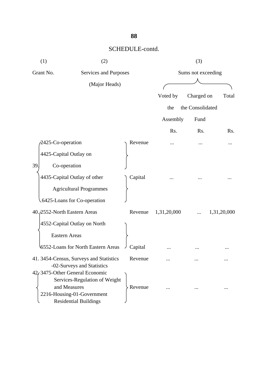| (1)       | (2)                                                                                                                                            |         | (3)                |                  |             |
|-----------|------------------------------------------------------------------------------------------------------------------------------------------------|---------|--------------------|------------------|-------------|
| Grant No. | Services and Purposes                                                                                                                          |         | Sums not exceeding |                  |             |
|           | (Major Heads)                                                                                                                                  |         |                    |                  |             |
|           |                                                                                                                                                |         | Voted by           | Charged on       | Total       |
|           |                                                                                                                                                |         | the                | the Consolidated |             |
|           |                                                                                                                                                |         | Assembly           | Fund             |             |
|           |                                                                                                                                                |         | Rs.                | Rs.              | Rs.         |
|           | 2425-Co-operation                                                                                                                              | Revenue |                    |                  |             |
|           | 4425-Capital Outlay on                                                                                                                         |         |                    |                  |             |
| 39.       | Co-operation                                                                                                                                   |         |                    |                  |             |
|           | 4435-Capital Outlay of other                                                                                                                   | Capital |                    |                  |             |
|           | <b>Agricultural Programmes</b>                                                                                                                 |         |                    |                  |             |
|           | 6425-Loans for Co-operation                                                                                                                    |         |                    |                  |             |
|           | 40. 2552-North Eastern Areas                                                                                                                   | Revenue | 1,31,20,000        |                  | 1,31,20,000 |
|           | 4552-Capital Outlay on North                                                                                                                   |         |                    |                  |             |
|           | <b>Eastern Areas</b>                                                                                                                           |         |                    |                  |             |
|           | 6552-Loans for North Eastern Areas                                                                                                             | Capital |                    |                  |             |
|           | 41. 3454-Census, Surveys and Statistics<br>-02-Surveys and Statistics                                                                          | Revenue |                    |                  |             |
|           | 42, 3475-Other General Economic<br>Services-Regulation of Weight<br>and Measures<br>2216-Housing-01-Government<br><b>Residential Buildings</b> | Revenue |                    |                  |             |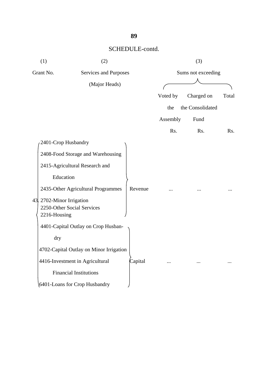|           | (1)<br>(2)                |                                         |                       | (3)      |                    |       |  |
|-----------|---------------------------|-----------------------------------------|-----------------------|----------|--------------------|-------|--|
| Grant No. |                           |                                         | Services and Purposes |          | Sums not exceeding |       |  |
|           |                           | (Major Heads)                           |                       |          |                    |       |  |
|           |                           |                                         |                       | Voted by | Charged on         | Total |  |
|           |                           |                                         |                       | the      | the Consolidated   |       |  |
|           |                           |                                         |                       | Assembly | Fund               |       |  |
|           |                           |                                         |                       | Rs.      | Rs.                | Rs.   |  |
|           | 2401-Crop Husbandry       |                                         |                       |          |                    |       |  |
|           |                           | 2408-Food Storage and Warehousing       |                       |          |                    |       |  |
|           |                           | 2415-Agricultural Research and          |                       |          |                    |       |  |
|           | Education                 |                                         |                       |          |                    |       |  |
|           |                           | 2435-Other Agricultural Programmes      | Revenue               |          |                    |       |  |
|           | 43. 2702-Minor Irrigation |                                         |                       |          |                    |       |  |
|           |                           | 2250-Other Social Services              |                       |          |                    |       |  |
|           | 2216-Housing              |                                         |                       |          |                    |       |  |
|           |                           | 4401-Capital Outlay on Crop Husban-     |                       |          |                    |       |  |
|           | dry                       |                                         |                       |          |                    |       |  |
|           |                           | 4702-Capital Outlay on Minor Irrigation |                       |          |                    |       |  |
|           |                           | 4416-Investment in Agricultural         | Capital               |          |                    |       |  |
|           |                           | <b>Financial Institutions</b>           |                       |          |                    |       |  |
|           |                           | 6401-Loans for Crop Husbandry           |                       |          |                    |       |  |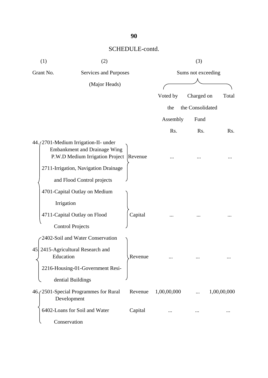| (1)             | (2)                                                                                                                                                                                  |         |                    | (3)              |             |
|-----------------|--------------------------------------------------------------------------------------------------------------------------------------------------------------------------------------|---------|--------------------|------------------|-------------|
| Grant No.       | Services and Purposes                                                                                                                                                                |         | Sums not exceeding |                  |             |
|                 | (Major Heads)                                                                                                                                                                        |         |                    |                  |             |
|                 |                                                                                                                                                                                      |         | Voted by           | Charged on       | Total       |
|                 |                                                                                                                                                                                      |         | the                | the Consolidated |             |
|                 |                                                                                                                                                                                      |         | Assembly           | Fund             |             |
|                 |                                                                                                                                                                                      |         | Rs.                | Rs.              | Rs.         |
|                 | 44./2701-Medium Irrigation-II- under<br><b>Embankment and Drainage Wing</b><br>P.W.D Medium Irrigation Project<br>2711-Irrigation, Navigation Drainage<br>and Flood Control projects | Revenue |                    |                  |             |
| Irrigation      | 4701-Capital Outlay on Medium<br>4711-Capital Outlay on Flood<br><b>Control Projects</b>                                                                                             | Capital |                    |                  |             |
| 45<br>Education | 2402-Soil and Water Conservation<br>2415-Agricultural Research and<br>2216-Housing-01-Government Resi-<br>dential Buildings                                                          | Revenue |                    |                  |             |
|                 | 46. (2501-Special Programmes for Rural<br>Development                                                                                                                                | Revenue | 1,00,00,000        |                  | 1,00,00,000 |
|                 | 6402-Loans for Soil and Water<br>Conservation                                                                                                                                        | Capital |                    |                  |             |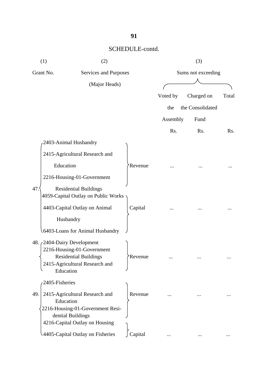| (1)<br>(2)                              |                                                                                                                           |         | (3)                |                  |       |  |
|-----------------------------------------|---------------------------------------------------------------------------------------------------------------------------|---------|--------------------|------------------|-------|--|
| Grant No.                               | Services and Purposes                                                                                                     |         | Sums not exceeding |                  |       |  |
|                                         | (Major Heads)                                                                                                             |         |                    |                  |       |  |
|                                         |                                                                                                                           |         | Voted by           | Charged on       | Total |  |
|                                         |                                                                                                                           |         | the                | the Consolidated |       |  |
|                                         |                                                                                                                           |         | Assembly           | Fund             |       |  |
|                                         |                                                                                                                           |         | Rs.                | Rs.              | Rs.   |  |
|                                         | 2403-Animal Husbandry                                                                                                     |         |                    |                  |       |  |
|                                         | 2415-Agricultural Research and                                                                                            |         |                    |                  |       |  |
| Education                               |                                                                                                                           | Revenue |                    |                  |       |  |
|                                         | 2216-Housing-01-Government                                                                                                |         |                    |                  |       |  |
| 47.                                     | <b>Residential Buildings</b><br>4059-Capital Outlay on Public Works                                                       |         |                    |                  |       |  |
|                                         | 4403-Capital Outlay on Animal                                                                                             | Capital |                    |                  |       |  |
|                                         | Husbandry                                                                                                                 |         |                    |                  |       |  |
|                                         | 6403-Loans for Animal Husbandry                                                                                           |         |                    |                  |       |  |
| 48. 2404-Dairy Development<br>Education | 2216-Housing-01-Government<br><b>Residential Buildings</b><br>2415-Agricultural Research and                              | Revenue |                    |                  |       |  |
| 2405-Fisheries                          |                                                                                                                           |         |                    |                  |       |  |
| 49.<br>Education                        | 2415-Agricultural Research and<br>2216-Housing-01-Government Resi-<br>dential Buildings<br>4216-Capital Outlay on Housing | Revenue |                    |                  |       |  |
|                                         | 4405-Capital Outlay on Fisheries                                                                                          | Capital |                    |                  |       |  |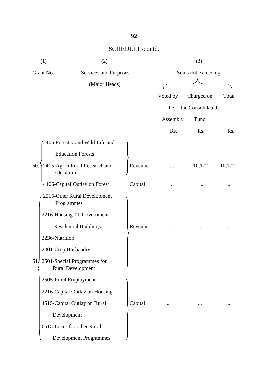|     | (1)<br>(2)            |                                                         | (3)     |                    |                  |        |
|-----|-----------------------|---------------------------------------------------------|---------|--------------------|------------------|--------|
|     | Grant No.             | Services and Purposes                                   |         | Sums not exceeding |                  |        |
|     |                       | (Major Heads)                                           |         |                    |                  |        |
|     |                       |                                                         |         | Voted by           | Charged on       | Total  |
|     |                       |                                                         |         | the                | the Consolidated |        |
|     |                       |                                                         |         | Assembly           | Fund             |        |
|     |                       |                                                         |         | Rs.                | Rs.              | Rs.    |
|     |                       | 2406-Forestry and Wild Life and                         |         |                    |                  |        |
|     |                       | <b>Education Forests</b>                                |         |                    |                  |        |
| 50. | Education             | 2415-Agricultural Research and                          | Revenue |                    | 10,172           | 10,172 |
|     |                       | 4406-Capital Outlay on Forest                           | Capital |                    |                  |        |
|     | Programmes            | 2515-Other Rural Development                            |         |                    |                  |        |
|     |                       | 2216-Housing-01-Government                              |         |                    |                  |        |
|     |                       | <b>Residential Buildings</b>                            | Revenue |                    |                  |        |
|     | 2236-Nutrition        |                                                         |         |                    |                  |        |
|     | 2401-Crop Husbandry   |                                                         |         |                    |                  |        |
| 51. |                       | 2501-Special Programmes for<br><b>Rural Development</b> |         |                    |                  |        |
|     | 2505-Rural Employment |                                                         |         |                    |                  |        |
|     |                       | 2216-Capital Outlay on Housing                          |         |                    |                  |        |
|     |                       | 4515-Capital Outlay on Rural                            | Capital |                    |                  |        |
|     | Development           |                                                         |         |                    |                  |        |
|     |                       | 6515-Loans for other Rural                              |         |                    |                  |        |
|     |                       | <b>Development Programmes</b>                           |         |                    |                  |        |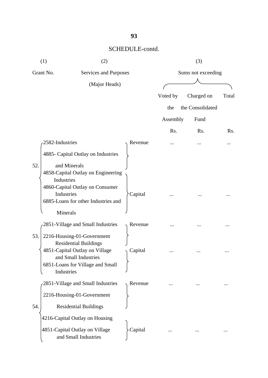|     | (2)<br>(1)                                                                                                                                                                                                 |                       |          | (3)                |       |  |  |
|-----|------------------------------------------------------------------------------------------------------------------------------------------------------------------------------------------------------------|-----------------------|----------|--------------------|-------|--|--|
|     | Grant No.                                                                                                                                                                                                  | Services and Purposes |          | Sums not exceeding |       |  |  |
|     | (Major Heads)                                                                                                                                                                                              |                       | Voted by | Charged on         | Total |  |  |
|     |                                                                                                                                                                                                            |                       | the      | the Consolidated   |       |  |  |
|     |                                                                                                                                                                                                            |                       | Assembly | Fund               |       |  |  |
|     | 2582-Industries                                                                                                                                                                                            | Revenue               | Rs.      | Rs.                | Rs.   |  |  |
| 52. | 4885- Capital Outlay on Industries<br>and Minerals<br>4858-Capital Outlay on Engineering<br>Industries<br>4860-Capital Outlay on Consumer<br>Industries<br>6885-Loans for other Industries and<br>Minerals | Capital               |          |                    |       |  |  |
|     | 2851-Village and Small Industries                                                                                                                                                                          | Revenue               |          |                    |       |  |  |
| 53. | 2216-Housing-01-Government<br><b>Residential Buildings</b><br>4851-Capital Outlay on Village<br>and Small Industries<br>6851-Loans for Village and Small<br>Industries                                     | Capital               |          |                    |       |  |  |
|     | 2851-Village and Small Industries                                                                                                                                                                          | Revenue               |          |                    |       |  |  |
|     | 2216-Housing-01-Government                                                                                                                                                                                 |                       |          |                    |       |  |  |
| 54. | <b>Residential Buildings</b>                                                                                                                                                                               |                       |          |                    |       |  |  |
|     | 4216-Capital Outlay on Housing<br>4851-Capital Outlay on Village<br>and Small Industries                                                                                                                   | Capital               |          |                    |       |  |  |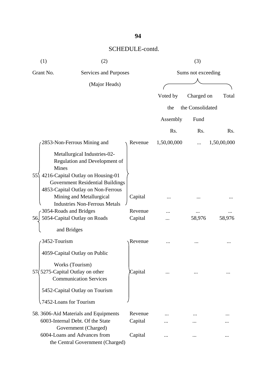| (1)                           | (2)                                                                                                                                                                                                                                                                                                               |                               | (3)                |                  |             |
|-------------------------------|-------------------------------------------------------------------------------------------------------------------------------------------------------------------------------------------------------------------------------------------------------------------------------------------------------------------|-------------------------------|--------------------|------------------|-------------|
| Grant No.                     | Services and Purposes                                                                                                                                                                                                                                                                                             |                               | Sums not exceeding |                  |             |
|                               | (Major Heads)                                                                                                                                                                                                                                                                                                     |                               |                    |                  |             |
|                               |                                                                                                                                                                                                                                                                                                                   |                               | Voted by           | Charged on       | Total       |
|                               |                                                                                                                                                                                                                                                                                                                   |                               | the                | the Consolidated |             |
|                               |                                                                                                                                                                                                                                                                                                                   |                               | Assembly           | Fund             |             |
|                               |                                                                                                                                                                                                                                                                                                                   |                               | Rs.                | Rs.              | Rs.         |
|                               | 2853-Non-Ferrous Mining and                                                                                                                                                                                                                                                                                       | Revenue                       | 1,50,00,000        |                  | 1,50,00,000 |
| <b>Mines</b><br>$55\%$<br>56. | Metallurgical Industries-02-<br>Regulation and Development of<br>4216-Capital Outlay on Housing-01<br><b>Government Residential Buildings</b><br>4853-Capital Outlay on Non-Ferrous<br>Mining and Metallurgical<br><b>Industries Non-Ferrous Metals</b><br>3054-Roads and Bridges<br>5054-Capital Outlay on Roads | Capital<br>Revenue<br>Capital |                    | 58,976           | 58,976      |
|                               | and Bridges                                                                                                                                                                                                                                                                                                       |                               |                    |                  |             |
| 3452-Tourism                  |                                                                                                                                                                                                                                                                                                                   | Revenue                       |                    |                  |             |
|                               | 4059-Capital Outlay on Public<br>Works (Tourism)<br>57 5275 - Capital Outlay on other<br><b>Communication Services</b>                                                                                                                                                                                            | Capital                       |                    |                  |             |
|                               | 5452-Capital Outlay on Tourism                                                                                                                                                                                                                                                                                    |                               |                    |                  |             |
|                               | 7452-Loans for Tourism                                                                                                                                                                                                                                                                                            |                               |                    |                  |             |
|                               | 58. 3606-Aid Materials and Equipments<br>6003-Internal Debt. Of the State<br>Government (Charged)                                                                                                                                                                                                                 | Revenue<br>Capital            |                    |                  |             |
|                               | 6004-Loans and Advances from<br>the Central Government (Charged)                                                                                                                                                                                                                                                  | Capital                       |                    |                  |             |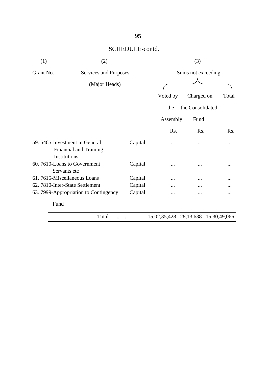| (2)                                                             |              | (3)                                                                                        |            |                                                                              |
|-----------------------------------------------------------------|--------------|--------------------------------------------------------------------------------------------|------------|------------------------------------------------------------------------------|
| Grant No.                                                       |              |                                                                                            |            |                                                                              |
|                                                                 |              |                                                                                            |            |                                                                              |
|                                                                 |              | Voted by                                                                                   | Charged on | Total                                                                        |
|                                                                 |              | the                                                                                        |            |                                                                              |
|                                                                 |              |                                                                                            | Fund       |                                                                              |
|                                                                 |              | Rs.                                                                                        | Rs.        | R <sub>s</sub> .                                                             |
| 59. 5465-Investment in General<br><b>Financial and Training</b> | Capital      |                                                                                            |            |                                                                              |
| 60.7610-Loans to Government<br>Servants etc                     | Capital      | $\ddotsc$                                                                                  |            |                                                                              |
| 61.7615-Miscellaneous Loans                                     |              |                                                                                            |            |                                                                              |
| 62. 7810-Inter-State Settlement                                 | Capital      |                                                                                            |            |                                                                              |
|                                                                 | Capital      |                                                                                            |            |                                                                              |
| Fund                                                            |              |                                                                                            |            |                                                                              |
| Total                                                           |              |                                                                                            |            | 15,30,49,066                                                                 |
|                                                                 | Institutions | Services and Purposes<br>(Major Heads)<br>Capital<br>63. 7999-Appropriation to Contingency |            | Sums not exceeding<br>the Consolidated<br>Assembly<br>15,02,35,428 28,13,638 |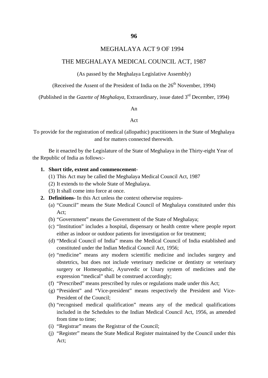### MEGHALAYA ACT 9 OF 1994

#### THE MEGHALAYA MEDICAL COUNCIL ACT, 1987

#### (As passed by the Meghalaya Legislative Assembly)

(Received the Assent of the President of India on the  $26<sup>th</sup>$  November, 1994)

(Published in the *Gazette of Meghalaya*, Extraordinary, issue dated 3rd December, 1994)

An

#### Act

To provide for the registration of medical (allopathic) practitioners in the State of Meghalaya and for matters connected therewith.

Be it enacted by the Legislature of the State of Meghalaya in the Thirty-eight Year of the Republic of India as follows:-

#### **1. Short title, extent and commencement-**

- (1) This Act may be called the Meghalaya Medical Council Act, 1987
- (2) It extends to the whole State of Meghalaya.
- (3) It shall come into force at once.
- **2. Definitions-** In this Act unless the context otherwise requires-
	- (a) "Council" means the State Medical Council of Meghalaya constituted under this Act;
	- (b) "Government" means the Government of the State of Meghalaya;
	- (c) "Institution" includes a hospital, dispensary or health centre where people report either as indoor or outdoor patients for investigation or for treatment;
	- (d) "Medical Council of India" means the Medical Council of India established and constituted under the Indian Medical Council Act, 1956;
	- (e) "medicine" means any modern scientific medicine and includes surgery and obstetrics, but does not include veterinary medicine or dentistry or veterinary surgery or Homeopathic, Ayurvedic or Unary system of medicines and the expression "medical" shall be construed accordingly;
	- (f) "Prescribed" means prescribed by rules or regulations made under this Act;
	- (g) "President" and "Vice-president" means respectively the President and Vice-President of the Council;
	- (h) "recognised medical qualification" means any of the medical qualifications included in the Schedules to the Indian Medical Council Act, 1956, as amended from time to time;
	- (i) "Registrar" means the Registrar of the Council;
	- (j) "Register" means the State Medical Register maintained by the Council under this Act;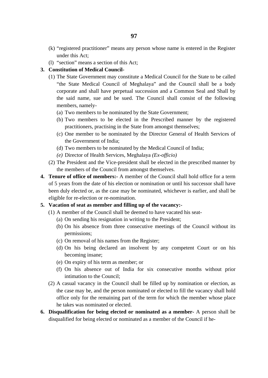- (k) "registered practitioner" means any person whose name is entered in the Register under this Act;
- (l) "section" means a section of this Act;

#### **3. Constitution of Medical Council-**

- (1) The State Government may constitute a Medical Council for the State to be called "the State Medical Council of Meghalaya" and the Council shall be a body corporate and shall have perpetual succession and a Common Seal and Shall by the said name, sue and be sued. The Council shall consist of the following members, namely-
	- (a) Two members to be nominated by the State Government;
	- (b) Two members to be elected in the Prescribed manner by the registered practitioners, practising in the State from amongst themselves;
	- (c) One member to be nominated by the Director General of Health Services of the Government of India;
	- (d) Two members to be nominated by the Medical Council of India;
	- *(e)* Director of Health Services, Meghalaya *(Ex-officio)*
- (2) The President and the Vice-president shall be elected in the prescribed manner by the members of the Council from amongst themselves.
- **4. Tenure of office of members:-** A member of the Council shall hold office for a term of 5 years from the date of his election or nomination or until his successor shall have been duly elected or, as the case may be nominated, whichever is earlier, and shall be eligible for re-election or re-nomination.

#### **5. Vacation of seat as member and filling up of the vacancy:**-

- (1) A member of the Council shall be deemed to have vacated his seat-
	- (a) On sending his resignation in writing to the President;
	- (b) On his absence from three consecutive meetings of the Council without its permissions;
	- (c) On removal of his names from the Register;
	- (d) On his being declared an insolvent by any competent Court or on his becoming insane;
	- (e) On expiry of his term as member; or
	- (f) On his absence out of India for six consecutive months without prior intimation to the Council;
- (2) A casual vacancy in the Council shall be filled up by nomination or election, as the case may be, and the person nominated or elected to fill the vacancy shall hold office only for the remaining part of the term for which the member whose place he takes was nominated or elected.
- **6. Disqualification for being elected or nominated as a member-** A person shall be disqualified for being elected or nominated as a member of the Council if he-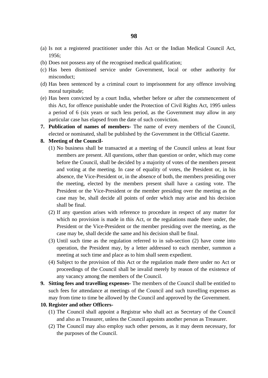- (a) Is not a registered practitioner under this Act or the Indian Medical Council Act, 1956;
- (b) Does not possess any of the recognised medical qualification;
- (c) Has been dismissed service under Government, local or other authority for misconduct;
- (d) Has been sentenced by a criminal court to imprisonment for any offence involving moral turpitude;
- (e) Has been convicted by a court India, whether before or after the commencement of this Act, for offence punishable under the Protection of Civil Rights Act, 1995 unless a period of 6 (six years or such less period, as the Government may allow in any particular case has elapsed from the date of such conviction.
- **7. Publication of names of members-** The name of every members of the Council, elected or nominated, shall be published by the Government in the Official Gazette.

#### **8. Meeting of the Council-**

- (1) No business shall be transacted at a meeting of the Council unless at least four members are present. All questions, other than question or order, which may come before the Council, shall be decided by a majority of votes of the members present and voting at the meeting. In case of equality of votes, the President or, in his absence, the Vice-President or, in the absence of both, the members presiding over the meeting, elected by the members present shall have a casting vote. The President or the Vice-President or the member presiding over the meeting as the case may be, shall decide all points of order which may arise and his decision shall be final.
- (2) If any question arises with reference to procedure in respect of any matter for which no provision is made in this Act, or the regulations made there under, the President or the Vice-President or the member presiding over the meeting, as the case may be, shall decide the same and his decision shall be final.
- (3) Until such time as the regulation referred to in sub-section (2) have come into operation, the President may, by a letter addressed to each member, summon a meeting at such time and place as to him shall seem expedient.
- (4) Subject to the provision of this Act or the regulation made there under no Act or proceedings of the Council shall be invalid merely by reason of the existence of any vacancy among the members of the Council.
- **9. Sitting fees and travelling expenses-** The members of the Council shall be entitled to such fees for attendance at meetings of the Council and such travelling expenses as may from time to time be allowed by the Council and approved by the Government.

#### **10. Register and other Officers-**

- (1) The Council shall appoint a Registrar who shall act as Secretary of the Council and also as Treasurer, unless the Council appoints another person as Treasurer.
- (2) The Council may also employ such other persons, as it may deem necessary, for the purposes of the Council.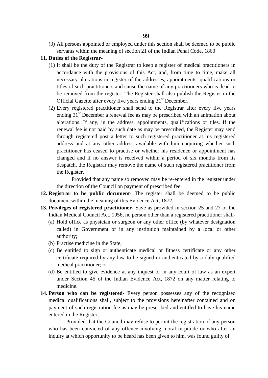(3) All persons appointed or employed under this section shall be deemed to be public servants within the meaning of section 21 of the Indian Penal Code, 1860

#### **11. Duties of the Registrar-**

- (1) It shall be the duty of the Registrar to keep a register of medical practitioners in accordance with the provisions of this Act, and, from time to time, make all necessary alterations in register of the addresses, appointments, qualifications or titles of such practitioners and cause the name of any practitioners who is dead to be removed from the register. The Register shall also publish the Register in the Official Gazette after every five years ending  $31<sup>st</sup>$  December.
- (2) Every registered practitioner shall send to the Registrar after every five years ending  $31<sup>st</sup>$  December a renewal fee as may be prescribed with an animation about alterations. If any, in the address, appointments, qualifications or tiles. If the renewal fee is not paid by such date as may be prescribed, the Register may send through registered post a letter to such registered practitioner at his registered address and at any other address available with him enquiring whether such practitioner has ceased to practise or whether his residence or appointment has changed and if no answer is received within a period of six months from its despatch, the Registrar may remove the name of such registered practitioner from the Register.

 Provided that any name so removed may be re-entered in the register under the direction of the Council on payment of prescribed fee.

- **12. Registrar to be public document-** The register shall be deemed to be public document within the meaning of this Evidence Act, 1872.
- **13. Privileges of registered practitioner-** Save as provided in section 25 and 27 of the Indian Medical Council Act, 1956, no person other than a registered practitioner shall-
	- (a) Hold office as physician or surgeon or any other office (by whatever designation called) in Government or in any institution maintained by a local or other authority;
	- (b) Practise medicine in the State;
	- (c) Be entitled to sign or authenticate medical or fitness certificate or any other certificate required by any law to be signed or authenticated by a duly qualified medical practitioner; or
	- (d) Be entitled to give evidence at any inquest or in any court of law as an expert under Section 45 of the Indian Evidence Act, 1872 on any matter relating to medicine.
- **14. Person who can be registered-** Every person possesses any of the recognised medical qualifications shall, subject to the provisions hereinafter contained and on payment of such registration fee as may be prescribed and entitled to have his name entered in the Register;

Provided that the Council may refuse to permit the registration of any person who has been convicted of any offence involving moral turpitude or who after an inquiry at which opportunity to be heard has been given to him, was found guilty of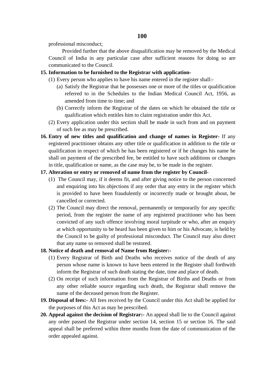professional misconduct;

 Provided further that the above disqualification may be removed by the Medical Council of India in any particular case after sufficient reasons for doing so are communicated to the Council.

#### **15. Information to be furnished to the Registrar with application-**

- (1) Every person who applies to have his name entered in the register shall:-
	- (a) Satisfy the Registrar that he possesses one or more of the titles or qualification referred to in the Schedules to the Indian Medical Council Act, 1956, as amended from time to time; and
	- (b) Correctly inform the Registrar of the dates on which he obtained the title or qualification which entitles him to claim registration under this Act.
- (2) Every application under this section shall be made in such from and on payment of such fee as may be prescribed.
- **16. Entry of new titles and qualification and change of names in Register-** If any registered practitioner obtains any other title or qualification in addition to the title or qualification in respect of which he has been registered or if he changes his name he shall on payment of the prescribed fee, be entitled to have such additions or changes in title, qualification or name, as the case may be, to be made in the register.

#### **17. Alteration or entry or removed of name from the register by Council-**

- (1) The Council may, if it deems fit, and after giving notice to the person concerned and enquiring into his objections if any order that any entry in the register which is provided to have been fraudulently or incorrectly made or brought about, be cancelled or corrected.
- (2) The Council may direct the removal, permanently or temporarily for any specific period, from the register the name of any registered practitioner who has been convicted of any such offence involving moral turpitude or who, after an enquiry at which opportunity to be heard has been given to him or his Advocate, is held by the Council to be guilty of professional misconduct. The Council may also direct that any name so removed shall be restored.

#### **18. Notice of death and removal of Name from Register:-**

- (1) Every Registrar of Birth and Deaths who receives notice of the death of any person whose name is known to have been entered in the Register shall forthwith inform the Registrar of such death stating the date, time and place of death.
- (2) On receipt of such information from the Registrar of Births and Deaths or from any other reliable source regarding such death, the Registrar shall remove the name of the deceased person from the Register.
- **19. Disposal of fees:-** All fees received by the Council under this Act shall be applied for the purposes of this Act as may be prescribed.
- **20. Appeal against the decision of Registrar:-** An appeal shall lie to the Council against any order passed the Registrar under section 14, section 15 or section 16. The said appeal shall be preferred within three months from the date of communication of the order appealed against.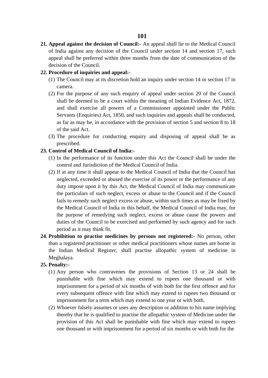**21. Appeal against the decision of Council:-** An appeal shall lie to the Medical Council of India against any decision of the Council under section 14 and section 17, such appeal shall be preferred within three months from the date of communication of the decision of the Council.

#### **22. Procedure of inquiries and appeal:-**

- (1) The Council may at its discretion hold an inquiry under section 14 or section 17 in camera.
- (2) For the purpose of any such enquiry of appeal under section 20 of the Council shall be deemed to be a court within the meaning of Indian Evidence Act, 1872, and shall exercise all powers of a Commissioner appointed under the Public Servants (Enquiries) Act, 1850, and such inquiries and appeals shall be conducted, as far as may be, in accordance with the provision of section 5 and section 8 to 18 of the said Act.
- (3) The procedure for conducting enquiry and disposing of appeal shall be as prescribed.

#### **23. Control of Medical Council of India:-**

- (1) In the performance of its function under this Act the Council shall be under the control and Jurisdiction of the Medical Council of India.
- (2) If at any time it shall appear to the Medical Council of India that the Council has neglected, exceeded or abused the exercise of its power or the performance of any duty impose upon it by this Act, the Medical Council of India may communicate the particulars of such neglect, excess or abuse to the Council and if the Council fails to remedy such neglect excess or abuse, within such times as may be fixed by the Medical Council of India in this behalf, the Medical Council of India may, for the purpose of remedying such neglect, excess or abuse cause the powers and duties of the Council to be exercised and performed by such agency and for such period as it may think fit.
- **24. Prohibition to practise medicines by persons not registered:-** No person, other than a registered practitioner or other medical practitioners whose names are borne in the Indian Medical Register, shall practise allopathic system of medicine in Meghalaya.

#### **25. Penalty:**-

- (1) Any person who contravenes the provisions of Section 13 or 24 shall be punishable with fine which may extend to rupees one thousand or with imprisonment for a period of six months of with both for the first offence and for every subsequent offence with fine which may extend to rupees two thousand or imprisonment for a term which may extend to one year or with both.
- (2) Whoever falsely assumes or uses any description or addition to his name implying thereby that he is qualified to practise the allopathic system of Medicine under the provision of this Act shall be punishable with fine which may extend to rupees one thousand or with imprisonment for a period of six months or with both for the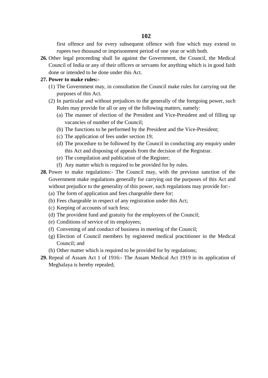first offence and for every subsequent offence with fine which may extend to rupees two thousand or imprisonment period of one year or with both.

**26.** Other legal proceeding shall lie against the Government, the Council, the Medical Council of India or any of their officers or servants for anything which is in good faith done or intended to be done under this Act.

#### **27. Power to make rules:-**

- (1) The Government may, in consultation the Council make rules for carrying out the purposes of this Act.
- (2) In particular and without prejudices to the generally of the foregoing power, such Rules may provide for all or any of the following matters, namely:
	- (a) The manner of election of the President and Vice-President and of filling up vacancies of number of the Council;
	- (b) The functions to be performed by the President and the Vice-President;
	- (c) The application of fees under section 19;
	- (d) The procedure to be followed by the Council in conducting any enquiry under this Act and disposing of appeals from the decision of the Registrar.
	- (e) The compilation and publication of the Register;
	- (f) Any matter which is required to be provided for by rules.
- **28.** Power to make regulations:- The Council may, with the previous sanction of the Government make regulations generally for carrying out the purposes of this Act and without prejudice to the generality of this power, such regulations may provide for:-
	- (a) The form of application and fees chargeable there for;
	- (b) Fees chargeable in respect of any registration under this Act;
	- (c) Keeping of accounts of such fess;
	- (d) The provident fund and gratuity for the employees of the Council;
	- (e) Conditions of service of its employees;
	- (f) Convening of and conduct of business in meeting of the Council;
	- (g) Election of Council members by registered medical practitioner in the Medical Council; and
	- (h) Other matter which is required to be provided for by regulations;
- **29.** Repeal of Assam Act 1 of 1916:- The Assam Medical Act 1919 in its application of Meghalaya is hereby repealed;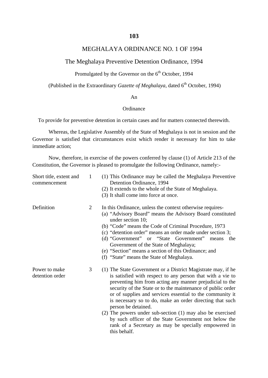#### **103**

### MEGHALAYA ORDINANCE NO. 1 OF 1994

#### The Meghalaya Preventive Detention Ordinance, 1994

### Promulgated by the Governor on the  $6<sup>th</sup>$  October, 1994

(Published in the Extraordinary *Gazette of Meghalaya*, dated 6<sup>th</sup> October, 1994)

#### An

#### **Ordinance**

To provide for preventive detention in certain cases and for matters connected therewith.

Whereas, the Legislative Assembly of the State of Meghalaya is not in session and the Governor is satisfied that circumstances exist which render it necessary for him to take immediate action;

Now, therefore, in exercise of the powers conferred by clause (1) of Article 213 of the Constitution, the Governor is pleased to promulgate the following Ordinance, namely:-

| Short title, extent and<br>commencement | $\mathbf{1}$ | (1) This Ordinance may be called the Meghalaya Preventive<br>Detention Ordinance, 1994<br>(2) It extends to the whole of the State of Meghalaya.<br>(3) It shall come into force at once.                                                                                                                                                                                                                                                                                                                                                                                                                |
|-----------------------------------------|--------------|----------------------------------------------------------------------------------------------------------------------------------------------------------------------------------------------------------------------------------------------------------------------------------------------------------------------------------------------------------------------------------------------------------------------------------------------------------------------------------------------------------------------------------------------------------------------------------------------------------|
| Definition                              | 2            | In this Ordinance, unless the context otherwise requires-<br>(a) "Advisory Board" means the Advisory Board constituted<br>under section 10;<br>(b) "Code" means the Code of Criminal Procedure, 1973<br>(c) "detention order" means an order made under section 3;<br>(d) "Government" or "State Government"<br>the<br>means<br>Government of the State of Meghalaya;<br>(e) "Section" means a section of this Ordinance; and<br>(f) "State" means the State of Meghalaya.                                                                                                                               |
| Power to make<br>detention order        | 3            | (1) The State Government or a District Magistrate may, if he<br>is satisfied with respect to any person that with a vie to<br>preventing him from acting any manner prejudicial to the<br>security of the State or to the maintenance of public order<br>or of supplies and services essential to the community it<br>is necessary so to do, make an order directing that such<br>person be detained.<br>$(2)$ The powers under sub-section $(1)$ may also be exercised<br>by such officer of the State Government not below the<br>rank of a Secretary as may be specially empowered in<br>this behalf. |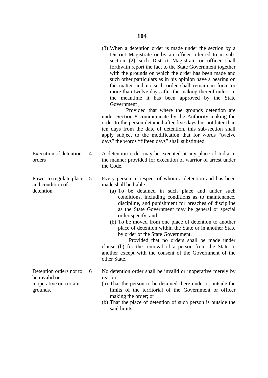(3) When a detention order is made under the section by a District Magistrate or by an officer referred to in subsection (2) such District Magistrate or officer shall forthwith report the fact to the State Government together with the grounds on which the order has been made and such other particulars as in his opinion have a bearing on the matter and no such order shall remain in force or more than twelve days after the making thereof unless in the meantime it has been approved by the State Government ;

 Provided that where the grounds detention are under Section 8 communicate by the Authority making the order to the person detained after five days but not later than ten days from the date of detention, this sub-section shall apply subject to the modification that for words "twelve days" the words "fifteen days" shall substituted.

- Execution of detention 4 A detention order may be executed at any place of India in orders the manner provided for execution of warrior of arrest under the Code.
- Power to regulate place 5 Every person in respect of whom a detention and has been
- detention (a) To be detained in such place and under such conditions, including conditions as to maintenance, discipline, and punishment for breaches of discipline as the State Government may be general or special order specify; and
	- (b) To be moved from one place of detention to another place of detention within the State or in another State by order of the State Government.

 Provided that no orders shall be made under clause (b) for the removal of a person from the State to another except with the consent of the Government of the other State.

- Detention orders not to 6 No detention order shall be invalid or inoperative merely by
- inoperative on certain (a) That the person to be detained there under is outside the grounds. limits of the territorial of the Government or officer making the order; or
	- (b) That the place of detention of such person is outside the said limits.

and condition of made shall be liable-

be invalid or reason-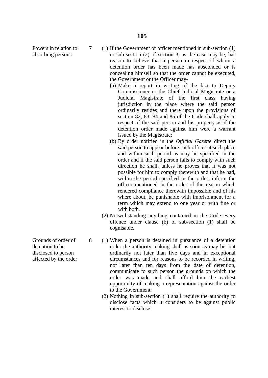- Powers in relation to  $7$  (1) If the Government or officer mentioned in sub-section (1) absorbing persons or sub-section (2) of section 3, as the case may be, has reason to believe that a person in respect of whom a detention order has been made has absconded or is concealing himself so that the order cannot be executed, the Government or the Officer may-
	- (a) Make a report in writing of the fact to Deputy Commissioner or the Chief Judicial Magistrate or a Judicial Magistrate of the first class having jurisdiction in the place where the said person ordinarily resides and there upon the provisions of section 82, 83, 84 and 85 of the Code shall apply in respect of the said person and his property as if the detention order made against him were a warrant issued by the Magistrate;
	- (b) By order notified in the *Official Gazette* direct the said person to appear before such officer at such place and within such period as may be specified in the order and if the said person fails to comply with such direction he shall, unless he proves that it was not possible for him to comply therewith and that he had, within the period specified in the order, inform the officer mentioned in the order of the reason which rendered compliance therewith impossible and of his where about, be punishable with imprisonment for a term which may extend to one year or with fine or with both.
	- (2) Notwithstanding anything contained in the Code every offence under clause (b) of sub-section (1) shall be cognisable.
- Grounds of order of 8 (1) When a person is detained in pursuance of a detention detention to be order the authority making shall as soon as may be, but disclosed to person ordinarily not later than five days and in exceptional affected by the order circumstances and for reasons to be recorded in writing, not later than ten days from the date of detention, communicate to such person the grounds on which the order was made and shall afford him the earliest opportunity of making a representation against the order to the Government.
	- (2) Nothing in sub-section (1) shall require the authority to disclose facts which it considers to be against public interest to disclose.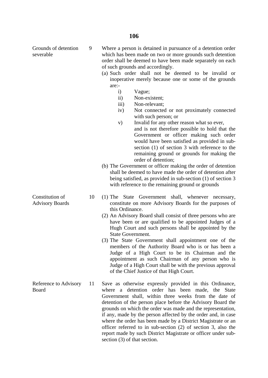Grounds of detention 9 Where a person is detained in pursuance of a detention order

| severable                                 |    | which has been made on two or more grounds such detention<br>order shall be deemed to have been made separately on each<br>of such grounds and accordingly.<br>(a) Such order shall not be deemed to be invalid or<br>inoperative merely because one or some of the grounds<br>are:-<br>Vague;<br>$\mathbf{i}$<br>Non-existent;<br>$\rm ii)$<br>Non-relevant;<br>$\overline{iii}$<br>Not connected or not proximately connected<br>iv)<br>with such person; or<br>Invalid for any other reason what so ever,<br>V)<br>and is not therefore possible to hold that the<br>Government or officer making such order<br>would have been satisfied as provided in sub-<br>section $(1)$ of section 3 with reference to the<br>remaining ground or grounds for making the<br>order of detention;<br>(b) The Government or officer making the order of detention<br>shall be deemed to have made the order of detention after<br>being satisfied, as provided in sub-section $(1)$ of section 3<br>with reference to the remaining ground or grounds |
|-------------------------------------------|----|----------------------------------------------------------------------------------------------------------------------------------------------------------------------------------------------------------------------------------------------------------------------------------------------------------------------------------------------------------------------------------------------------------------------------------------------------------------------------------------------------------------------------------------------------------------------------------------------------------------------------------------------------------------------------------------------------------------------------------------------------------------------------------------------------------------------------------------------------------------------------------------------------------------------------------------------------------------------------------------------------------------------------------------------|
| Constitution of<br><b>Advisory Boards</b> | 10 | (1) The State Government shall, whenever necessary,<br>constitute on more Advisory Boards for the purposes of<br>this Ordinance.<br>(2) An Advisory Board shall consist of three persons who are<br>have been or are qualified to be appointed Judges of a<br>Hugh Court and such persons shall be appointed by the<br>State Government.<br>(3) The State Government shall appointment one of the<br>members of the Authority Board who is or has been a<br>Judge of a High Court to be its Chairman and the<br>appointment as such Chairman of any person who is<br>Judge of a High Court shall be with the previous approval<br>of the Chief Justice of that High Court.                                                                                                                                                                                                                                                                                                                                                                   |
| Reference to Advisory<br>Board            | 11 | Save as otherwise expressly provided in this Ordinance,<br>where a detention order has been made, the State<br>Government shall, within three weeks from the date of<br>detention of the person place before the Advisory Board the<br>grounds on which the order was made and the representation,<br>if any, made by the person affected by the order and, in case<br>where the order has been made by a District Magistrate or an<br>officer referred to in sub-section (2) of section 3, also the<br>report made by such District Magistrate or officer under sub-                                                                                                                                                                                                                                                                                                                                                                                                                                                                        |

section (3) of that section.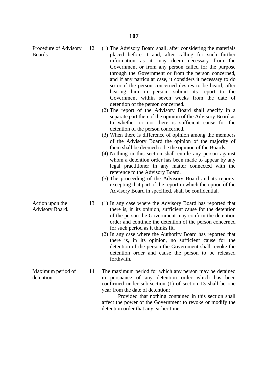Procedure of Advisory 12 (1) The Advisory Board shall, after considering the materials Boards placed before it and, after calling for such further information as it may deem necessary from the Government or from any person called for the purpose through the Government or from the person concerned, and if any particular case, it considers it necessary to do so or if the person concerned desires to be heard, after hearing him in person, submit its report to the Government within seven weeks from the date of detention of the person concerned. (2) The report of the Advisory Board shall specify in a separate part thereof the opinion of the Advisory Board as to whether or not there is sufficient cause for the detention of the person concerned. (3) When there is difference of opinion among the members of the Advisory Board the opinion of the majority of them shall be deemed to be the opinion of the Boards. (4) Nothing in this section shall entitle any person against whom a detention order has been made to appear by any legal practitioner in any matter connected with the reference to the Advisory Board. (5) The proceeding of the Advisory Board and its reports, excepting that part of the report in which the option of the Advisory Board in specified, shall be confidential. Action upon the 13 (1) In any case where the Advisory Board has reported that Advisory Board. there is, in its opinion, sufficient cause for the detention of the person the Government may confirm the detention order and continue the detention of the person concerned for such period as it thinks fit. (2) In any case where the Authority Board has reported that there is, in its opinion, no sufficient cause for the detention of the person the Government shall revoke the detention order and cause the person to be released forthwith. Maximum period of 14 The maximum period for which any person may be detained detention in pursuance of any detention order which has been confirmed under sub-section (1) of section 13 shall be one year from the date of detention; Provided that nothing contained in this section shall affect the power of the Government to revoke or modify the detention order that any earlier time.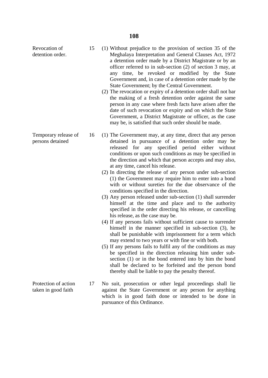| Revocation of<br>detention order.           | 15 | (1) Without prejudice to the provision of section 35 of the<br>Meghalaya Interpretation and General Clauses Act, 1972<br>a detention order made by a District Magistrate or by an<br>officer referred to in sub-section (2) of section 3 may, at<br>any time, be revoked or modified by the State<br>Government and, in case of a detention order made by the<br>State Government; by the Central Government.<br>(2) The revocation or expiry of a detention order shall not bar<br>the making of a fresh detention order against the same<br>person in any case where fresh facts have arisen after the<br>date of such revocation or expiry and on which the State                                                                                                                                                                                                                                                                                                                                                                                                                                                                                                                                                                                                                                                                               |
|---------------------------------------------|----|----------------------------------------------------------------------------------------------------------------------------------------------------------------------------------------------------------------------------------------------------------------------------------------------------------------------------------------------------------------------------------------------------------------------------------------------------------------------------------------------------------------------------------------------------------------------------------------------------------------------------------------------------------------------------------------------------------------------------------------------------------------------------------------------------------------------------------------------------------------------------------------------------------------------------------------------------------------------------------------------------------------------------------------------------------------------------------------------------------------------------------------------------------------------------------------------------------------------------------------------------------------------------------------------------------------------------------------------------|
|                                             |    | Government, a District Magistrate or officer, as the case<br>may be, is satisfied that such order should be made.                                                                                                                                                                                                                                                                                                                                                                                                                                                                                                                                                                                                                                                                                                                                                                                                                                                                                                                                                                                                                                                                                                                                                                                                                                  |
| Temporary release of<br>persons detained    | 16 | (1) The Government may, at any time, direct that any person<br>detained in pursuance of a detention order may be<br>released for any specified period either<br>without<br>conditions or upon such conditions as may be specified in<br>the direction and which that person accepts and may also,<br>at any time, cancel his release.<br>(2) In directing the release of any person under sub-section<br>(1) the Government may require him to enter into a bond<br>with or without sureties for the due observance of the<br>conditions specified in the direction.<br>(3) Any person released under sub-section (1) shall surrender<br>himself at the time and place and to the authority<br>specified in the order directing his release, or cancelling<br>his release, as the case may be.<br>(4) If any persons fails without sufficient cause to surrender<br>himself in the manner specified in sub-section (3), he<br>shall be punishable with imprisonment for a term which<br>may extend to two years or with fine or with both.<br>(5) If any persons fails to fulfil any of the conditions as may<br>be specified in the direction releasing him under sub-<br>section (1) or in the bond entered into by him the bond<br>shall be declared to be forfeited and the person bond<br>thereby shall be liable to pay the penalty thereof. |
| Protection of action<br>taken in good faith | 17 | No suit, prosecution or other legal proceedings shall lie<br>against the State Government or any person for anything<br>which is in good faith done or intended to be done in<br>pursuance of this Ordinance.                                                                                                                                                                                                                                                                                                                                                                                                                                                                                                                                                                                                                                                                                                                                                                                                                                                                                                                                                                                                                                                                                                                                      |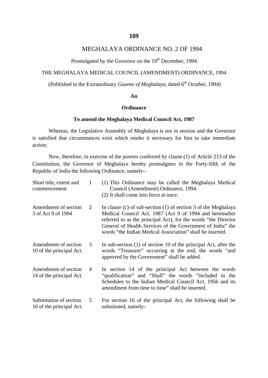#### **109**

## MEGHALAYA ORDINANCE NO. 2 OF 1994

Promulgated by the Governor on the  $19<sup>th</sup>$  December, 1994

# THE MEGHALAYA MEDICAL COUNCIL (AMENDMENT) ORDINANCE, 1994

(Published in the Extraordinary *Gazette of Meghalaya*, dated  $6<sup>th</sup>$  October, 1994)

#### **An**

### **Ordinance**

#### **To amend the Meghalaya Medical Council Act, 1987**

Whereas, the Legislative Assembly of Meghalaya is not in session and the Governor is satisfied that circumstances exist which render it necessary for him to take immediate action;

Now, therefore, in exercise of the powers conferred by clause (1) of Article 213 of the Constitution, the Governor of Meghalaya hereby promulgates in the Forty-fifth of the Republic of India the following Ordinance, namely:-

| Short title, extent and<br>commencement             | 1 | (1) This Ordinance may be called the Meghalaya Medical<br>Council (Amendment) Ordinance, 1994.<br>(2) It shall come into force at once.                                                                                                                                                                                   |
|-----------------------------------------------------|---|---------------------------------------------------------------------------------------------------------------------------------------------------------------------------------------------------------------------------------------------------------------------------------------------------------------------------|
| Amendment of section<br>3 of Act 9 of 1994          | 2 | In clause (c) of sub-section $(1)$ of section 3 of the Meghalaya<br>Medical Council Act, 1987 (Act 9 of 1994 and hereinafter<br>referred to as the principal Act), for the words "the Director<br>General of Health Services of the Government of India" the<br>words "the Indian Medical Association" shall be inserted. |
| Amendment of section<br>10 of the principal Act.    | 3 | In sub-section $(1)$ of section 10 of the principal Act, after the<br>words "Treasurer" occurring at the end, the words "and<br>approved by the Government" shall be added.                                                                                                                                               |
| Amendment of section<br>14 of the principal Act.    | 4 | In section 14 of the principal Act between the words<br>"qualification" and "Shall" the words "included in the<br>Schedules to the Indian Medical Council Act, 1956 and its<br>amendment from time to time" shall be inserted.                                                                                            |
| Substitution of section<br>16 of the principal Act. | 5 | For section 16 of the principal Act, the following shall be<br>substituted, namely-                                                                                                                                                                                                                                       |